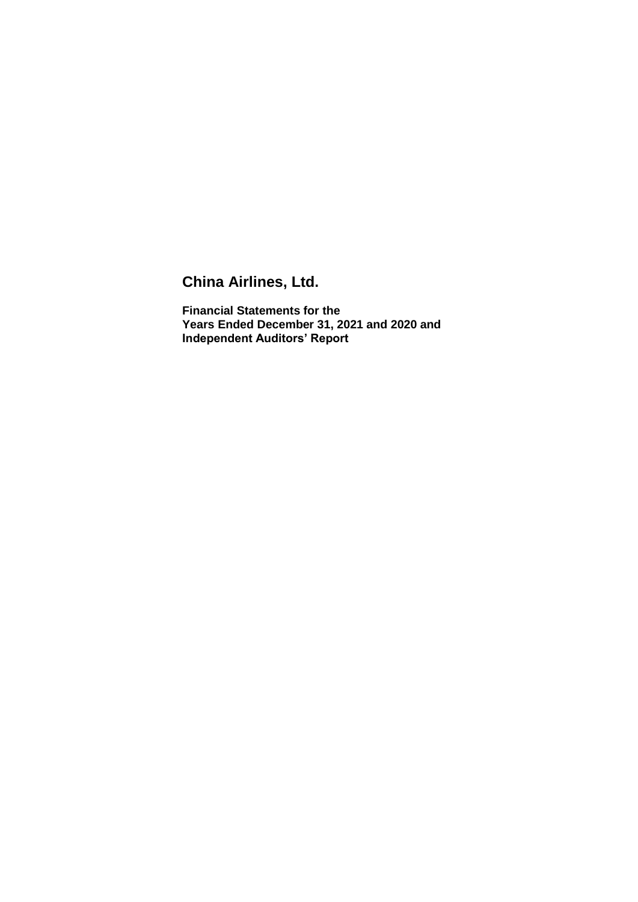# **China Airlines, Ltd.**

**Financial Statements for the Years Ended December 31, 2021 and 2020 and Independent Auditors' Report**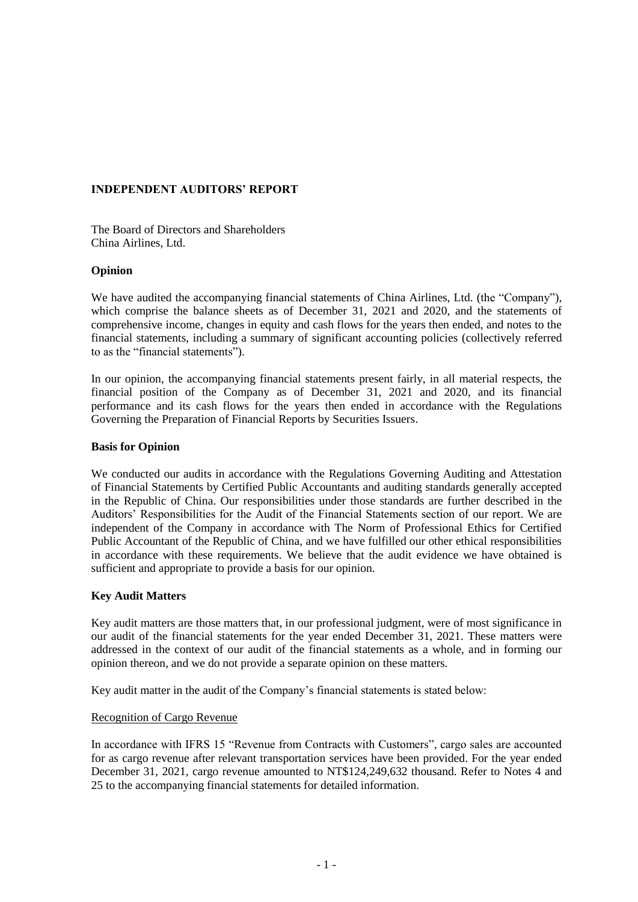## **INDEPENDENT AUDITORS' REPORT**

The Board of Directors and Shareholders China Airlines, Ltd.

#### **Opinion**

We have audited the accompanying financial statements of China Airlines, Ltd. (the "Company"), which comprise the balance sheets as of December 31, 2021 and 2020, and the statements of comprehensive income, changes in equity and cash flows for the years then ended, and notes to the financial statements, including a summary of significant accounting policies (collectively referred to as the "financial statements").

In our opinion, the accompanying financial statements present fairly, in all material respects, the financial position of the Company as of December 31, 2021 and 2020, and its financial performance and its cash flows for the years then ended in accordance with the Regulations Governing the Preparation of Financial Reports by Securities Issuers.

### **Basis for Opinion**

We conducted our audits in accordance with the Regulations Governing Auditing and Attestation of Financial Statements by Certified Public Accountants and auditing standards generally accepted in the Republic of China. Our responsibilities under those standards are further described in the Auditors' Responsibilities for the Audit of the Financial Statements section of our report. We are independent of the Company in accordance with The Norm of Professional Ethics for Certified Public Accountant of the Republic of China, and we have fulfilled our other ethical responsibilities in accordance with these requirements. We believe that the audit evidence we have obtained is sufficient and appropriate to provide a basis for our opinion.

#### **Key Audit Matters**

Key audit matters are those matters that, in our professional judgment, were of most significance in our audit of the financial statements for the year ended December 31, 2021. These matters were addressed in the context of our audit of the financial statements as a whole, and in forming our opinion thereon, and we do not provide a separate opinion on these matters.

Key audit matter in the audit of the Company's financial statements is stated below:

#### Recognition of Cargo Revenue

In accordance with IFRS 15 "Revenue from Contracts with Customers", cargo sales are accounted for as cargo revenue after relevant transportation services have been provided. For the year ended December 31, 2021, cargo revenue amounted to NT\$124,249,632 thousand. Refer to Notes 4 and 25 to the accompanying financial statements for detailed information.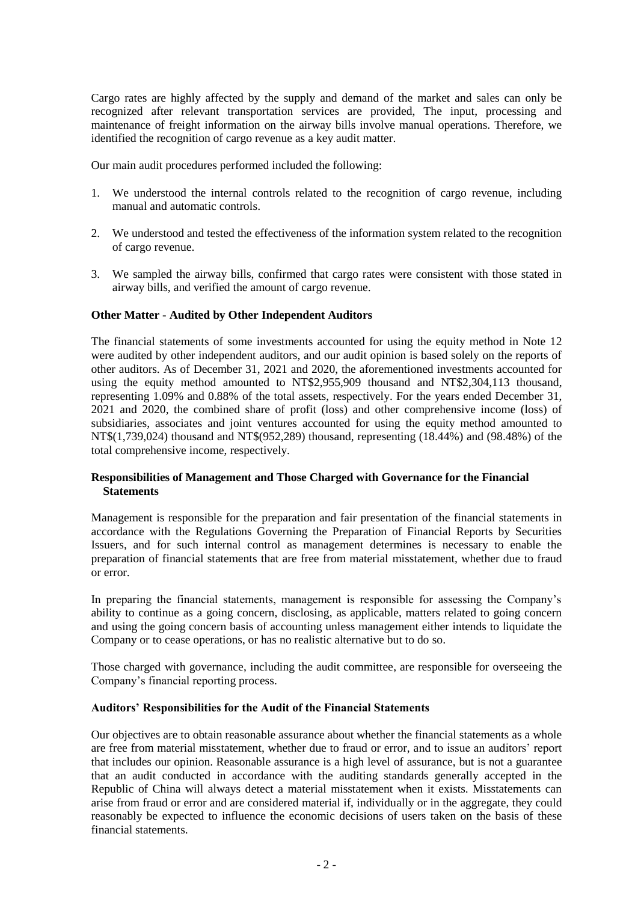Cargo rates are highly affected by the supply and demand of the market and sales can only be recognized after relevant transportation services are provided, The input, processing and maintenance of freight information on the airway bills involve manual operations. Therefore, we identified the recognition of cargo revenue as a key audit matter.

Our main audit procedures performed included the following:

- 1. We understood the internal controls related to the recognition of cargo revenue, including manual and automatic controls.
- 2. We understood and tested the effectiveness of the information system related to the recognition of cargo revenue.
- 3. We sampled the airway bills, confirmed that cargo rates were consistent with those stated in airway bills, and verified the amount of cargo revenue.

#### **Other Matter - Audited by Other Independent Auditors**

The financial statements of some investments accounted for using the equity method in Note 12 were audited by other independent auditors, and our audit opinion is based solely on the reports of other auditors. As of December 31, 2021 and 2020, the aforementioned investments accounted for using the equity method amounted to NT\$2,955,909 thousand and NT\$2,304,113 thousand, representing 1.09% and 0.88% of the total assets, respectively. For the years ended December 31, 2021 and 2020, the combined share of profit (loss) and other comprehensive income (loss) of subsidiaries, associates and joint ventures accounted for using the equity method amounted to NT\$(1,739,024) thousand and NT\$(952,289) thousand, representing (18.44%) and (98.48%) of the total comprehensive income, respectively.

#### **Responsibilities of Management and Those Charged with Governance for the Financial Statements**

Management is responsible for the preparation and fair presentation of the financial statements in accordance with the Regulations Governing the Preparation of Financial Reports by Securities Issuers, and for such internal control as management determines is necessary to enable the preparation of financial statements that are free from material misstatement, whether due to fraud or error.

In preparing the financial statements, management is responsible for assessing the Company's ability to continue as a going concern, disclosing, as applicable, matters related to going concern and using the going concern basis of accounting unless management either intends to liquidate the Company or to cease operations, or has no realistic alternative but to do so.

Those charged with governance, including the audit committee, are responsible for overseeing the Company's financial reporting process.

#### **Auditors' Responsibilities for the Audit of the Financial Statements**

Our objectives are to obtain reasonable assurance about whether the financial statements as a whole are free from material misstatement, whether due to fraud or error, and to issue an auditors' report that includes our opinion. Reasonable assurance is a high level of assurance, but is not a guarantee that an audit conducted in accordance with the auditing standards generally accepted in the Republic of China will always detect a material misstatement when it exists. Misstatements can arise from fraud or error and are considered material if, individually or in the aggregate, they could reasonably be expected to influence the economic decisions of users taken on the basis of these financial statements.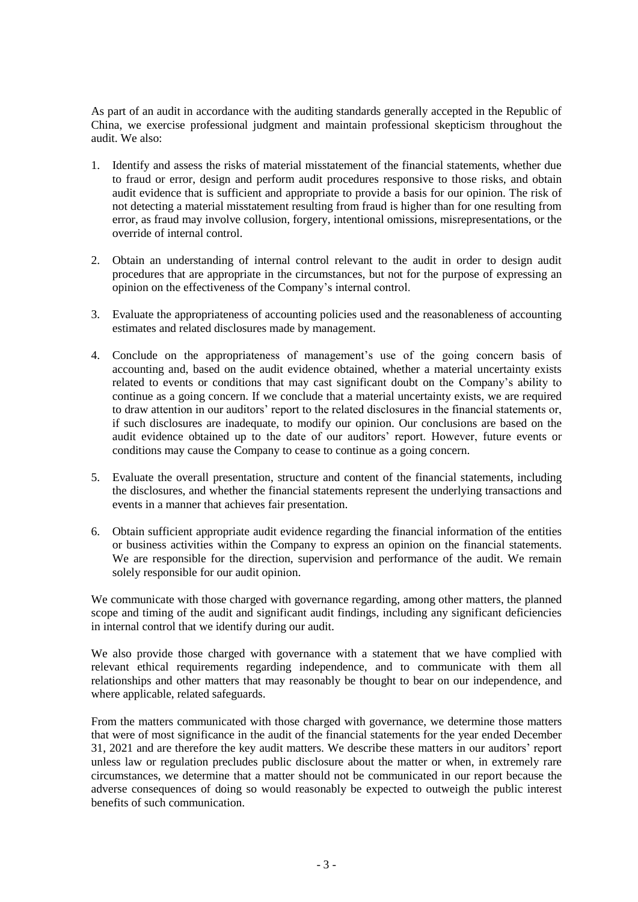As part of an audit in accordance with the auditing standards generally accepted in the Republic of China, we exercise professional judgment and maintain professional skepticism throughout the audit. We also:

- 1. Identify and assess the risks of material misstatement of the financial statements, whether due to fraud or error, design and perform audit procedures responsive to those risks, and obtain audit evidence that is sufficient and appropriate to provide a basis for our opinion. The risk of not detecting a material misstatement resulting from fraud is higher than for one resulting from error, as fraud may involve collusion, forgery, intentional omissions, misrepresentations, or the override of internal control.
- 2. Obtain an understanding of internal control relevant to the audit in order to design audit procedures that are appropriate in the circumstances, but not for the purpose of expressing an opinion on the effectiveness of the Company's internal control.
- 3. Evaluate the appropriateness of accounting policies used and the reasonableness of accounting estimates and related disclosures made by management.
- 4. Conclude on the appropriateness of management's use of the going concern basis of accounting and, based on the audit evidence obtained, whether a material uncertainty exists related to events or conditions that may cast significant doubt on the Company's ability to continue as a going concern. If we conclude that a material uncertainty exists, we are required to draw attention in our auditors' report to the related disclosures in the financial statements or, if such disclosures are inadequate, to modify our opinion. Our conclusions are based on the audit evidence obtained up to the date of our auditors' report. However, future events or conditions may cause the Company to cease to continue as a going concern.
- 5. Evaluate the overall presentation, structure and content of the financial statements, including the disclosures, and whether the financial statements represent the underlying transactions and events in a manner that achieves fair presentation.
- 6. Obtain sufficient appropriate audit evidence regarding the financial information of the entities or business activities within the Company to express an opinion on the financial statements. We are responsible for the direction, supervision and performance of the audit. We remain solely responsible for our audit opinion.

We communicate with those charged with governance regarding, among other matters, the planned scope and timing of the audit and significant audit findings, including any significant deficiencies in internal control that we identify during our audit.

We also provide those charged with governance with a statement that we have complied with relevant ethical requirements regarding independence, and to communicate with them all relationships and other matters that may reasonably be thought to bear on our independence, and where applicable, related safeguards.

From the matters communicated with those charged with governance, we determine those matters that were of most significance in the audit of the financial statements for the year ended December 31, 2021 and are therefore the key audit matters. We describe these matters in our auditors' report unless law or regulation precludes public disclosure about the matter or when, in extremely rare circumstances, we determine that a matter should not be communicated in our report because the adverse consequences of doing so would reasonably be expected to outweigh the public interest benefits of such communication.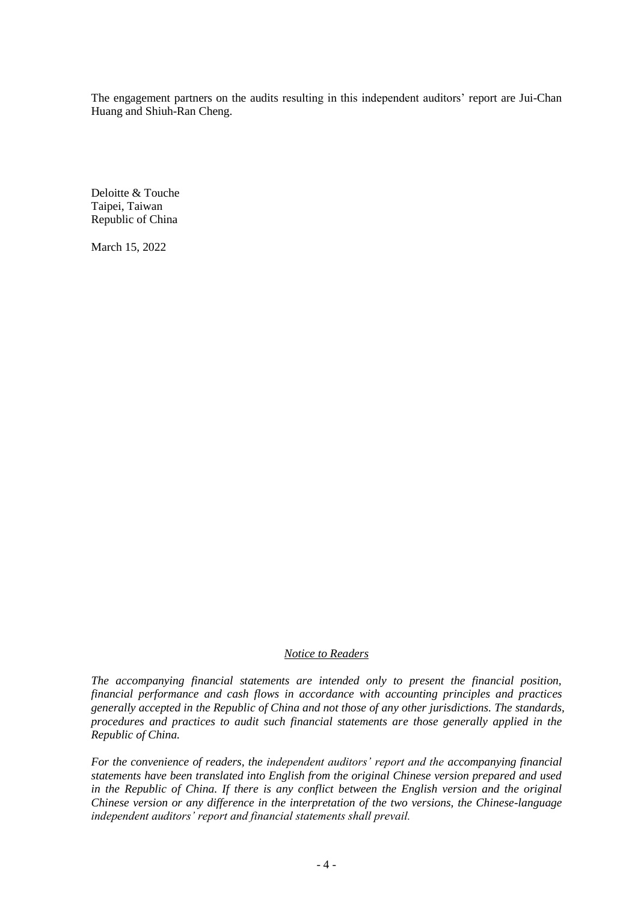The engagement partners on the audits resulting in this independent auditors' report are Jui-Chan Huang and Shiuh-Ran Cheng.

Deloitte & Touche Taipei, Taiwan Republic of China

March 15, 2022

#### *Notice to Readers*

*The accompanying financial statements are intended only to present the financial position, financial performance and cash flows in accordance with accounting principles and practices generally accepted in the Republic of China and not those of any other jurisdictions. The standards, procedures and practices to audit such financial statements are those generally applied in the Republic of China.* 

*For the convenience of readers, the independent auditors' report and the accompanying financial statements have been translated into English from the original Chinese version prepared and used in the Republic of China. If there is any conflict between the English version and the original Chinese version or any difference in the interpretation of the two versions, the Chinese-language independent auditors' report and financial statements shall prevail.*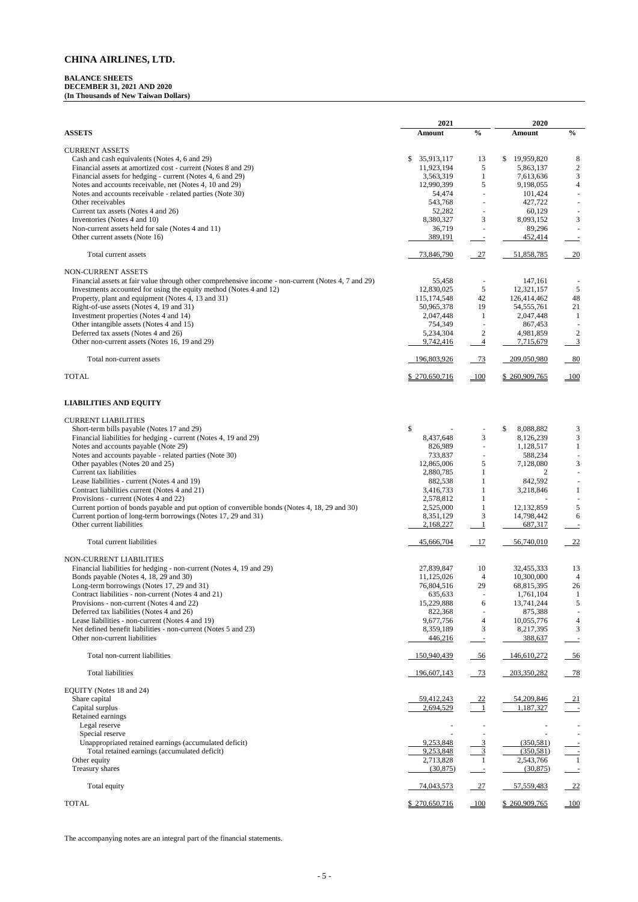#### **BALANCE SHEETS DECEMBER 31, 2021 AND 2020**

## **(In Thousands of New Taiwan Dollars)**

|                                                                                                                       | 2021              |                          |                     | 2020                |  |  |
|-----------------------------------------------------------------------------------------------------------------------|-------------------|--------------------------|---------------------|---------------------|--|--|
| <b>ASSETS</b>                                                                                                         | Amount            | $\frac{0}{0}$            | <b>Amount</b>       | $\frac{6}{6}$       |  |  |
| <b>CURRENT ASSETS</b>                                                                                                 |                   |                          |                     |                     |  |  |
| Cash and cash equivalents (Notes 4, 6 and 29)                                                                         | 35,913,117<br>S.  | 13                       | 19,959,820<br>S.    |                     |  |  |
| Financial assets at amortized cost - current (Notes 8 and 29)                                                         | 11,923,194        |                          | 5,863,137           | 8<br>$\mathbf{2}$   |  |  |
|                                                                                                                       | 3,563,319         | 5                        | 7,613,636           |                     |  |  |
| Financial assets for hedging - current (Notes 4, 6 and 29)<br>Notes and accounts receivable, net (Notes 4, 10 and 29) | 12,990,399        | 1<br>5                   | 9,198,055           | $\mathfrak{Z}$<br>4 |  |  |
| Notes and accounts receivable - related parties (Note 30)                                                             |                   |                          |                     |                     |  |  |
|                                                                                                                       | 54,474            |                          | 101,424             |                     |  |  |
| Other receivables                                                                                                     | 543,768           |                          | 427,722             |                     |  |  |
| Current tax assets (Notes 4 and 26)                                                                                   | 52,282            |                          | 60,129<br>8,093,152 |                     |  |  |
| Inventories (Notes 4 and 10)                                                                                          | 8,380,327         | 3                        |                     | 3                   |  |  |
| Non-current assets held for sale (Notes 4 and 11)<br>Other current assets (Note 16)                                   | 36,719<br>389,191 |                          | 89,296<br>452,414   |                     |  |  |
|                                                                                                                       |                   | $\overline{\phantom{a}}$ |                     |                     |  |  |
| Total current assets                                                                                                  | 73,846,790        | $\frac{27}{2}$           | 51,858,785          | $\overline{20}$     |  |  |
| NON-CURRENT ASSETS                                                                                                    |                   |                          |                     |                     |  |  |
| Financial assets at fair value through other comprehensive income - non-current (Notes 4, 7 and 29)                   | 55,458            |                          | 147,161             |                     |  |  |
| Investments accounted for using the equity method (Notes 4 and 12)                                                    | 12,830,025        | 5                        | 12,321,157          | 5                   |  |  |
| Property, plant and equipment (Notes 4, 13 and 31)                                                                    | 115,174,548       | 42                       | 126,414,462         | $\sqrt{48}$         |  |  |
| Right-of-use assets (Notes 4, 19 and 31)                                                                              | 50,965,378        | 19                       | 54, 555, 761        | 21                  |  |  |
| Investment properties (Notes 4 and 14)                                                                                | 2,047,448         | 1                        | 2,047,448           | -1                  |  |  |
| Other intangible assets (Notes 4 and 15)                                                                              | 754,349           |                          | 867,453             |                     |  |  |
| Deferred tax assets (Notes 4 and 26)                                                                                  | 5,234,304         | $\overline{c}$           | 4,981,859           | 2                   |  |  |
| Other non-current assets (Notes 16, 19 and 29)                                                                        | 9,742,416         | $\overline{4}$           | 7,715,679           | $\overline{3}$      |  |  |
| Total non-current assets                                                                                              | 196,803,926       | 73                       | 209,050,980         | - 80                |  |  |
| <b>TOTAL</b>                                                                                                          | \$270,650,716     | 100                      | \$260,909,765       | 100                 |  |  |
| <b>LIABILITIES AND EQUITY</b>                                                                                         |                   |                          |                     |                     |  |  |
|                                                                                                                       |                   |                          |                     |                     |  |  |
| <b>CURRENT LIABILITIES</b>                                                                                            |                   |                          |                     |                     |  |  |
| Short-term bills payable (Notes 17 and 29)                                                                            | \$                |                          | \$<br>8,088,882     | 3                   |  |  |
| Financial liabilities for hedging - current (Notes 4, 19 and 29)                                                      | 8,437,648         | $\mathfrak{Z}$           | 8,126,239           | $\mathfrak{Z}$      |  |  |
| Notes and accounts payable (Note 29)                                                                                  | 826,989           |                          | 1,128,517           | 1                   |  |  |
| Notes and accounts payable - related parties (Note 30)                                                                | 733,837           |                          | 588,234             |                     |  |  |
| Other payables (Notes 20 and 25)                                                                                      | 12,865,006        | 5                        | 7,128,080           | 3                   |  |  |
| Current tax liabilities                                                                                               | 2,880,785         |                          | 2                   |                     |  |  |
| Lease liabilities - current (Notes 4 and 19)                                                                          | 882,538           |                          | 842,592             |                     |  |  |
| Contract liabilities current (Notes 4 and 21)                                                                         | 3,416,733         |                          | 3,218,846           |                     |  |  |
| Provisions - current (Notes 4 and 22)                                                                                 | 2,578,812         |                          |                     |                     |  |  |
| Current portion of bonds payable and put option of convertible bonds (Notes 4, 18, 29 and 30)                         | 2,525,000         |                          | 12,132,859          | 5                   |  |  |
| Current portion of long-term borrowings (Notes 17, 29 and 31)                                                         | 8,351,129         | 3                        | 14,798,442          | 6                   |  |  |
| Other current liabilities                                                                                             | 2,168,227         |                          | 687,317             |                     |  |  |
| Total current liabilities                                                                                             | 45,666,704        | -17                      | 56,740,010          | 22                  |  |  |
| NON-CURRENT LIABILITIES                                                                                               |                   |                          |                     |                     |  |  |
| Financial liabilities for hedging - non-current (Notes 4, 19 and 29)                                                  | 27,839,847        | 10                       | 32,455,333          | 13                  |  |  |
| Bonds payable (Notes 4, 18, 29 and 30)                                                                                | 11,125,026        | 4                        | 10,300,000          | 4                   |  |  |
| Long-term borrowings (Notes 17, 29 and 31)                                                                            | 76,804,516        | 29                       | 68,815,395          | 26                  |  |  |
| Contract liabilities - non-current (Notes 4 and 21)                                                                   | 635,633           | $\overline{\phantom{a}}$ | 1,761,104           | -1                  |  |  |
| Provisions - non-current (Notes 4 and 22)                                                                             | 15,229,888        | 6                        | 13,741,244          | 5                   |  |  |
| Deferred tax liabilities (Notes 4 and 26)                                                                             | 822,368           |                          | 875,388             |                     |  |  |
| Lease liabilities - non-current (Notes 4 and 19)                                                                      | 9,677,756         | 4                        | 10,055,776          | 4                   |  |  |
| Net defined benefit liabilities - non-current (Notes 5 and 23)                                                        | 8,359,189         | 3                        | 8,217,395           | 3                   |  |  |
| Other non-current liabilities                                                                                         | 446,216           | $\overline{a}$           | 388,637             |                     |  |  |
|                                                                                                                       |                   |                          |                     |                     |  |  |
| Total non-current liabilities                                                                                         | 150,940,439       | $-56$                    | 146,610,272         | 56                  |  |  |
| <b>Total liabilities</b>                                                                                              | 196,607,143       | 73                       | 203,350,282         | 78                  |  |  |

| EQUITY (Notes 18 and 24)                               |               |             |               |                      |
|--------------------------------------------------------|---------------|-------------|---------------|----------------------|
| Share capital                                          | 59,412,243    | $\sqrt{22}$ | 54,209,846    | $\sqrt{21}$          |
| Capital surplus                                        | 2,694,529     |             | 1,187,327     |                      |
| Retained earnings                                      |               |             |               |                      |
| Legal reserve                                          |               |             |               |                      |
| Special reserve                                        |               |             |               |                      |
| Unappropriated retained earnings (accumulated deficit) | 9,253,848     |             | (350, 581)    |                      |
| Total retained earnings (accumulated deficit)          | 9,253,848     |             | (350, 581)    | $\sim 100$ m $^{-1}$ |
| Other equity                                           | 2,713,828     |             | 2,543,766     |                      |
| Treasury shares                                        | (30, 875)     |             | (30, 875)     |                      |
| Total equity                                           | 74,043,573    | 27          | 57, 559, 483  | 22                   |
| TOTAL                                                  | \$270,650,716 | 100         | \$260,909,765 | 100                  |
|                                                        |               |             |               |                      |

The accompanying notes are an integral part of the financial statements.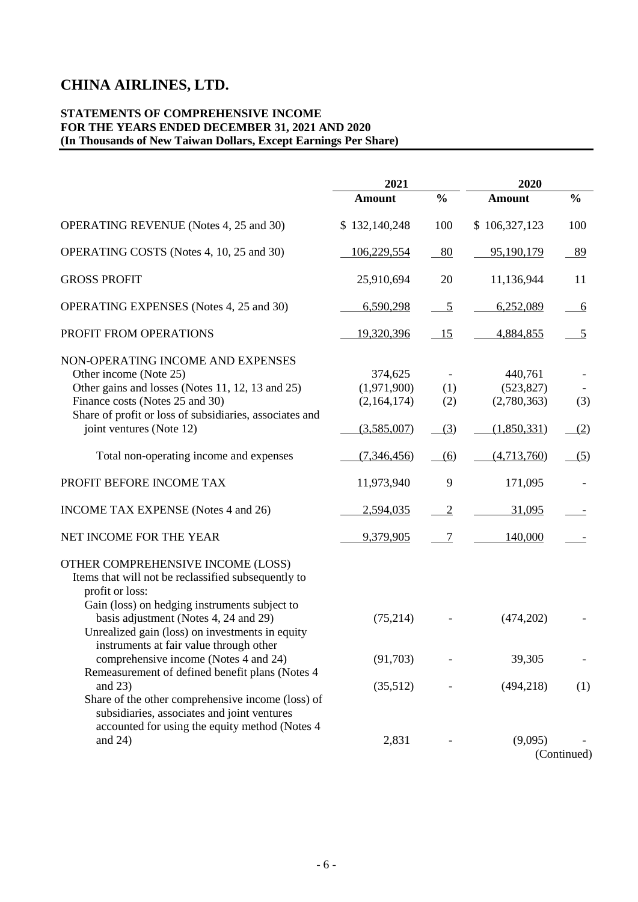## **STATEMENTS OF COMPREHENSIVE INCOME FOR THE YEARS ENDED DECEMBER 31, 2021 AND 2020 (In Thousands of New Taiwan Dollars, Except Earnings Per Share)**

|                                                                                                                                                                                                                                                          | 2021                                                 |                   | 2020                                                |                |  |
|----------------------------------------------------------------------------------------------------------------------------------------------------------------------------------------------------------------------------------------------------------|------------------------------------------------------|-------------------|-----------------------------------------------------|----------------|--|
|                                                                                                                                                                                                                                                          | <b>Amount</b>                                        | $\frac{0}{0}$     | <b>Amount</b>                                       | $\frac{0}{0}$  |  |
| <b>OPERATING REVENUE</b> (Notes 4, 25 and 30)                                                                                                                                                                                                            | \$132,140,248                                        | 100               | \$106,327,123                                       | 100            |  |
| OPERATING COSTS (Notes 4, 10, 25 and 30)                                                                                                                                                                                                                 | 106,229,554                                          | 80                | 95,190,179                                          | 89             |  |
| <b>GROSS PROFIT</b>                                                                                                                                                                                                                                      | 25,910,694                                           | 20                | 11,136,944                                          | 11             |  |
| <b>OPERATING EXPENSES</b> (Notes 4, 25 and 30)                                                                                                                                                                                                           | 6,590,298                                            | $\overline{5}$    | 6,252,089                                           | <u>6</u>       |  |
| PROFIT FROM OPERATIONS                                                                                                                                                                                                                                   | 19,320,396                                           | 15                | 4,884,855                                           | $\overline{5}$ |  |
| NON-OPERATING INCOME AND EXPENSES<br>Other income (Note 25)<br>Other gains and losses (Notes 11, 12, 13 and 25)<br>Finance costs (Notes 25 and 30)<br>Share of profit or loss of subsidiaries, associates and<br>joint ventures (Note 12)                | 374,625<br>(1,971,900)<br>(2,164,174)<br>(3,585,007) | (1)<br>(2)<br>(3) | 440,761<br>(523, 827)<br>(2,780,363)<br>(1,850,331) | (3)<br>(2)     |  |
| Total non-operating income and expenses                                                                                                                                                                                                                  | (7,346,456)                                          | (6)               | (4,713,760)                                         | (5)            |  |
| PROFIT BEFORE INCOME TAX                                                                                                                                                                                                                                 | 11,973,940                                           | 9                 | 171,095                                             |                |  |
| INCOME TAX EXPENSE (Notes 4 and 26)                                                                                                                                                                                                                      | 2,594,035                                            | $\overline{2}$    | 31,095                                              |                |  |
| NET INCOME FOR THE YEAR                                                                                                                                                                                                                                  | 9,379,905                                            | 7                 | 140,000                                             |                |  |
| OTHER COMPREHENSIVE INCOME (LOSS)<br>Items that will not be reclassified subsequently to<br>profit or loss:<br>Gain (loss) on hedging instruments subject to<br>basis adjustment (Notes 4, 24 and 29)<br>Unrealized gain (loss) on investments in equity | (75, 214)                                            |                   | (474, 202)                                          |                |  |
| instruments at fair value through other<br>comprehensive income (Notes 4 and 24)<br>Remeasurement of defined benefit plans (Notes 4                                                                                                                      | (91,703)                                             |                   | 39,305                                              |                |  |
| and $23$ )<br>Share of the other comprehensive income (loss) of<br>subsidiaries, associates and joint ventures                                                                                                                                           | (35,512)                                             |                   | (494, 218)                                          | (1)            |  |
| accounted for using the equity method (Notes 4<br>and $24)$                                                                                                                                                                                              | 2,831                                                |                   | (9,095)                                             | (Continued)    |  |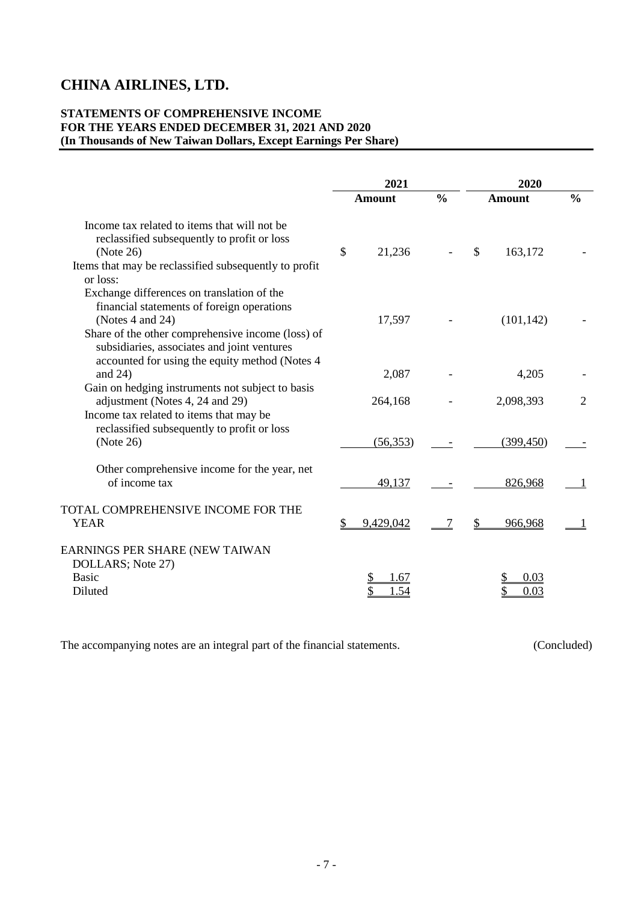## **STATEMENTS OF COMPREHENSIVE INCOME FOR THE YEARS ENDED DECEMBER 31, 2021 AND 2020 (In Thousands of New Taiwan Dollars, Except Earnings Per Share)**

|                                                                                                                                                                                                                  | 2021 |               |               | 2020 |               |               |  |
|------------------------------------------------------------------------------------------------------------------------------------------------------------------------------------------------------------------|------|---------------|---------------|------|---------------|---------------|--|
|                                                                                                                                                                                                                  |      | <b>Amount</b> | $\frac{0}{0}$ |      | <b>Amount</b> | $\frac{0}{0}$ |  |
| Income tax related to items that will not be<br>reclassified subsequently to profit or loss<br>(Note 26)                                                                                                         | \$   | 21,236        |               | \$   | 163,172       |               |  |
| Items that may be reclassified subsequently to profit<br>or loss:                                                                                                                                                |      |               |               |      |               |               |  |
| Exchange differences on translation of the<br>financial statements of foreign operations<br>(Notes 4 and 24)<br>Share of the other comprehensive income (loss) of<br>subsidiaries, associates and joint ventures |      | 17,597        |               |      | (101, 142)    |               |  |
| accounted for using the equity method (Notes 4<br>and $24$ )                                                                                                                                                     |      | 2,087         |               |      | 4,205         |               |  |
| Gain on hedging instruments not subject to basis<br>adjustment (Notes 4, 24 and 29)                                                                                                                              |      | 264,168       |               |      | 2,098,393     | 2             |  |
| Income tax related to items that may be<br>reclassified subsequently to profit or loss<br>(Note 26)                                                                                                              |      | (56, 353)     |               |      | (399, 450)    |               |  |
| Other comprehensive income for the year, net<br>of income tax                                                                                                                                                    |      | 49,137        |               |      | 826,968       |               |  |
| TOTAL COMPREHENSIVE INCOME FOR THE<br><b>YEAR</b>                                                                                                                                                                |      | 9,429,042     |               |      | 966,968       |               |  |
| EARNINGS PER SHARE (NEW TAIWAN<br>DOLLARS; Note 27)<br>Basic                                                                                                                                                     |      | .67           |               |      | 0.03          |               |  |
| Diluted                                                                                                                                                                                                          |      | .54           |               |      | 0.03          |               |  |
|                                                                                                                                                                                                                  |      |               |               |      |               |               |  |

The accompanying notes are an integral part of the financial statements. (Concluded)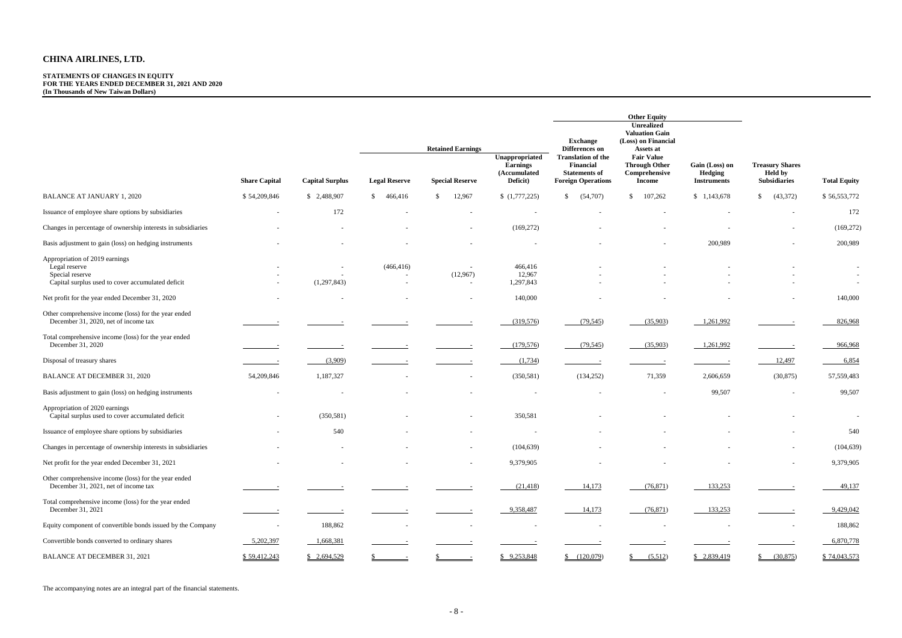#### **STATEMENTS OF CHANGES IN EQUITY FOR THE YEARS ENDED DECEMBER 31, 2021 AND 2020 (In Thousands of New Taiwan Dollars)**

| Gain (Loss) on<br><b>Hedging</b><br><b>Instruments</b> | <b>Treasury Shares</b><br><b>Held by</b><br><b>Subsidiaries</b> |              |
|--------------------------------------------------------|-----------------------------------------------------------------|--------------|
| \$<br>1,143,678                                        | \$<br>(43, 372)                                                 | \$56,553,772 |
|                                                        |                                                                 | 172          |
|                                                        |                                                                 | (169, 272)   |
| 200,989                                                |                                                                 | 200,989      |
|                                                        |                                                                 |              |
|                                                        |                                                                 |              |
|                                                        |                                                                 |              |
|                                                        |                                                                 | 140,000      |
| 1,261,992                                              |                                                                 | 826,968      |
| 1,261,992                                              |                                                                 | 966,968      |
|                                                        | 12,497                                                          | 6,854        |
| 2,606,659                                              | (30, 875)                                                       | 57,559,483   |
| 99,507                                                 |                                                                 | 99,507       |
|                                                        |                                                                 |              |
|                                                        |                                                                 | 540          |
|                                                        |                                                                 | (104, 639)   |
|                                                        |                                                                 | 9,379,905    |
| 133,253                                                |                                                                 | 49,137       |
| <u>133,253</u>                                         |                                                                 | 9,429,042    |
|                                                        |                                                                 | 188,862      |
|                                                        |                                                                 | 6,870,778    |
| \$ 2,839,419                                           | \$ (30,875)                                                     | \$74,043,573 |

|                                                                                                                         |                          |                          |                      | <b>Retained Earnings</b> |                                                               | <b>Exchange</b><br>Differences on                                                           | <b>Other Equity</b><br>Unrealized<br><b>Valuation Gain</b><br>(Loss) on Financial<br>Assets at |                                                        |                                                                 |                                                                                  |
|-------------------------------------------------------------------------------------------------------------------------|--------------------------|--------------------------|----------------------|--------------------------|---------------------------------------------------------------|---------------------------------------------------------------------------------------------|------------------------------------------------------------------------------------------------|--------------------------------------------------------|-----------------------------------------------------------------|----------------------------------------------------------------------------------|
|                                                                                                                         | <b>Share Capital</b>     | <b>Capital Surplus</b>   | <b>Legal Reserve</b> | <b>Special Reserve</b>   | Unappropriated<br><b>Earnings</b><br>(Accumulated<br>Deficit) | <b>Translation of the</b><br>Financial<br><b>Statements of</b><br><b>Foreign Operations</b> | <b>Fair Value</b><br><b>Through Other</b><br>Comprehensive<br><b>Income</b>                    | Gain (Loss) on<br><b>Hedging</b><br><b>Instruments</b> | <b>Treasury Shares</b><br><b>Held by</b><br><b>Subsidiaries</b> | <b>Total Equity</b>                                                              |
| <b>BALANCE AT JANUARY 1, 2020</b>                                                                                       | \$54,209,846             | \$2,488,907              | 466,416<br>\$        | 12,967<br><sup>\$</sup>  | (1,777,225)                                                   | (54,707)<br>$\mathbb{S}$                                                                    | 107,262<br><sup>\$</sup>                                                                       | \$1,143,678                                            | (43,372)<br><sup>\$</sup>                                       | \$56,553,772                                                                     |
| Issuance of employee share options by subsidiaries                                                                      |                          | 172                      |                      |                          |                                                               |                                                                                             |                                                                                                |                                                        |                                                                 | 172                                                                              |
| Changes in percentage of ownership interests in subsidiaries                                                            |                          |                          |                      |                          | (169,272)                                                     |                                                                                             |                                                                                                |                                                        |                                                                 | (169, 272)                                                                       |
| Basis adjustment to gain (loss) on hedging instruments                                                                  |                          |                          |                      |                          |                                                               |                                                                                             |                                                                                                | 200,989                                                |                                                                 | 200,989                                                                          |
| Appropriation of 2019 earnings<br>Legal reserve<br>Special reserve<br>Capital surplus used to cover accumulated deficit |                          | (1,297,843)              | (466, 416)           | (12,967)                 | 466,416<br>12,967<br>1,297,843                                |                                                                                             |                                                                                                |                                                        |                                                                 | $\overline{\phantom{a}}$<br>$\overline{\phantom{a}}$<br>$\overline{\phantom{a}}$ |
| Net profit for the year ended December 31, 2020                                                                         |                          |                          |                      |                          | 140,000                                                       |                                                                                             |                                                                                                |                                                        |                                                                 | 140,000                                                                          |
| Other comprehensive income (loss) for the year ended<br>December 31, 2020, net of income tax                            |                          |                          |                      |                          | (319,576)                                                     | (79, 545)                                                                                   | (35,903)                                                                                       | 1,261,992                                              |                                                                 | 826,968                                                                          |
| Total comprehensive income (loss) for the year ended<br>December 31, 2020                                               |                          |                          |                      |                          | (179,576)                                                     | (79, 545)                                                                                   | (35,903)                                                                                       | 1,261,992                                              |                                                                 | 966,968                                                                          |
| Disposal of treasury shares                                                                                             |                          | (3,909)                  |                      |                          | (1,734)                                                       |                                                                                             |                                                                                                |                                                        | 12,497                                                          | 6,854                                                                            |
| <b>BALANCE AT DECEMBER 31, 2020</b>                                                                                     | 54,209,846               | 1,187,327                |                      | $\overline{\phantom{a}}$ | (350, 581)                                                    | (134, 252)                                                                                  | 71,359                                                                                         | 2,606,659                                              | (30, 875)                                                       | 57,559,483                                                                       |
| Basis adjustment to gain (loss) on hedging instruments                                                                  |                          |                          |                      |                          |                                                               |                                                                                             |                                                                                                | 99,507                                                 |                                                                 | 99,507                                                                           |
| Appropriation of 2020 earnings<br>Capital surplus used to cover accumulated deficit                                     |                          | (350, 581)               |                      |                          | 350,581                                                       |                                                                                             |                                                                                                |                                                        |                                                                 |                                                                                  |
| Issuance of employee share options by subsidiaries                                                                      |                          | 540                      |                      |                          |                                                               |                                                                                             |                                                                                                |                                                        |                                                                 | 540                                                                              |
| Changes in percentage of ownership interests in subsidiaries                                                            |                          | $\overline{\phantom{a}}$ |                      | $ \,$                    | (104, 639)                                                    | $\overline{\phantom{a}}$                                                                    | $\overline{\phantom{a}}$                                                                       | $\overline{\phantom{a}}$                               | $\overline{\phantom{a}}$                                        | (104, 639)                                                                       |
| Net profit for the year ended December 31, 2021                                                                         |                          |                          |                      | $\overline{\phantom{a}}$ | 9,379,905                                                     |                                                                                             |                                                                                                |                                                        | $-$                                                             | 9,379,905                                                                        |
| Other comprehensive income (loss) for the year ended<br>December 31, 2021, net of income tax                            |                          |                          |                      |                          | (21, 418)                                                     | 14,173                                                                                      | (76, 871)                                                                                      | 133,253                                                |                                                                 | 49,137                                                                           |
| Total comprehensive income (loss) for the year ended<br>December 31, 2021                                               |                          |                          |                      |                          | 9,358,487                                                     | 14,173                                                                                      | (76,871)                                                                                       | 133,253                                                |                                                                 | 9,429,042                                                                        |
| Equity component of convertible bonds issued by the Company                                                             | $\overline{\phantom{a}}$ | 188,862                  |                      |                          |                                                               |                                                                                             |                                                                                                |                                                        | $\overline{\phantom{a}}$                                        | 188,862                                                                          |
| Convertible bonds converted to ordinary shares                                                                          | 5,202,397                | 1,668,381                |                      |                          |                                                               |                                                                                             |                                                                                                |                                                        |                                                                 | 6,870,778                                                                        |
| <b>BALANCE AT DECEMBER 31, 2021</b>                                                                                     | \$59,412,243             | \$2,694,529              |                      |                          | \$9,253,848                                                   | $\frac{\$ (120,079)}{}$                                                                     | (5,512)<br>$\mathbb{S}$                                                                        | \$2,839,419                                            | (30,875)<br><sup>\$</sup>                                       | \$74,043,573                                                                     |

The accompanying notes are an integral part of the financial statements.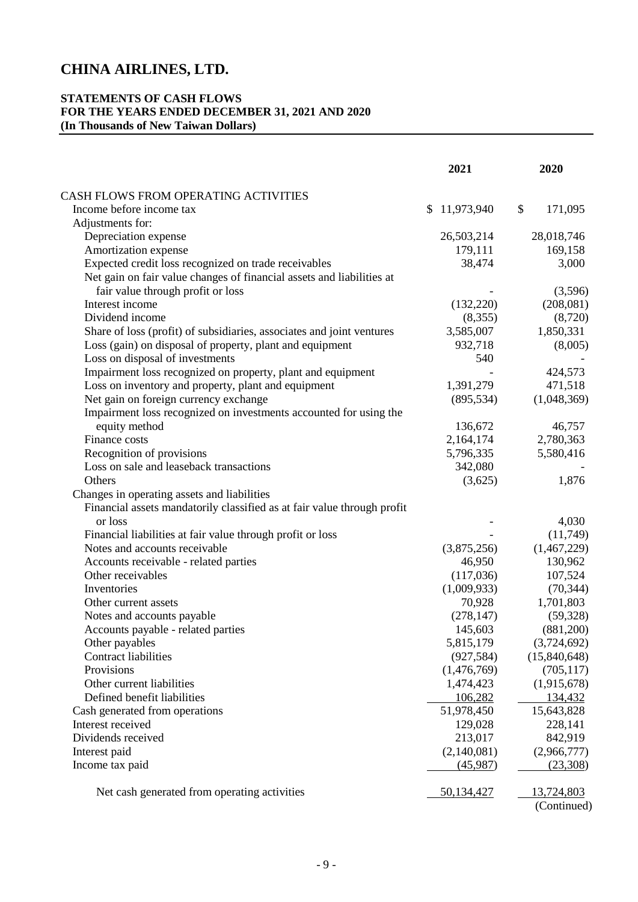## **STATEMENTS OF CASH FLOWS FOR THE YEARS ENDED DECEMBER 31, 2021 AND 2020 (In Thousands of New Taiwan Dollars)**

|                                                                         | 2021                       | 2020          |
|-------------------------------------------------------------------------|----------------------------|---------------|
| CASH FLOWS FROM OPERATING ACTIVITIES                                    |                            |               |
| Income before income tax                                                | 11,973,940<br>$\mathbb{S}$ | \$<br>171,095 |
| Adjustments for:                                                        |                            |               |
| Depreciation expense                                                    | 26,503,214                 | 28,018,746    |
| Amortization expense                                                    | 179,111                    | 169,158       |
| Expected credit loss recognized on trade receivables                    | 38,474                     | 3,000         |
| Net gain on fair value changes of financial assets and liabilities at   |                            |               |
| fair value through profit or loss                                       |                            | (3,596)       |
| Interest income                                                         | (132,220)                  | (208, 081)    |
| Dividend income                                                         | (8,355)                    | (8,720)       |
| Share of loss (profit) of subsidiaries, associates and joint ventures   | 3,585,007                  | 1,850,331     |
| Loss (gain) on disposal of property, plant and equipment                | 932,718                    | (8,005)       |
| Loss on disposal of investments                                         | 540                        |               |
| Impairment loss recognized on property, plant and equipment             |                            | 424,573       |
| Loss on inventory and property, plant and equipment                     | 1,391,279                  | 471,518       |
| Net gain on foreign currency exchange                                   | (895, 534)                 | (1,048,369)   |
| Impairment loss recognized on investments accounted for using the       |                            |               |
| equity method                                                           | 136,672                    | 46,757        |
| Finance costs                                                           | 2,164,174                  | 2,780,363     |
| Recognition of provisions                                               | 5,796,335                  | 5,580,416     |
| Loss on sale and leaseback transactions                                 | 342,080                    |               |
| Others                                                                  | (3,625)                    | 1,876         |
| Changes in operating assets and liabilities                             |                            |               |
| Financial assets mandatorily classified as at fair value through profit |                            |               |
| or loss                                                                 |                            | 4,030         |
| Financial liabilities at fair value through profit or loss              |                            | (11,749)      |
| Notes and accounts receivable                                           | (3,875,256)                | (1,467,229)   |
| Accounts receivable - related parties                                   | 46,950                     | 130,962       |
| Other receivables                                                       | (117,036)                  | 107,524       |
| Inventories                                                             | (1,009,933)                | (70, 344)     |
| Other current assets                                                    | 70,928                     | 1,701,803     |
| Notes and accounts payable                                              | (278, 147)                 | (59, 328)     |
| Accounts payable - related parties                                      | 145,603                    | (881,200)     |
| Other payables                                                          | 5,815,179                  | (3,724,692)   |
| Contract liabilities                                                    | (927, 584)                 | (15,840,648)  |
| Provisions                                                              | (1,476,769)                | (705, 117)    |
| Other current liabilities                                               | 1,474,423                  | (1,915,678)   |
| Defined benefit liabilities                                             | 106,282                    | 134,432       |
| Cash generated from operations                                          | 51,978,450                 | 15,643,828    |
| Interest received                                                       | 129,028                    | 228,141       |
| Dividends received                                                      | 213,017                    | 842,919       |
| Interest paid                                                           | (2,140,081)                | (2,966,777)   |
| Income tax paid                                                         | (45,987)                   | (23,308)      |
|                                                                         |                            |               |
| Net cash generated from operating activities                            | 50,134,427                 | 13,724,803    |
|                                                                         |                            | (Continued)   |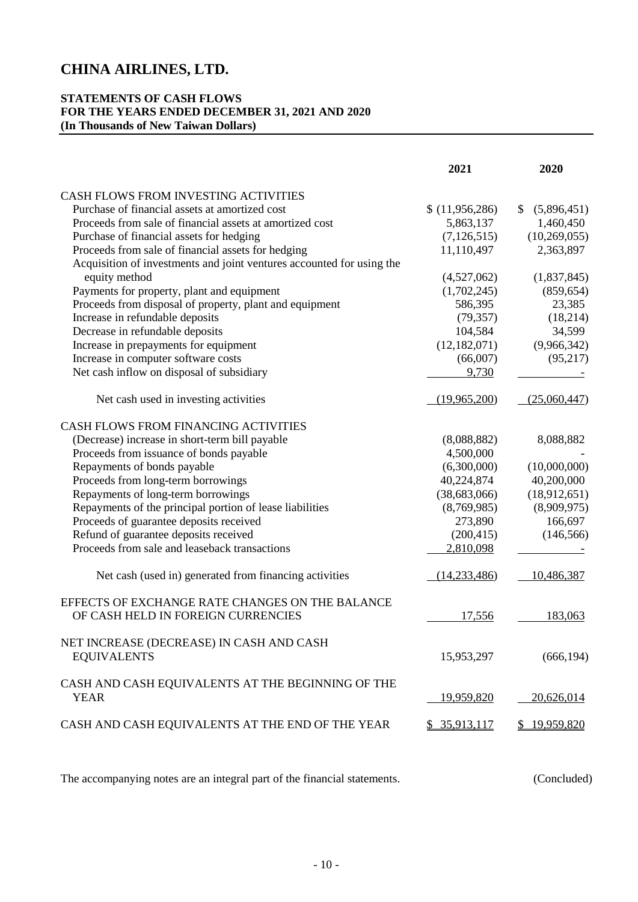## **STATEMENTS OF CASH FLOWS FOR THE YEARS ENDED DECEMBER 31, 2021 AND 2020 (In Thousands of New Taiwan Dollars)**

|                                                                                       | 2021           | 2020              |
|---------------------------------------------------------------------------------------|----------------|-------------------|
| CASH FLOWS FROM INVESTING ACTIVITIES                                                  |                |                   |
| Purchase of financial assets at amortized cost                                        | \$(11,956,286) | (5,896,451)<br>\$ |
| Proceeds from sale of financial assets at amortized cost                              | 5,863,137      | 1,460,450         |
| Purchase of financial assets for hedging                                              | (7, 126, 515)  | (10, 269, 055)    |
| Proceeds from sale of financial assets for hedging                                    | 11,110,497     | 2,363,897         |
| Acquisition of investments and joint ventures accounted for using the                 |                |                   |
| equity method                                                                         | (4,527,062)    | (1,837,845)       |
| Payments for property, plant and equipment                                            | (1,702,245)    | (859, 654)        |
| Proceeds from disposal of property, plant and equipment                               | 586,395        | 23,385            |
| Increase in refundable deposits                                                       | (79, 357)      | (18,214)          |
| Decrease in refundable deposits                                                       | 104,584        | 34,599            |
| Increase in prepayments for equipment                                                 | (12, 182, 071) | (9,966,342)       |
| Increase in computer software costs                                                   | (66,007)       | (95, 217)         |
| Net cash inflow on disposal of subsidiary                                             | 9,730          |                   |
| Net cash used in investing activities                                                 | (19,965,200)   | (25,060,447)      |
| CASH FLOWS FROM FINANCING ACTIVITIES                                                  |                |                   |
| (Decrease) increase in short-term bill payable                                        | (8,088,882)    | 8,088,882         |
| Proceeds from issuance of bonds payable                                               | 4,500,000      |                   |
| Repayments of bonds payable                                                           | (6,300,000)    | (10,000,000)      |
| Proceeds from long-term borrowings                                                    | 40,224,874     | 40,200,000        |
| Repayments of long-term borrowings                                                    | (38, 683, 066) | (18,912,651)      |
| Repayments of the principal portion of lease liabilities                              | (8,769,985)    | (8,909,975)       |
| Proceeds of guarantee deposits received                                               | 273,890        | 166,697           |
| Refund of guarantee deposits received                                                 | (200, 415)     | (146, 566)        |
| Proceeds from sale and leaseback transactions                                         | 2,810,098      |                   |
| Net cash (used in) generated from financing activities                                | (14, 233, 486) | 10,486,387        |
| EFFECTS OF EXCHANGE RATE CHANGES ON THE BALANCE<br>OF CASH HELD IN FOREIGN CURRENCIES | 17,556         | 183,063           |
| NET INCREASE (DECREASE) IN CASH AND CASH<br><b>EQUIVALENTS</b>                        | 15,953,297     | (666, 194)        |
| CASH AND CASH EQUIVALENTS AT THE BEGINNING OF THE<br><b>YEAR</b>                      | 19,959,820     | 20,626,014        |
| CASH AND CASH EQUIVALENTS AT THE END OF THE YEAR                                      | \$ 35,913,117  | \$19,959,820      |

The accompanying notes are an integral part of the financial statements. (Concluded)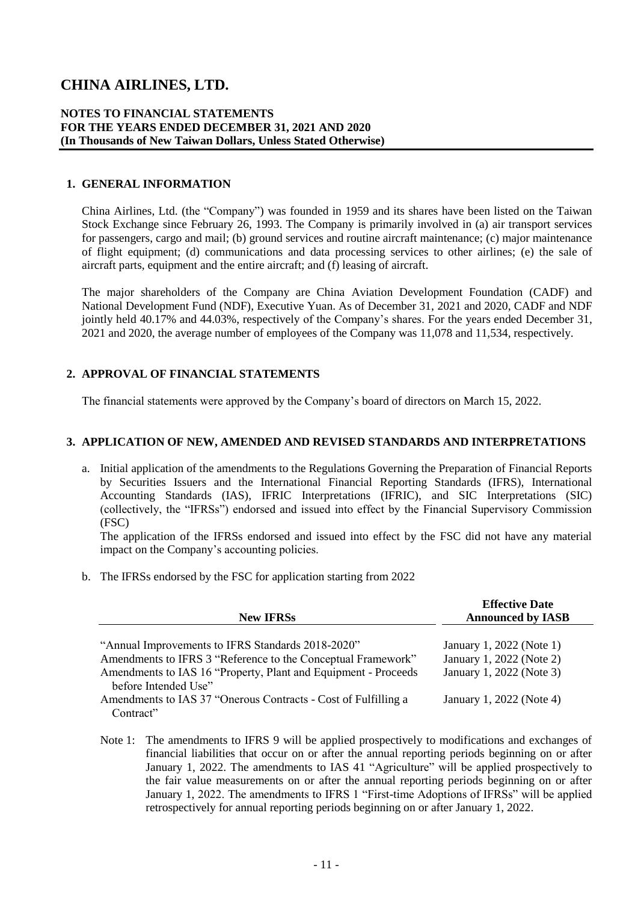### **NOTES TO FINANCIAL STATEMENTS FOR THE YEARS ENDED DECEMBER 31, 2021 AND 2020 (In Thousands of New Taiwan Dollars, Unless Stated Otherwise)**

#### **1. GENERAL INFORMATION**

China Airlines, Ltd. (the "Company") was founded in 1959 and its shares have been listed on the Taiwan Stock Exchange since February 26, 1993. The Company is primarily involved in (a) air transport services for passengers, cargo and mail; (b) ground services and routine aircraft maintenance; (c) major maintenance of flight equipment; (d) communications and data processing services to other airlines; (e) the sale of aircraft parts, equipment and the entire aircraft; and (f) leasing of aircraft.

The major shareholders of the Company are China Aviation Development Foundation (CADF) and National Development Fund (NDF), Executive Yuan. As of December 31, 2021 and 2020, CADF and NDF jointly held 40.17% and 44.03%, respectively of the Company's shares. For the years ended December 31, 2021 and 2020, the average number of employees of the Company was 11,078 and 11,534, respectively.

#### **2. APPROVAL OF FINANCIAL STATEMENTS**

The financial statements were approved by the Company's board of directors on March 15, 2022.

#### **3. APPLICATION OF NEW, AMENDED AND REVISED STANDARDS AND INTERPRETATIONS**

a. Initial application of the amendments to the Regulations Governing the Preparation of Financial Reports by Securities Issuers and the International Financial Reporting Standards (IFRS), International Accounting Standards (IAS), IFRIC Interpretations (IFRIC), and SIC Interpretations (SIC) (collectively, the "IFRSs") endorsed and issued into effect by the Financial Supervisory Commission (FSC)

The application of the IFRSs endorsed and issued into effect by the FSC did not have any material impact on the Company's accounting policies.

b. The IFRSs endorsed by the FSC for application starting from 2022

| <b>New IFRSs</b>                                                                                                                                       | <b>Effective Date</b><br><b>Announced by IASB</b>    |
|--------------------------------------------------------------------------------------------------------------------------------------------------------|------------------------------------------------------|
| "Annual Improvements to IFRS Standards 2018-2020"                                                                                                      | January 1, 2022 (Note 1)                             |
| Amendments to IFRS 3 "Reference to the Conceptual Framework"<br>Amendments to IAS 16 "Property, Plant and Equipment - Proceeds<br>before Intended Use" | January 1, 2022 (Note 2)<br>January 1, 2022 (Note 3) |
| Amendments to IAS 37 "Onerous Contracts - Cost of Fulfilling a<br>Contract"                                                                            | January 1, 2022 (Note 4)                             |

Note 1: The amendments to IFRS 9 will be applied prospectively to modifications and exchanges of financial liabilities that occur on or after the annual reporting periods beginning on or after January 1, 2022. The amendments to IAS 41 "Agriculture" will be applied prospectively to the fair value measurements on or after the annual reporting periods beginning on or after January 1, 2022. The amendments to IFRS 1 "First-time Adoptions of IFRSs" will be applied retrospectively for annual reporting periods beginning on or after January 1, 2022.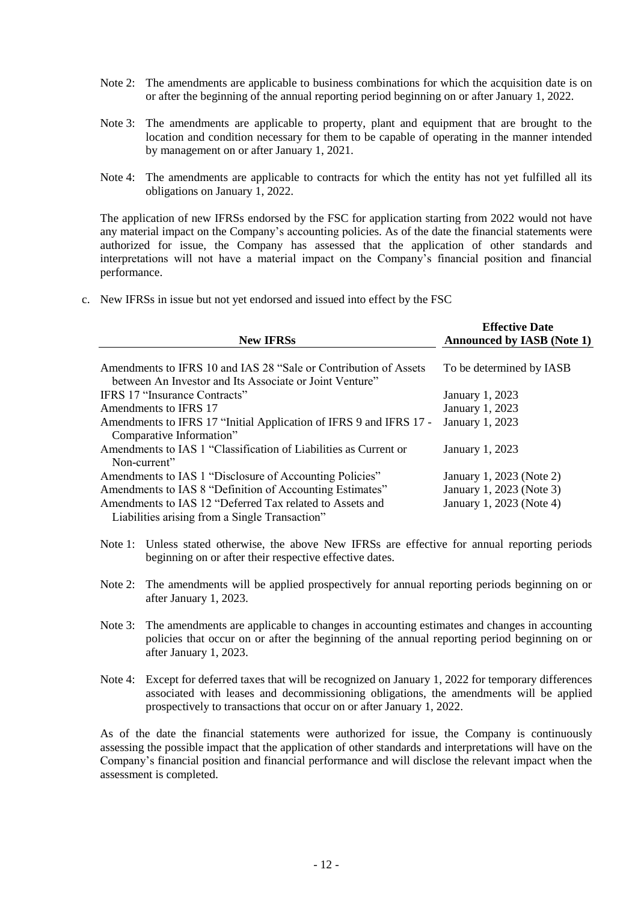- Note 2: The amendments are applicable to business combinations for which the acquisition date is on or after the beginning of the annual reporting period beginning on or after January 1, 2022.
- Note 3: The amendments are applicable to property, plant and equipment that are brought to the location and condition necessary for them to be capable of operating in the manner intended by management on or after January 1, 2021.
- Note 4: The amendments are applicable to contracts for which the entity has not yet fulfilled all its obligations on January 1, 2022.

The application of new IFRSs endorsed by the FSC for application starting from 2022 would not have any material impact on the Company's accounting policies. As of the date the financial statements were authorized for issue, the Company has assessed that the application of other standards and interpretations will not have a material impact on the Company's financial position and financial performance.

**Effective Date**

c. New IFRSs in issue but not yet endorsed and issued into effect by the FSC

|                                                                    | EARCHYC DAR                       |
|--------------------------------------------------------------------|-----------------------------------|
| <b>New IFRSs</b>                                                   | <b>Announced by IASB (Note 1)</b> |
|                                                                    |                                   |
| Amendments to IFRS 10 and IAS 28 "Sale or Contribution of Assets   | To be determined by IASB          |
| between An Investor and Its Associate or Joint Venture"            |                                   |
| <b>IFRS 17 "Insurance Contracts"</b>                               | January 1, 2023                   |
| Amendments to IFRS 17                                              | January 1, 2023                   |
| Amendments to IFRS 17 "Initial Application of IFRS 9 and IFRS 17 - | January 1, 2023                   |
| Comparative Information"                                           |                                   |
| Amendments to IAS 1 "Classification of Liabilities as Current or   | January 1, 2023                   |
| Non-current"                                                       |                                   |
| Amendments to IAS 1 "Disclosure of Accounting Policies"            | January 1, 2023 (Note 2)          |
| Amendments to IAS 8 "Definition of Accounting Estimates"           | January 1, 2023 (Note 3)          |
| Amendments to IAS 12 "Deferred Tax related to Assets and           | January 1, 2023 (Note 4)          |
| Liabilities arising from a Single Transaction"                     |                                   |

- Note 1: Unless stated otherwise, the above New IFRSs are effective for annual reporting periods beginning on or after their respective effective dates.
- Note 2: The amendments will be applied prospectively for annual reporting periods beginning on or after January 1, 2023.
- Note 3: The amendments are applicable to changes in accounting estimates and changes in accounting policies that occur on or after the beginning of the annual reporting period beginning on or after January 1, 2023.
- Note 4: Except for deferred taxes that will be recognized on January 1, 2022 for temporary differences associated with leases and decommissioning obligations, the amendments will be applied prospectively to transactions that occur on or after January 1, 2022.

As of the date the financial statements were authorized for issue, the Company is continuously assessing the possible impact that the application of other standards and interpretations will have on the Company's financial position and financial performance and will disclose the relevant impact when the assessment is completed.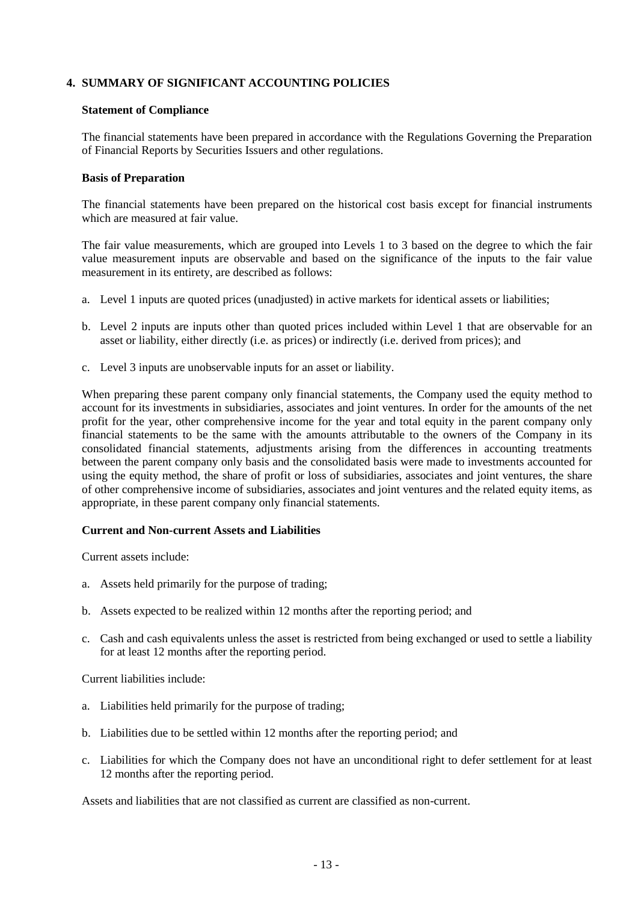## **4. SUMMARY OF SIGNIFICANT ACCOUNTING POLICIES**

#### **Statement of Compliance**

The financial statements have been prepared in accordance with the Regulations Governing the Preparation of Financial Reports by Securities Issuers and other regulations.

#### **Basis of Preparation**

The financial statements have been prepared on the historical cost basis except for financial instruments which are measured at fair value.

The fair value measurements, which are grouped into Levels 1 to 3 based on the degree to which the fair value measurement inputs are observable and based on the significance of the inputs to the fair value measurement in its entirety, are described as follows:

- a. Level 1 inputs are quoted prices (unadjusted) in active markets for identical assets or liabilities;
- b. Level 2 inputs are inputs other than quoted prices included within Level 1 that are observable for an asset or liability, either directly (i.e. as prices) or indirectly (i.e. derived from prices); and
- c. Level 3 inputs are unobservable inputs for an asset or liability.

When preparing these parent company only financial statements, the Company used the equity method to account for its investments in subsidiaries, associates and joint ventures. In order for the amounts of the net profit for the year, other comprehensive income for the year and total equity in the parent company only financial statements to be the same with the amounts attributable to the owners of the Company in its consolidated financial statements, adjustments arising from the differences in accounting treatments between the parent company only basis and the consolidated basis were made to investments accounted for using the equity method, the share of profit or loss of subsidiaries, associates and joint ventures, the share of other comprehensive income of subsidiaries, associates and joint ventures and the related equity items, as appropriate, in these parent company only financial statements.

#### **Current and Non-current Assets and Liabilities**

Current assets include:

- a. Assets held primarily for the purpose of trading;
- b. Assets expected to be realized within 12 months after the reporting period; and
- c. Cash and cash equivalents unless the asset is restricted from being exchanged or used to settle a liability for at least 12 months after the reporting period.

Current liabilities include:

- a. Liabilities held primarily for the purpose of trading;
- b. Liabilities due to be settled within 12 months after the reporting period; and
- c. Liabilities for which the Company does not have an unconditional right to defer settlement for at least 12 months after the reporting period.

Assets and liabilities that are not classified as current are classified as non-current.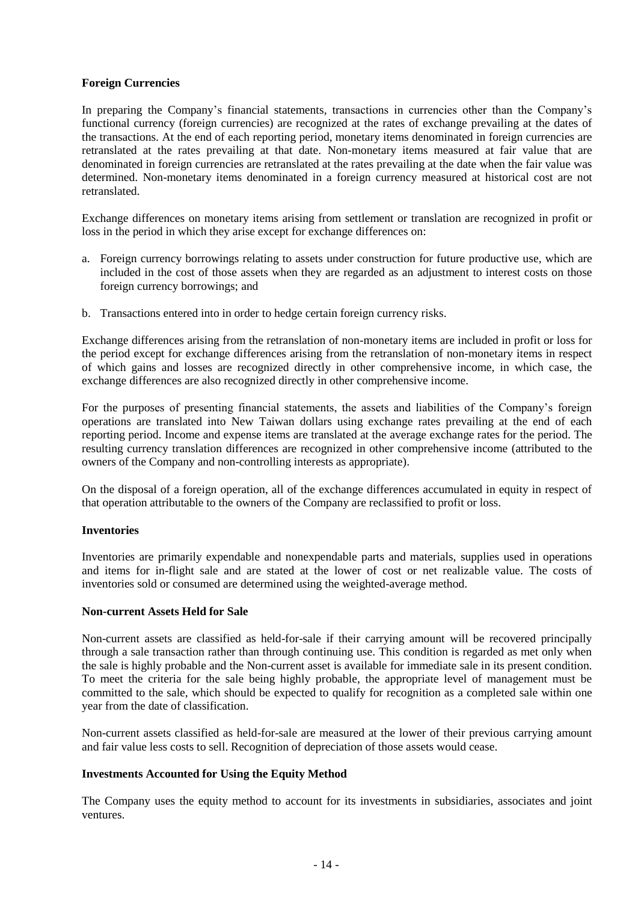## **Foreign Currencies**

In preparing the Company's financial statements, transactions in currencies other than the Company's functional currency (foreign currencies) are recognized at the rates of exchange prevailing at the dates of the transactions. At the end of each reporting period, monetary items denominated in foreign currencies are retranslated at the rates prevailing at that date. Non-monetary items measured at fair value that are denominated in foreign currencies are retranslated at the rates prevailing at the date when the fair value was determined. Non-monetary items denominated in a foreign currency measured at historical cost are not retranslated.

Exchange differences on monetary items arising from settlement or translation are recognized in profit or loss in the period in which they arise except for exchange differences on:

- a. Foreign currency borrowings relating to assets under construction for future productive use, which are included in the cost of those assets when they are regarded as an adjustment to interest costs on those foreign currency borrowings; and
- b. Transactions entered into in order to hedge certain foreign currency risks.

Exchange differences arising from the retranslation of non-monetary items are included in profit or loss for the period except for exchange differences arising from the retranslation of non-monetary items in respect of which gains and losses are recognized directly in other comprehensive income, in which case, the exchange differences are also recognized directly in other comprehensive income.

For the purposes of presenting financial statements, the assets and liabilities of the Company's foreign operations are translated into New Taiwan dollars using exchange rates prevailing at the end of each reporting period. Income and expense items are translated at the average exchange rates for the period. The resulting currency translation differences are recognized in other comprehensive income (attributed to the owners of the Company and non-controlling interests as appropriate).

On the disposal of a foreign operation, all of the exchange differences accumulated in equity in respect of that operation attributable to the owners of the Company are reclassified to profit or loss.

#### **Inventories**

Inventories are primarily expendable and nonexpendable parts and materials, supplies used in operations and items for in-flight sale and are stated at the lower of cost or net realizable value. The costs of inventories sold or consumed are determined using the weighted-average method.

## **Non-current Assets Held for Sale**

Non-current assets are classified as held-for-sale if their carrying amount will be recovered principally through a sale transaction rather than through continuing use. This condition is regarded as met only when the sale is highly probable and the Non-current asset is available for immediate sale in its present condition. To meet the criteria for the sale being highly probable, the appropriate level of management must be committed to the sale, which should be expected to qualify for recognition as a completed sale within one year from the date of classification.

Non-current assets classified as held-for-sale are measured at the lower of their previous carrying amount and fair value less costs to sell. Recognition of depreciation of those assets would cease.

#### **Investments Accounted for Using the Equity Method**

The Company uses the equity method to account for its investments in subsidiaries, associates and joint ventures.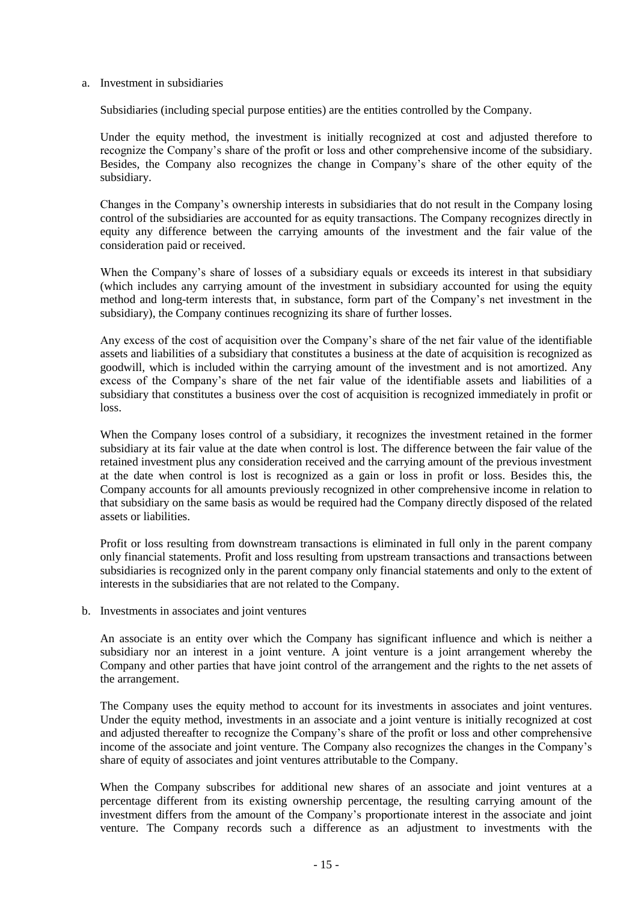#### a. Investment in subsidiaries

Subsidiaries (including special purpose entities) are the entities controlled by the Company.

Under the equity method, the investment is initially recognized at cost and adjusted therefore to recognize the Company's share of the profit or loss and other comprehensive income of the subsidiary. Besides, the Company also recognizes the change in Company's share of the other equity of the subsidiary.

Changes in the Company's ownership interests in subsidiaries that do not result in the Company losing control of the subsidiaries are accounted for as equity transactions. The Company recognizes directly in equity any difference between the carrying amounts of the investment and the fair value of the consideration paid or received.

When the Company's share of losses of a subsidiary equals or exceeds its interest in that subsidiary (which includes any carrying amount of the investment in subsidiary accounted for using the equity method and long-term interests that, in substance, form part of the Company's net investment in the subsidiary), the Company continues recognizing its share of further losses.

Any excess of the cost of acquisition over the Company's share of the net fair value of the identifiable assets and liabilities of a subsidiary that constitutes a business at the date of acquisition is recognized as goodwill, which is included within the carrying amount of the investment and is not amortized. Any excess of the Company's share of the net fair value of the identifiable assets and liabilities of a subsidiary that constitutes a business over the cost of acquisition is recognized immediately in profit or loss.

When the Company loses control of a subsidiary, it recognizes the investment retained in the former subsidiary at its fair value at the date when control is lost. The difference between the fair value of the retained investment plus any consideration received and the carrying amount of the previous investment at the date when control is lost is recognized as a gain or loss in profit or loss. Besides this, the Company accounts for all amounts previously recognized in other comprehensive income in relation to that subsidiary on the same basis as would be required had the Company directly disposed of the related assets or liabilities.

Profit or loss resulting from downstream transactions is eliminated in full only in the parent company only financial statements. Profit and loss resulting from upstream transactions and transactions between subsidiaries is recognized only in the parent company only financial statements and only to the extent of interests in the subsidiaries that are not related to the Company.

b. Investments in associates and joint ventures

An associate is an entity over which the Company has significant influence and which is neither a subsidiary nor an interest in a joint venture. A joint venture is a joint arrangement whereby the Company and other parties that have joint control of the arrangement and the rights to the net assets of the arrangement.

The Company uses the equity method to account for its investments in associates and joint ventures. Under the equity method, investments in an associate and a joint venture is initially recognized at cost and adjusted thereafter to recognize the Company's share of the profit or loss and other comprehensive income of the associate and joint venture. The Company also recognizes the changes in the Company's share of equity of associates and joint ventures attributable to the Company.

When the Company subscribes for additional new shares of an associate and joint ventures at a percentage different from its existing ownership percentage, the resulting carrying amount of the investment differs from the amount of the Company's proportionate interest in the associate and joint venture. The Company records such a difference as an adjustment to investments with the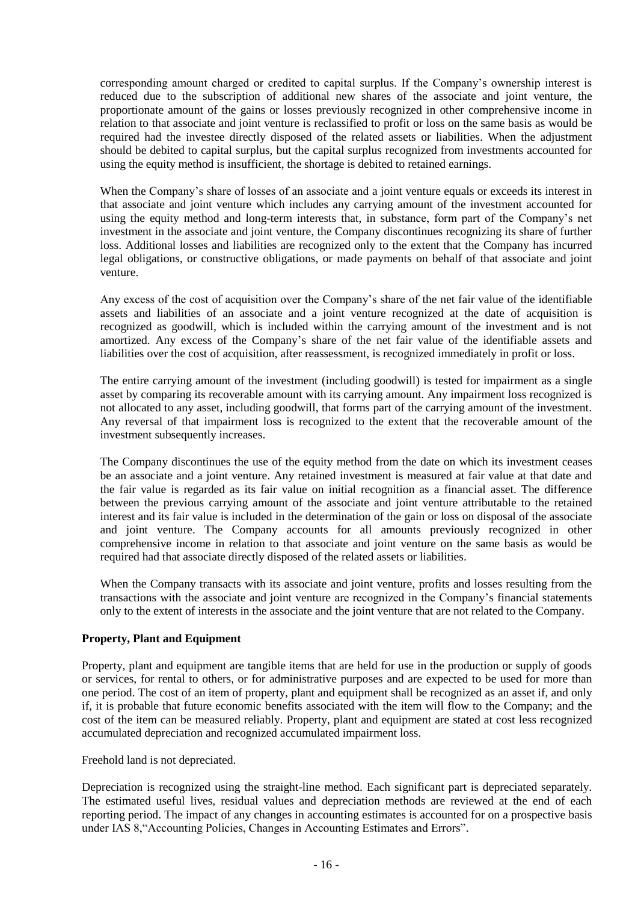corresponding amount charged or credited to capital surplus. If the Company's ownership interest is reduced due to the subscription of additional new shares of the associate and joint venture, the proportionate amount of the gains or losses previously recognized in other comprehensive income in relation to that associate and joint venture is reclassified to profit or loss on the same basis as would be required had the investee directly disposed of the related assets or liabilities. When the adjustment should be debited to capital surplus, but the capital surplus recognized from investments accounted for using the equity method is insufficient, the shortage is debited to retained earnings.

When the Company's share of losses of an associate and a joint venture equals or exceeds its interest in that associate and joint venture which includes any carrying amount of the investment accounted for using the equity method and long-term interests that, in substance, form part of the Company's net investment in the associate and joint venture, the Company discontinues recognizing its share of further loss. Additional losses and liabilities are recognized only to the extent that the Company has incurred legal obligations, or constructive obligations, or made payments on behalf of that associate and joint venture.

Any excess of the cost of acquisition over the Company's share of the net fair value of the identifiable assets and liabilities of an associate and a joint venture recognized at the date of acquisition is recognized as goodwill, which is included within the carrying amount of the investment and is not amortized. Any excess of the Company's share of the net fair value of the identifiable assets and liabilities over the cost of acquisition, after reassessment, is recognized immediately in profit or loss.

The entire carrying amount of the investment (including goodwill) is tested for impairment as a single asset by comparing its recoverable amount with its carrying amount. Any impairment loss recognized is not allocated to any asset, including goodwill, that forms part of the carrying amount of the investment. Any reversal of that impairment loss is recognized to the extent that the recoverable amount of the investment subsequently increases.

The Company discontinues the use of the equity method from the date on which its investment ceases be an associate and a joint venture. Any retained investment is measured at fair value at that date and the fair value is regarded as its fair value on initial recognition as a financial asset. The difference between the previous carrying amount of the associate and joint venture attributable to the retained interest and its fair value is included in the determination of the gain or loss on disposal of the associate and joint venture. The Company accounts for all amounts previously recognized in other comprehensive income in relation to that associate and joint venture on the same basis as would be required had that associate directly disposed of the related assets or liabilities.

When the Company transacts with its associate and joint venture, profits and losses resulting from the transactions with the associate and joint venture are recognized in the Company's financial statements only to the extent of interests in the associate and the joint venture that are not related to the Company.

## **Property, Plant and Equipment**

Property, plant and equipment are tangible items that are held for use in the production or supply of goods or services, for rental to others, or for administrative purposes and are expected to be used for more than one period. The cost of an item of property, plant and equipment shall be recognized as an asset if, and only if, it is probable that future economic benefits associated with the item will flow to the Company; and the cost of the item can be measured reliably. Property, plant and equipment are stated at cost less recognized accumulated depreciation and recognized accumulated impairment loss.

Freehold land is not depreciated.

Depreciation is recognized using the straight-line method. Each significant part is depreciated separately. The estimated useful lives, residual values and depreciation methods are reviewed at the end of each reporting period. The impact of any changes in accounting estimates is accounted for on a prospective basis under IAS 8,"Accounting Policies, Changes in Accounting Estimates and Errors".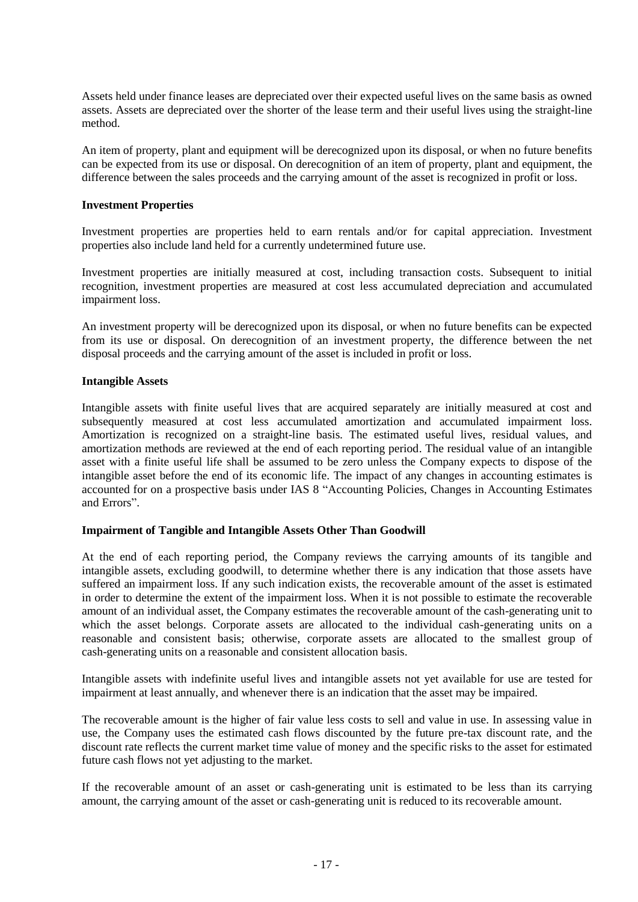Assets held under finance leases are depreciated over their expected useful lives on the same basis as owned assets. Assets are depreciated over the shorter of the lease term and their useful lives using the straight-line method.

An item of property, plant and equipment will be derecognized upon its disposal, or when no future benefits can be expected from its use or disposal. On derecognition of an item of property, plant and equipment, the difference between the sales proceeds and the carrying amount of the asset is recognized in profit or loss.

#### **Investment Properties**

Investment properties are properties held to earn rentals and/or for capital appreciation. Investment properties also include land held for a currently undetermined future use.

Investment properties are initially measured at cost, including transaction costs. Subsequent to initial recognition, investment properties are measured at cost less accumulated depreciation and accumulated impairment loss.

An investment property will be derecognized upon its disposal, or when no future benefits can be expected from its use or disposal. On derecognition of an investment property, the difference between the net disposal proceeds and the carrying amount of the asset is included in profit or loss.

#### **Intangible Assets**

Intangible assets with finite useful lives that are acquired separately are initially measured at cost and subsequently measured at cost less accumulated amortization and accumulated impairment loss. Amortization is recognized on a straight-line basis. The estimated useful lives, residual values, and amortization methods are reviewed at the end of each reporting period. The residual value of an intangible asset with a finite useful life shall be assumed to be zero unless the Company expects to dispose of the intangible asset before the end of its economic life. The impact of any changes in accounting estimates is accounted for on a prospective basis under IAS 8 "Accounting Policies, Changes in Accounting Estimates and Errors".

#### **Impairment of Tangible and Intangible Assets Other Than Goodwill**

At the end of each reporting period, the Company reviews the carrying amounts of its tangible and intangible assets, excluding goodwill, to determine whether there is any indication that those assets have suffered an impairment loss. If any such indication exists, the recoverable amount of the asset is estimated in order to determine the extent of the impairment loss. When it is not possible to estimate the recoverable amount of an individual asset, the Company estimates the recoverable amount of the cash-generating unit to which the asset belongs. Corporate assets are allocated to the individual cash-generating units on a reasonable and consistent basis; otherwise, corporate assets are allocated to the smallest group of cash-generating units on a reasonable and consistent allocation basis.

Intangible assets with indefinite useful lives and intangible assets not yet available for use are tested for impairment at least annually, and whenever there is an indication that the asset may be impaired.

The recoverable amount is the higher of fair value less costs to sell and value in use. In assessing value in use, the Company uses the estimated cash flows discounted by the future pre-tax discount rate, and the discount rate reflects the current market time value of money and the specific risks to the asset for estimated future cash flows not yet adjusting to the market.

If the recoverable amount of an asset or cash-generating unit is estimated to be less than its carrying amount, the carrying amount of the asset or cash-generating unit is reduced to its recoverable amount.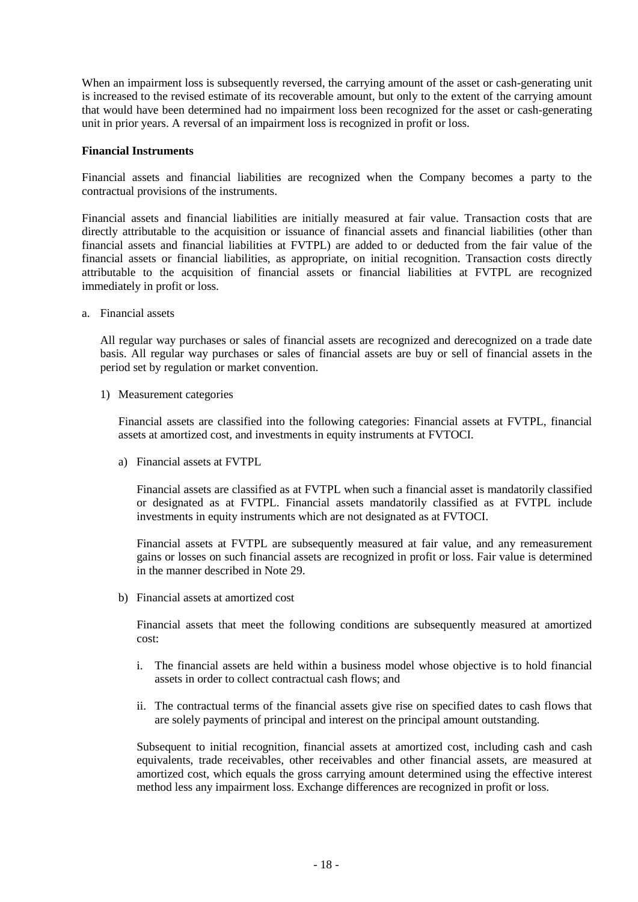When an impairment loss is subsequently reversed, the carrying amount of the asset or cash-generating unit is increased to the revised estimate of its recoverable amount, but only to the extent of the carrying amount that would have been determined had no impairment loss been recognized for the asset or cash-generating unit in prior years. A reversal of an impairment loss is recognized in profit or loss.

#### **Financial Instruments**

Financial assets and financial liabilities are recognized when the Company becomes a party to the contractual provisions of the instruments.

Financial assets and financial liabilities are initially measured at fair value. Transaction costs that are directly attributable to the acquisition or issuance of financial assets and financial liabilities (other than financial assets and financial liabilities at FVTPL) are added to or deducted from the fair value of the financial assets or financial liabilities, as appropriate, on initial recognition. Transaction costs directly attributable to the acquisition of financial assets or financial liabilities at FVTPL are recognized immediately in profit or loss.

a. Financial assets

All regular way purchases or sales of financial assets are recognized and derecognized on a trade date basis. All regular way purchases or sales of financial assets are buy or sell of financial assets in the period set by regulation or market convention.

1) Measurement categories

Financial assets are classified into the following categories: Financial assets at FVTPL, financial assets at amortized cost, and investments in equity instruments at FVTOCI.

a) Financial assets at FVTPL

Financial assets are classified as at FVTPL when such a financial asset is mandatorily classified or designated as at FVTPL. Financial assets mandatorily classified as at FVTPL include investments in equity instruments which are not designated as at FVTOCI.

Financial assets at FVTPL are subsequently measured at fair value, and any remeasurement gains or losses on such financial assets are recognized in profit or loss. Fair value is determined in the manner described in Note 29.

b) Financial assets at amortized cost

Financial assets that meet the following conditions are subsequently measured at amortized cost:

- i. The financial assets are held within a business model whose objective is to hold financial assets in order to collect contractual cash flows; and
- ii. The contractual terms of the financial assets give rise on specified dates to cash flows that are solely payments of principal and interest on the principal amount outstanding.

Subsequent to initial recognition, financial assets at amortized cost, including cash and cash equivalents, trade receivables, other receivables and other financial assets, are measured at amortized cost, which equals the gross carrying amount determined using the effective interest method less any impairment loss. Exchange differences are recognized in profit or loss.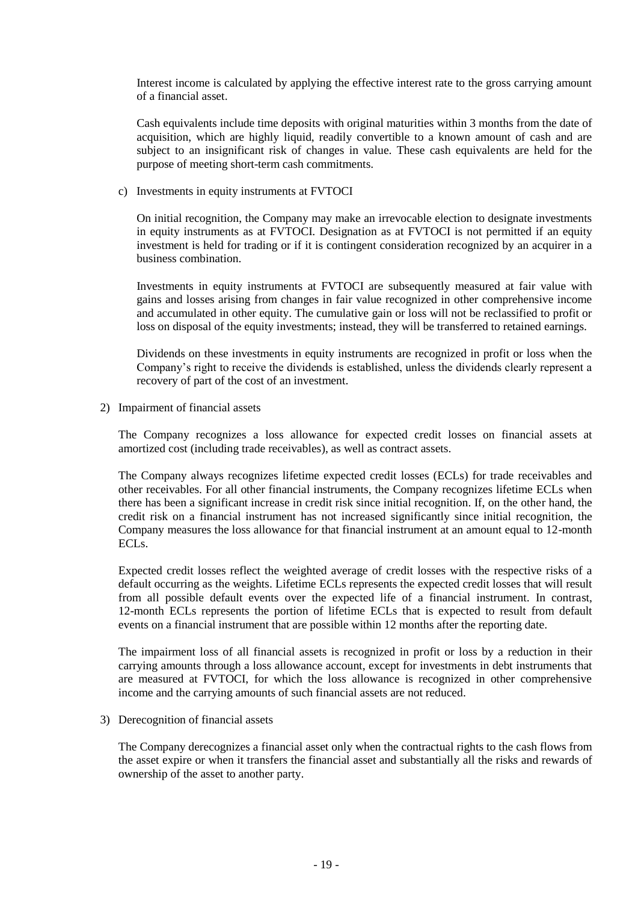Interest income is calculated by applying the effective interest rate to the gross carrying amount of a financial asset.

Cash equivalents include time deposits with original maturities within 3 months from the date of acquisition, which are highly liquid, readily convertible to a known amount of cash and are subject to an insignificant risk of changes in value. These cash equivalents are held for the purpose of meeting short-term cash commitments.

c) Investments in equity instruments at FVTOCI

On initial recognition, the Company may make an irrevocable election to designate investments in equity instruments as at FVTOCI. Designation as at FVTOCI is not permitted if an equity investment is held for trading or if it is contingent consideration recognized by an acquirer in a business combination.

Investments in equity instruments at FVTOCI are subsequently measured at fair value with gains and losses arising from changes in fair value recognized in other comprehensive income and accumulated in other equity. The cumulative gain or loss will not be reclassified to profit or loss on disposal of the equity investments; instead, they will be transferred to retained earnings.

Dividends on these investments in equity instruments are recognized in profit or loss when the Company's right to receive the dividends is established, unless the dividends clearly represent a recovery of part of the cost of an investment.

2) Impairment of financial assets

The Company recognizes a loss allowance for expected credit losses on financial assets at amortized cost (including trade receivables), as well as contract assets.

The Company always recognizes lifetime expected credit losses (ECLs) for trade receivables and other receivables. For all other financial instruments, the Company recognizes lifetime ECLs when there has been a significant increase in credit risk since initial recognition. If, on the other hand, the credit risk on a financial instrument has not increased significantly since initial recognition, the Company measures the loss allowance for that financial instrument at an amount equal to 12-month ECLs.

Expected credit losses reflect the weighted average of credit losses with the respective risks of a default occurring as the weights. Lifetime ECLs represents the expected credit losses that will result from all possible default events over the expected life of a financial instrument. In contrast, 12-month ECLs represents the portion of lifetime ECLs that is expected to result from default events on a financial instrument that are possible within 12 months after the reporting date.

The impairment loss of all financial assets is recognized in profit or loss by a reduction in their carrying amounts through a loss allowance account, except for investments in debt instruments that are measured at FVTOCI, for which the loss allowance is recognized in other comprehensive income and the carrying amounts of such financial assets are not reduced.

3) Derecognition of financial assets

The Company derecognizes a financial asset only when the contractual rights to the cash flows from the asset expire or when it transfers the financial asset and substantially all the risks and rewards of ownership of the asset to another party.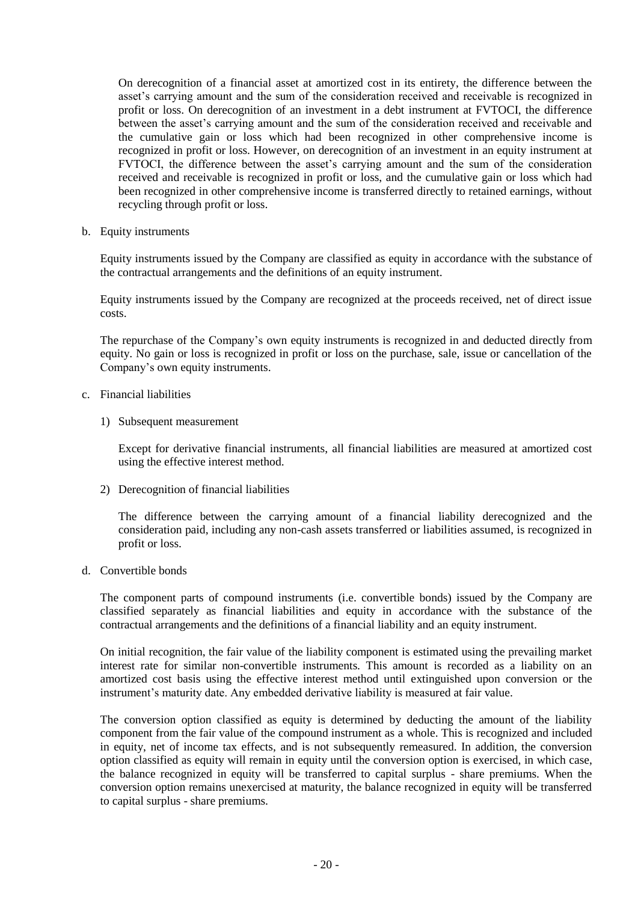On derecognition of a financial asset at amortized cost in its entirety, the difference between the asset's carrying amount and the sum of the consideration received and receivable is recognized in profit or loss. On derecognition of an investment in a debt instrument at FVTOCI, the difference between the asset's carrying amount and the sum of the consideration received and receivable and the cumulative gain or loss which had been recognized in other comprehensive income is recognized in profit or loss. However, on derecognition of an investment in an equity instrument at FVTOCI, the difference between the asset's carrying amount and the sum of the consideration received and receivable is recognized in profit or loss, and the cumulative gain or loss which had been recognized in other comprehensive income is transferred directly to retained earnings, without recycling through profit or loss.

b. Equity instruments

Equity instruments issued by the Company are classified as equity in accordance with the substance of the contractual arrangements and the definitions of an equity instrument.

Equity instruments issued by the Company are recognized at the proceeds received, net of direct issue costs.

The repurchase of the Company's own equity instruments is recognized in and deducted directly from equity. No gain or loss is recognized in profit or loss on the purchase, sale, issue or cancellation of the Company's own equity instruments.

- c. Financial liabilities
	- 1) Subsequent measurement

Except for derivative financial instruments, all financial liabilities are measured at amortized cost using the effective interest method.

2) Derecognition of financial liabilities

The difference between the carrying amount of a financial liability derecognized and the consideration paid, including any non-cash assets transferred or liabilities assumed, is recognized in profit or loss.

d. Convertible bonds

The component parts of compound instruments (i.e. convertible bonds) issued by the Company are classified separately as financial liabilities and equity in accordance with the substance of the contractual arrangements and the definitions of a financial liability and an equity instrument.

On initial recognition, the fair value of the liability component is estimated using the prevailing market interest rate for similar non-convertible instruments. This amount is recorded as a liability on an amortized cost basis using the effective interest method until extinguished upon conversion or the instrument's maturity date. Any embedded derivative liability is measured at fair value.

The conversion option classified as equity is determined by deducting the amount of the liability component from the fair value of the compound instrument as a whole. This is recognized and included in equity, net of income tax effects, and is not subsequently remeasured. In addition, the conversion option classified as equity will remain in equity until the conversion option is exercised, in which case, the balance recognized in equity will be transferred to capital surplus - share premiums. When the conversion option remains unexercised at maturity, the balance recognized in equity will be transferred to capital surplus - share premiums.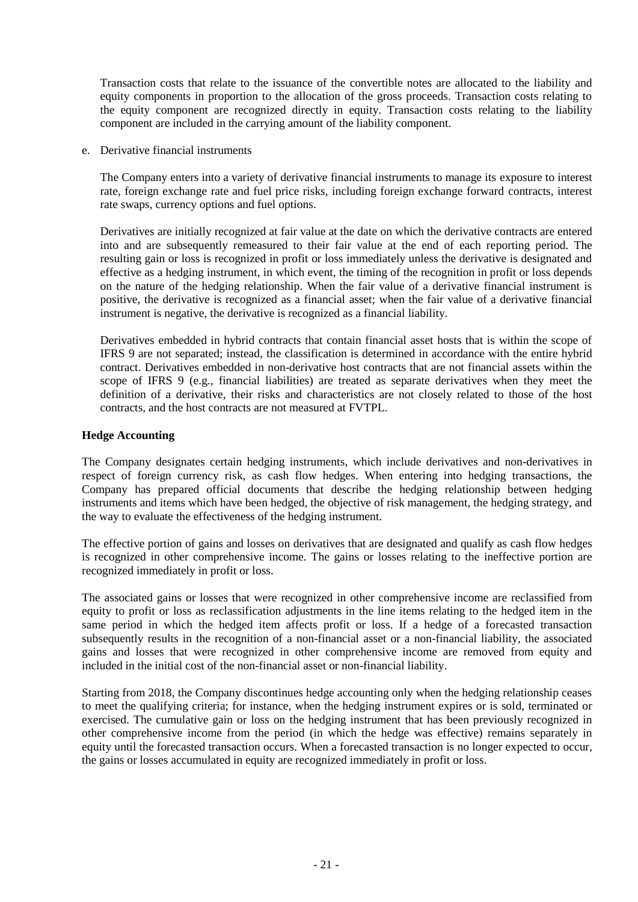Transaction costs that relate to the issuance of the convertible notes are allocated to the liability and equity components in proportion to the allocation of the gross proceeds. Transaction costs relating to the equity component are recognized directly in equity. Transaction costs relating to the liability component are included in the carrying amount of the liability component.

e. Derivative financial instruments

The Company enters into a variety of derivative financial instruments to manage its exposure to interest rate, foreign exchange rate and fuel price risks, including foreign exchange forward contracts, interest rate swaps, currency options and fuel options.

Derivatives are initially recognized at fair value at the date on which the derivative contracts are entered into and are subsequently remeasured to their fair value at the end of each reporting period. The resulting gain or loss is recognized in profit or loss immediately unless the derivative is designated and effective as a hedging instrument, in which event, the timing of the recognition in profit or loss depends on the nature of the hedging relationship. When the fair value of a derivative financial instrument is positive, the derivative is recognized as a financial asset; when the fair value of a derivative financial instrument is negative, the derivative is recognized as a financial liability.

Derivatives embedded in hybrid contracts that contain financial asset hosts that is within the scope of IFRS 9 are not separated; instead, the classification is determined in accordance with the entire hybrid contract. Derivatives embedded in non-derivative host contracts that are not financial assets within the scope of IFRS 9 (e.g., financial liabilities) are treated as separate derivatives when they meet the definition of a derivative, their risks and characteristics are not closely related to those of the host contracts, and the host contracts are not measured at FVTPL.

#### **Hedge Accounting**

The Company designates certain hedging instruments, which include derivatives and non-derivatives in respect of foreign currency risk, as cash flow hedges. When entering into hedging transactions, the Company has prepared official documents that describe the hedging relationship between hedging instruments and items which have been hedged, the objective of risk management, the hedging strategy, and the way to evaluate the effectiveness of the hedging instrument.

The effective portion of gains and losses on derivatives that are designated and qualify as cash flow hedges is recognized in other comprehensive income. The gains or losses relating to the ineffective portion are recognized immediately in profit or loss.

The associated gains or losses that were recognized in other comprehensive income are reclassified from equity to profit or loss as reclassification adjustments in the line items relating to the hedged item in the same period in which the hedged item affects profit or loss. If a hedge of a forecasted transaction subsequently results in the recognition of a non-financial asset or a non-financial liability, the associated gains and losses that were recognized in other comprehensive income are removed from equity and included in the initial cost of the non-financial asset or non-financial liability.

Starting from 2018, the Company discontinues hedge accounting only when the hedging relationship ceases to meet the qualifying criteria; for instance, when the hedging instrument expires or is sold, terminated or exercised. The cumulative gain or loss on the hedging instrument that has been previously recognized in other comprehensive income from the period (in which the hedge was effective) remains separately in equity until the forecasted transaction occurs. When a forecasted transaction is no longer expected to occur, the gains or losses accumulated in equity are recognized immediately in profit or loss.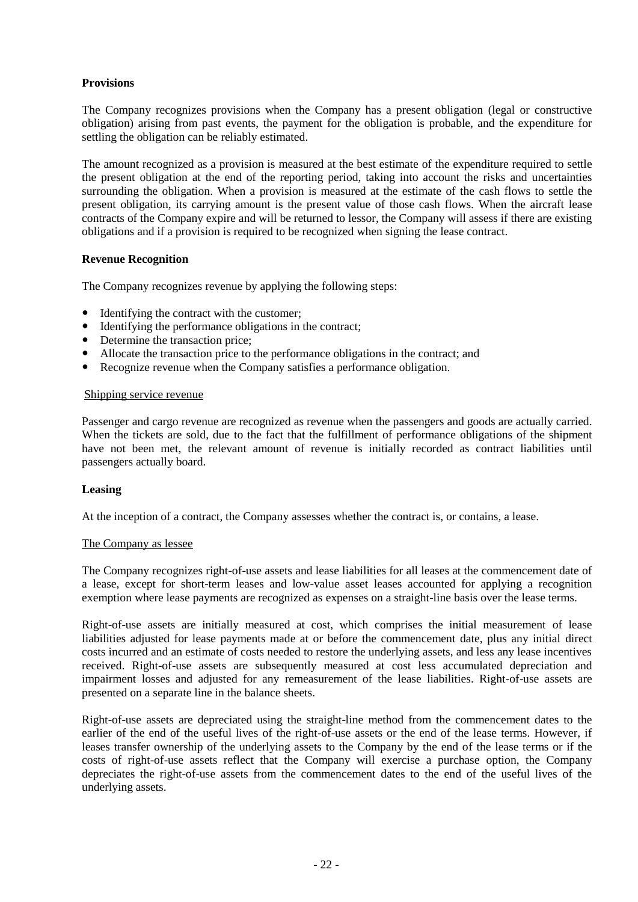## **Provisions**

The Company recognizes provisions when the Company has a present obligation (legal or constructive obligation) arising from past events, the payment for the obligation is probable, and the expenditure for settling the obligation can be reliably estimated.

The amount recognized as a provision is measured at the best estimate of the expenditure required to settle the present obligation at the end of the reporting period, taking into account the risks and uncertainties surrounding the obligation. When a provision is measured at the estimate of the cash flows to settle the present obligation, its carrying amount is the present value of those cash flows. When the aircraft lease contracts of the Company expire and will be returned to lessor, the Company will assess if there are existing obligations and if a provision is required to be recognized when signing the lease contract.

## **Revenue Recognition**

The Company recognizes revenue by applying the following steps:

- Identifying the contract with the customer;
- Identifying the performance obligations in the contract;
- Determine the transaction price;
- Allocate the transaction price to the performance obligations in the contract; and
- Recognize revenue when the Company satisfies a performance obligation.

#### Shipping service revenue

Passenger and cargo revenue are recognized as revenue when the passengers and goods are actually carried. When the tickets are sold, due to the fact that the fulfillment of performance obligations of the shipment have not been met, the relevant amount of revenue is initially recorded as contract liabilities until passengers actually board.

#### **Leasing**

At the inception of a contract, the Company assesses whether the contract is, or contains, a lease.

#### The Company as lessee

The Company recognizes right-of-use assets and lease liabilities for all leases at the commencement date of a lease, except for short-term leases and low-value asset leases accounted for applying a recognition exemption where lease payments are recognized as expenses on a straight-line basis over the lease terms.

Right-of-use assets are initially measured at cost, which comprises the initial measurement of lease liabilities adjusted for lease payments made at or before the commencement date, plus any initial direct costs incurred and an estimate of costs needed to restore the underlying assets, and less any lease incentives received. Right-of-use assets are subsequently measured at cost less accumulated depreciation and impairment losses and adjusted for any remeasurement of the lease liabilities. Right-of-use assets are presented on a separate line in the balance sheets.

Right-of-use assets are depreciated using the straight-line method from the commencement dates to the earlier of the end of the useful lives of the right-of-use assets or the end of the lease terms. However, if leases transfer ownership of the underlying assets to the Company by the end of the lease terms or if the costs of right-of-use assets reflect that the Company will exercise a purchase option, the Company depreciates the right-of-use assets from the commencement dates to the end of the useful lives of the underlying assets.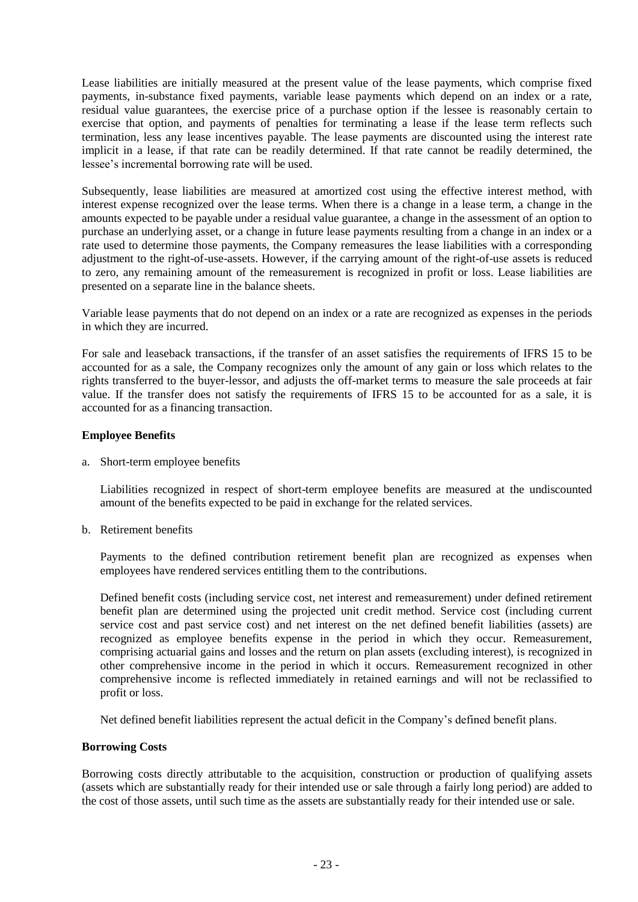Lease liabilities are initially measured at the present value of the lease payments, which comprise fixed payments, in-substance fixed payments, variable lease payments which depend on an index or a rate, residual value guarantees, the exercise price of a purchase option if the lessee is reasonably certain to exercise that option, and payments of penalties for terminating a lease if the lease term reflects such termination, less any lease incentives payable. The lease payments are discounted using the interest rate implicit in a lease, if that rate can be readily determined. If that rate cannot be readily determined, the lessee's incremental borrowing rate will be used.

Subsequently, lease liabilities are measured at amortized cost using the effective interest method, with interest expense recognized over the lease terms. When there is a change in a lease term, a change in the amounts expected to be payable under a residual value guarantee, a change in the assessment of an option to purchase an underlying asset, or a change in future lease payments resulting from a change in an index or a rate used to determine those payments, the Company remeasures the lease liabilities with a corresponding adjustment to the right-of-use-assets. However, if the carrying amount of the right-of-use assets is reduced to zero, any remaining amount of the remeasurement is recognized in profit or loss. Lease liabilities are presented on a separate line in the balance sheets.

Variable lease payments that do not depend on an index or a rate are recognized as expenses in the periods in which they are incurred.

For sale and leaseback transactions, if the transfer of an asset satisfies the requirements of IFRS 15 to be accounted for as a sale, the Company recognizes only the amount of any gain or loss which relates to the rights transferred to the buyer-lessor, and adjusts the off-market terms to measure the sale proceeds at fair value. If the transfer does not satisfy the requirements of IFRS 15 to be accounted for as a sale, it is accounted for as a financing transaction.

#### **Employee Benefits**

a. Short-term employee benefits

Liabilities recognized in respect of short-term employee benefits are measured at the undiscounted amount of the benefits expected to be paid in exchange for the related services.

b. Retirement benefits

Payments to the defined contribution retirement benefit plan are recognized as expenses when employees have rendered services entitling them to the contributions.

Defined benefit costs (including service cost, net interest and remeasurement) under defined retirement benefit plan are determined using the projected unit credit method. Service cost (including current service cost and past service cost) and net interest on the net defined benefit liabilities (assets) are recognized as employee benefits expense in the period in which they occur. Remeasurement, comprising actuarial gains and losses and the return on plan assets (excluding interest), is recognized in other comprehensive income in the period in which it occurs. Remeasurement recognized in other comprehensive income is reflected immediately in retained earnings and will not be reclassified to profit or loss.

Net defined benefit liabilities represent the actual deficit in the Company's defined benefit plans.

### **Borrowing Costs**

Borrowing costs directly attributable to the acquisition, construction or production of qualifying assets (assets which are substantially ready for their intended use or sale through a fairly long period) are added to the cost of those assets, until such time as the assets are substantially ready for their intended use or sale.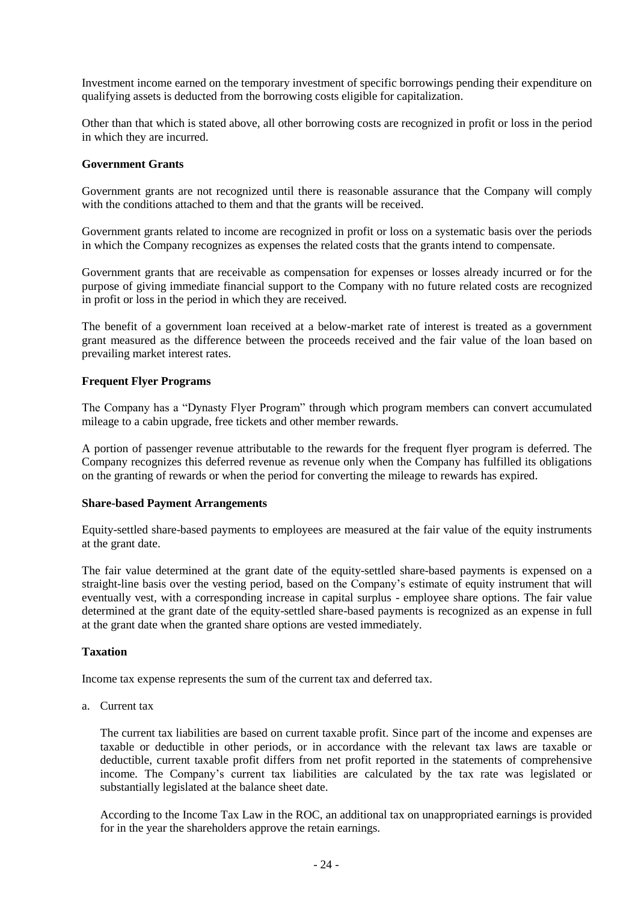Investment income earned on the temporary investment of specific borrowings pending their expenditure on qualifying assets is deducted from the borrowing costs eligible for capitalization.

Other than that which is stated above, all other borrowing costs are recognized in profit or loss in the period in which they are incurred.

#### **Government Grants**

Government grants are not recognized until there is reasonable assurance that the Company will comply with the conditions attached to them and that the grants will be received.

Government grants related to income are recognized in profit or loss on a systematic basis over the periods in which the Company recognizes as expenses the related costs that the grants intend to compensate.

Government grants that are receivable as compensation for expenses or losses already incurred or for the purpose of giving immediate financial support to the Company with no future related costs are recognized in profit or loss in the period in which they are received.

The benefit of a government loan received at a below-market rate of interest is treated as a government grant measured as the difference between the proceeds received and the fair value of the loan based on prevailing market interest rates.

#### **Frequent Flyer Programs**

The Company has a "Dynasty Flyer Program" through which program members can convert accumulated mileage to a cabin upgrade, free tickets and other member rewards.

A portion of passenger revenue attributable to the rewards for the frequent flyer program is deferred. The Company recognizes this deferred revenue as revenue only when the Company has fulfilled its obligations on the granting of rewards or when the period for converting the mileage to rewards has expired.

#### **Share-based Payment Arrangements**

Equity-settled share-based payments to employees are measured at the fair value of the equity instruments at the grant date.

The fair value determined at the grant date of the equity-settled share-based payments is expensed on a straight-line basis over the vesting period, based on the Company's estimate of equity instrument that will eventually vest, with a corresponding increase in capital surplus - employee share options. The fair value determined at the grant date of the equity-settled share-based payments is recognized as an expense in full at the grant date when the granted share options are vested immediately.

#### **Taxation**

Income tax expense represents the sum of the current tax and deferred tax.

a. Current tax

The current tax liabilities are based on current taxable profit. Since part of the income and expenses are taxable or deductible in other periods, or in accordance with the relevant tax laws are taxable or deductible, current taxable profit differs from net profit reported in the statements of comprehensive income. The Company's current tax liabilities are calculated by the tax rate was legislated or substantially legislated at the balance sheet date.

According to the Income Tax Law in the ROC, an additional tax on unappropriated earnings is provided for in the year the shareholders approve the retain earnings.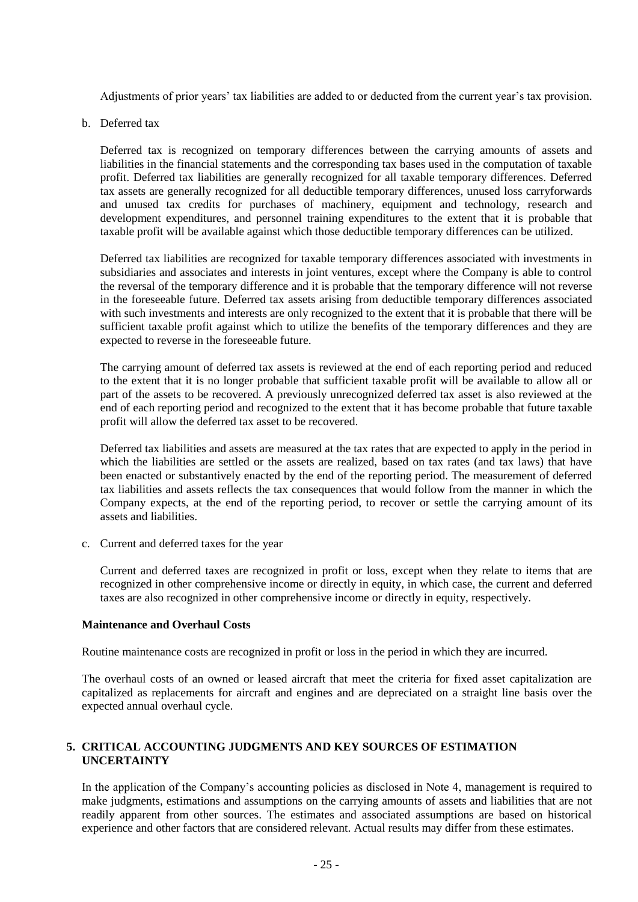Adjustments of prior years' tax liabilities are added to or deducted from the current year's tax provision.

b. Deferred tax

Deferred tax is recognized on temporary differences between the carrying amounts of assets and liabilities in the financial statements and the corresponding tax bases used in the computation of taxable profit. Deferred tax liabilities are generally recognized for all taxable temporary differences. Deferred tax assets are generally recognized for all deductible temporary differences, unused loss carryforwards and unused tax credits for purchases of machinery, equipment and technology, research and development expenditures, and personnel training expenditures to the extent that it is probable that taxable profit will be available against which those deductible temporary differences can be utilized.

Deferred tax liabilities are recognized for taxable temporary differences associated with investments in subsidiaries and associates and interests in joint ventures, except where the Company is able to control the reversal of the temporary difference and it is probable that the temporary difference will not reverse in the foreseeable future. Deferred tax assets arising from deductible temporary differences associated with such investments and interests are only recognized to the extent that it is probable that there will be sufficient taxable profit against which to utilize the benefits of the temporary differences and they are expected to reverse in the foreseeable future.

The carrying amount of deferred tax assets is reviewed at the end of each reporting period and reduced to the extent that it is no longer probable that sufficient taxable profit will be available to allow all or part of the assets to be recovered. A previously unrecognized deferred tax asset is also reviewed at the end of each reporting period and recognized to the extent that it has become probable that future taxable profit will allow the deferred tax asset to be recovered.

Deferred tax liabilities and assets are measured at the tax rates that are expected to apply in the period in which the liabilities are settled or the assets are realized, based on tax rates (and tax laws) that have been enacted or substantively enacted by the end of the reporting period. The measurement of deferred tax liabilities and assets reflects the tax consequences that would follow from the manner in which the Company expects, at the end of the reporting period, to recover or settle the carrying amount of its assets and liabilities.

c. Current and deferred taxes for the year

Current and deferred taxes are recognized in profit or loss, except when they relate to items that are recognized in other comprehensive income or directly in equity, in which case, the current and deferred taxes are also recognized in other comprehensive income or directly in equity, respectively.

#### **Maintenance and Overhaul Costs**

Routine maintenance costs are recognized in profit or loss in the period in which they are incurred.

The overhaul costs of an owned or leased aircraft that meet the criteria for fixed asset capitalization are capitalized as replacements for aircraft and engines and are depreciated on a straight line basis over the expected annual overhaul cycle.

## **5. CRITICAL ACCOUNTING JUDGMENTS AND KEY SOURCES OF ESTIMATION UNCERTAINTY**

In the application of the Company's accounting policies as disclosed in Note 4, management is required to make judgments, estimations and assumptions on the carrying amounts of assets and liabilities that are not readily apparent from other sources. The estimates and associated assumptions are based on historical experience and other factors that are considered relevant. Actual results may differ from these estimates.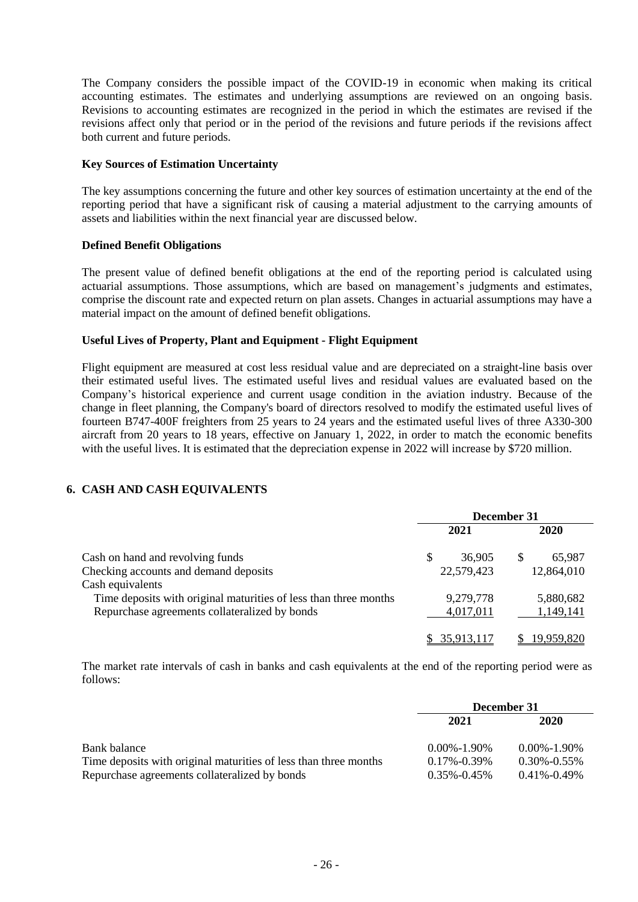The Company considers the possible impact of the COVID-19 in economic when making its critical accounting estimates. The estimates and underlying assumptions are reviewed on an ongoing basis. Revisions to accounting estimates are recognized in the period in which the estimates are revised if the revisions affect only that period or in the period of the revisions and future periods if the revisions affect both current and future periods.

### **Key Sources of Estimation Uncertainty**

The key assumptions concerning the future and other key sources of estimation uncertainty at the end of the reporting period that have a significant risk of causing a material adjustment to the carrying amounts of assets and liabilities within the next financial year are discussed below.

## **Defined Benefit Obligations**

The present value of defined benefit obligations at the end of the reporting period is calculated using actuarial assumptions. Those assumptions, which are based on management's judgments and estimates, comprise the discount rate and expected return on plan assets. Changes in actuarial assumptions may have a material impact on the amount of defined benefit obligations.

## **Useful Lives of Property, Plant and Equipment - Flight Equipment**

Flight equipment are measured at cost less residual value and are depreciated on a straight-line basis over their estimated useful lives. The estimated useful lives and residual values are evaluated based on the Company's historical experience and current usage condition in the aviation industry. Because of the change in fleet planning, the Company's board of directors resolved to modify the estimated useful lives of fourteen B747-400F freighters from 25 years to 24 years and the estimated useful lives of three A330-300 aircraft from 20 years to 18 years, effective on January 1, 2022, in order to match the economic benefits with the useful lives. It is estimated that the depreciation expense in 2022 will increase by \$720 million.

## **6. CASH AND CASH EQUIVALENTS**

|                                                                  | December 31 |            |    |            |
|------------------------------------------------------------------|-------------|------------|----|------------|
|                                                                  |             | 2021       |    | 2020       |
| Cash on hand and revolving funds                                 | <b>S</b>    | 36,905     | \$ | 65,987     |
| Checking accounts and demand deposits                            |             | 22,579,423 |    | 12,864,010 |
| Cash equivalents                                                 |             |            |    |            |
| Time deposits with original maturities of less than three months |             | 9,279,778  |    | 5,880,682  |
| Repurchase agreements collateralized by bonds                    |             | 4,017,011  |    | 1,149,141  |
|                                                                  |             | 35.913.117 |    | 19.959.820 |

The market rate intervals of cash in banks and cash equivalents at the end of the reporting period were as follows:

|                                                                  | December 31       |                   |  |  |
|------------------------------------------------------------------|-------------------|-------------------|--|--|
|                                                                  | 2021              | 2020              |  |  |
| Bank balance                                                     | $0.00\% - 1.90\%$ | $0.00\% - 1.90\%$ |  |  |
| Time deposits with original maturities of less than three months | $0.17\% - 0.39\%$ | $0.30\% - 0.55\%$ |  |  |
| Repurchase agreements collateralized by bonds                    | $0.35\% - 0.45\%$ | $0.41\% - 0.49\%$ |  |  |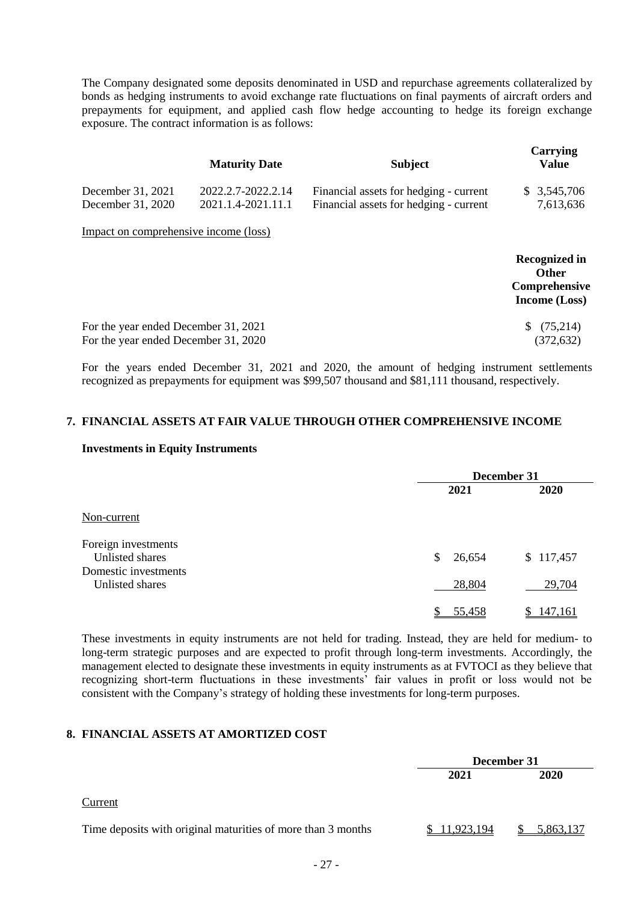The Company designated some deposits denominated in USD and repurchase agreements collateralized by bonds as hedging instruments to avoid exchange rate fluctuations on final payments of aircraft orders and prepayments for equipment, and applied cash flow hedge accounting to hedge its foreign exchange exposure. The contract information is as follows:

**Carrying** 

|                                                                              | <b>Maturity Date</b>                     | <b>Subject</b>                                                                   | Carrying<br><b>Value</b>                                               |
|------------------------------------------------------------------------------|------------------------------------------|----------------------------------------------------------------------------------|------------------------------------------------------------------------|
| December 31, 2021<br>December 31, 2020                                       | 2022.2.7-2022.2.14<br>2021.1.4-2021.11.1 | Financial assets for hedging - current<br>Financial assets for hedging - current | \$3,545,706<br>7,613,636                                               |
| Impact on comprehensive income (loss)                                        |                                          |                                                                                  |                                                                        |
|                                                                              |                                          |                                                                                  | <b>Recognized in</b><br><b>Other</b><br>Comprehensive<br>Income (Loss) |
| For the year ended December 31, 2021<br>For the year ended December 31, 2020 |                                          |                                                                                  | S<br>(75,214)<br>(372, 632)                                            |

For the years ended December 31, 2021 and 2020, the amount of hedging instrument settlements recognized as prepayments for equipment was \$99,507 thousand and \$81,111 thousand, respectively.

#### **7. FINANCIAL ASSETS AT FAIR VALUE THROUGH OTHER COMPREHENSIVE INCOME**

#### **Investments in Equity Instruments**

|                                         | December 31  |           |
|-----------------------------------------|--------------|-----------|
|                                         | 2021         | 2020      |
| Non-current                             |              |           |
| Foreign investments                     |              |           |
| Unlisted shares<br>Domestic investments | \$<br>26,654 | \$117,457 |
| Unlisted shares                         | 28,804       | 29,704    |
|                                         | 55,458       | 147,161   |

These investments in equity instruments are not held for trading. Instead, they are held for medium- to long-term strategic purposes and are expected to profit through long-term investments. Accordingly, the management elected to designate these investments in equity instruments as at FVTOCI as they believe that recognizing short-term fluctuations in these investments' fair values in profit or loss would not be consistent with the Company's strategy of holding these investments for long-term purposes.

## **8. FINANCIAL ASSETS AT AMORTIZED COST**

|                                                              | December 31  |           |  |
|--------------------------------------------------------------|--------------|-----------|--|
|                                                              | 2021         | 2020      |  |
| Current                                                      |              |           |  |
| Time deposits with original maturities of more than 3 months | \$11,923,194 | 5,863,137 |  |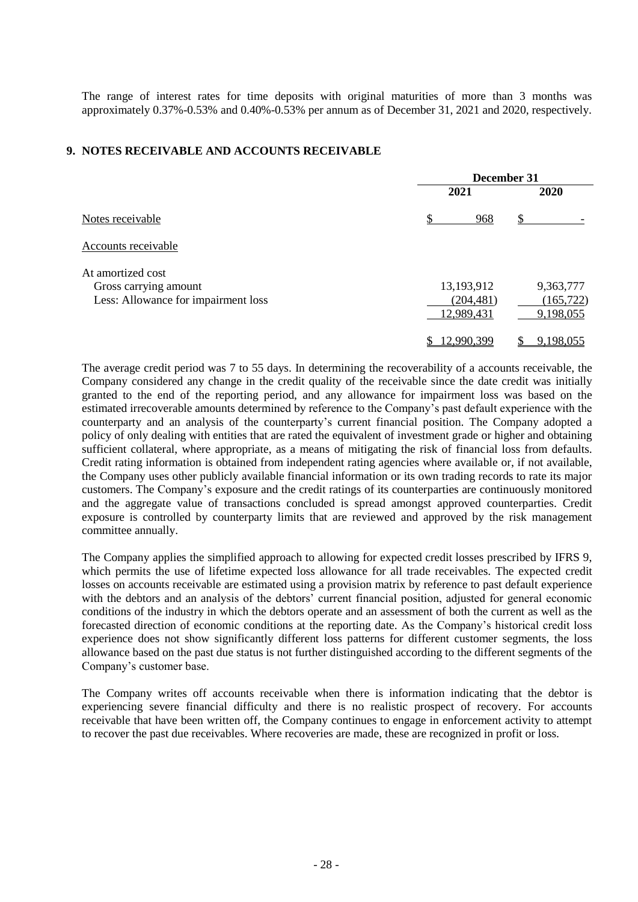The range of interest rates for time deposits with original maturities of more than 3 months was approximately 0.37%-0.53% and 0.40%-0.53% per annum as of December 31, 2021 and 2020, respectively.

### **9. NOTES RECEIVABLE AND ACCOUNTS RECEIVABLE**

|                                     | December 31 |            |  |
|-------------------------------------|-------------|------------|--|
|                                     | 2021        | 2020       |  |
| Notes receivable                    | \$.<br>968  | \$         |  |
| Accounts receivable                 |             |            |  |
| At amortized cost                   |             |            |  |
| Gross carrying amount               | 13,193,912  | 9,363,777  |  |
| Less: Allowance for impairment loss | (204, 481)  | (165, 722) |  |
|                                     | 12,989,431  | 9,198,055  |  |
|                                     | 12,990,399  | 9,198,055  |  |

The average credit period was 7 to 55 days. In determining the recoverability of a accounts receivable, the Company considered any change in the credit quality of the receivable since the date credit was initially granted to the end of the reporting period, and any allowance for impairment loss was based on the estimated irrecoverable amounts determined by reference to the Company's past default experience with the counterparty and an analysis of the counterparty's current financial position. The Company adopted a policy of only dealing with entities that are rated the equivalent of investment grade or higher and obtaining sufficient collateral, where appropriate, as a means of mitigating the risk of financial loss from defaults. Credit rating information is obtained from independent rating agencies where available or, if not available, the Company uses other publicly available financial information or its own trading records to rate its major customers. The Company's exposure and the credit ratings of its counterparties are continuously monitored and the aggregate value of transactions concluded is spread amongst approved counterparties. Credit exposure is controlled by counterparty limits that are reviewed and approved by the risk management committee annually.

The Company applies the simplified approach to allowing for expected credit losses prescribed by IFRS 9, which permits the use of lifetime expected loss allowance for all trade receivables. The expected credit losses on accounts receivable are estimated using a provision matrix by reference to past default experience with the debtors and an analysis of the debtors' current financial position, adjusted for general economic conditions of the industry in which the debtors operate and an assessment of both the current as well as the forecasted direction of economic conditions at the reporting date. As the Company's historical credit loss experience does not show significantly different loss patterns for different customer segments, the loss allowance based on the past due status is not further distinguished according to the different segments of the Company's customer base.

The Company writes off accounts receivable when there is information indicating that the debtor is experiencing severe financial difficulty and there is no realistic prospect of recovery. For accounts receivable that have been written off, the Company continues to engage in enforcement activity to attempt to recover the past due receivables. Where recoveries are made, these are recognized in profit or loss.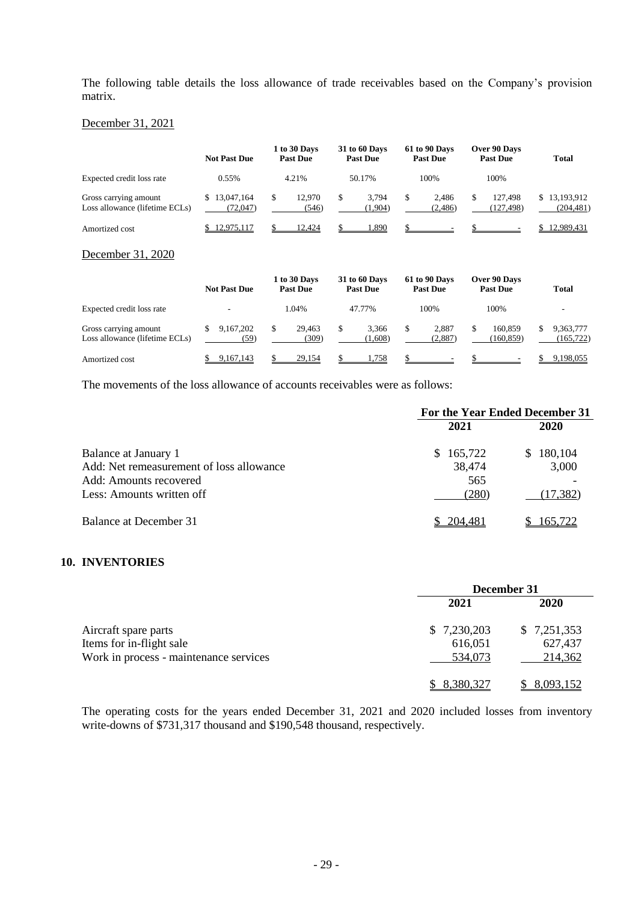The following table details the loss allowance of trade receivables based on the Company's provision matrix.

## December 31, 2021

|                                                         | <b>Not Past Due</b>      | 1 to 30 Days<br><b>Past Due</b> |   | <b>31 to 60 Days</b><br><b>Past Due</b> | 61 to 90 Days<br><b>Past Due</b> |   | Over 90 Days<br><b>Past Due</b> | <b>Total</b>                  |
|---------------------------------------------------------|--------------------------|---------------------------------|---|-----------------------------------------|----------------------------------|---|---------------------------------|-------------------------------|
| Expected credit loss rate                               | 0.55%                    | 4.21%                           |   | 50.17%                                  | 100%                             |   | 100\%                           |                               |
| Gross carrying amount<br>Loss allowance (lifetime ECLs) | \$13,047,164<br>(72.047) | \$<br>12.970<br>(546)           | S | 3.794<br>(1.904)                        | \$<br>2.486<br>(2, 486)          | S | 127.498<br>(127, 498)           | 13,193,912<br>S<br>(204, 481) |
| Amortized cost                                          | 12,975,117               | 12.424                          |   | .890                                    |                                  |   |                                 | 12.989.431                    |

## December 31, 2020

|                                                         | <b>Not Past Due</b> | 1 to 30 Days<br><b>Past Due</b> | 31 to 60 Days<br><b>Past Due</b> | 61 to 90 Days<br><b>Past Due</b> | Over 90 Days<br><b>Past Due</b> | <b>Total</b>            |
|---------------------------------------------------------|---------------------|---------------------------------|----------------------------------|----------------------------------|---------------------------------|-------------------------|
| Expected credit loss rate                               |                     | 1.04%                           | 47.77%                           | 100%                             | 100%                            | ۰                       |
| Gross carrying amount<br>Loss allowance (lifetime ECLs) | 9.167.202<br>(59)   | 29.463<br>\$<br>(309)           | 3.366<br>S<br>(1.608)            | 2.887<br>S<br>(2,887)            | 160.859<br>(160.859)            | 9,363,777<br>(165, 722) |
| Amortized cost                                          | 9.167.143           | 29.154                          | .758                             |                                  |                                 | 9.198.055               |

The movements of the loss allowance of accounts receivables were as follows:

|                                          | For the Year Ended December 31 |           |  |  |
|------------------------------------------|--------------------------------|-----------|--|--|
|                                          | 2021                           | 2020      |  |  |
| Balance at January 1                     | \$165,722                      | \$180,104 |  |  |
| Add: Net remeasurement of loss allowance | 38,474                         | 3,000     |  |  |
| Add: Amounts recovered                   | 565                            |           |  |  |
| Less: Amounts written off                | (280)                          | (17, 382) |  |  |
| Balance at December 31                   | \$ 204,481                     | 165,722   |  |  |

## **10. INVENTORIES**

|                                        | December 31 |             |  |
|----------------------------------------|-------------|-------------|--|
|                                        | 2021        | <b>2020</b> |  |
| Aircraft spare parts                   | \$7,230,203 | \$7,251,353 |  |
| Items for in-flight sale               | 616,051     | 627,437     |  |
| Work in process - maintenance services | 534,073     | 214,362     |  |
|                                        | 8,380,327   | 8,093,152   |  |

The operating costs for the years ended December 31, 2021 and 2020 included losses from inventory write-downs of \$731,317 thousand and \$190,548 thousand, respectively.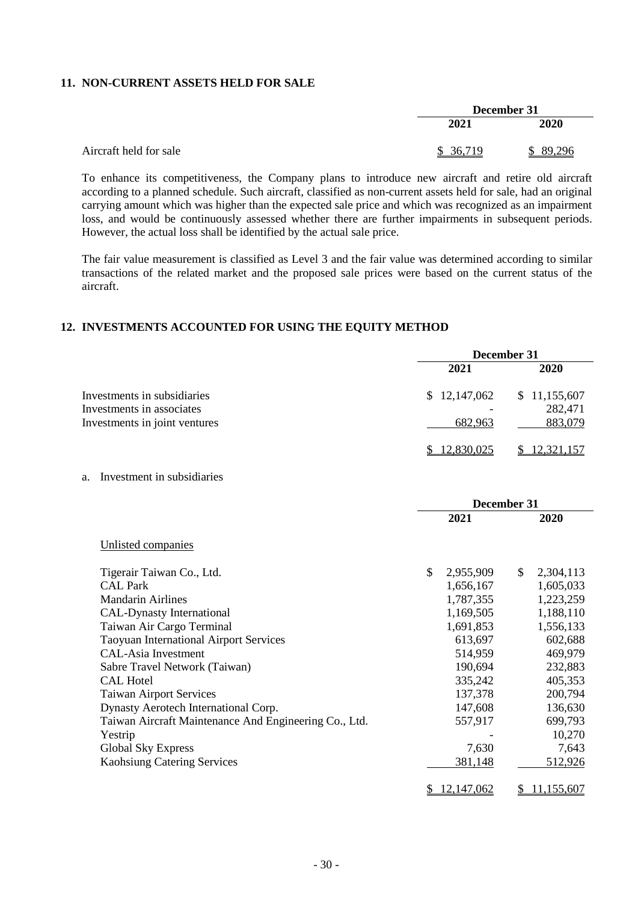## **11. NON-CURRENT ASSETS HELD FOR SALE**

| December 31 |        |
|-------------|--------|
| 2021        | 2020   |
| \$ 36,719   | 89 296 |

To enhance its competitiveness, the Company plans to introduce new aircraft and retire old aircraft according to a planned schedule. Such aircraft, classified as non-current assets held for sale, had an original carrying amount which was higher than the expected sale price and which was recognized as an impairment loss, and would be continuously assessed whether there are further impairments in subsequent periods. However, the actual loss shall be identified by the actual sale price.

The fair value measurement is classified as Level 3 and the fair value was determined according to similar transactions of the related market and the proposed sale prices were based on the current status of the aircraft.

## **12. INVESTMENTS ACCOUNTED FOR USING THE EQUITY METHOD**

|                                                                                           | December 31             |                                    |  |  |
|-------------------------------------------------------------------------------------------|-------------------------|------------------------------------|--|--|
|                                                                                           | 2021                    | 2020                               |  |  |
| Investments in subsidiaries<br>Investments in associates<br>Investments in joint ventures | \$12,147,062<br>682,963 | \$11,155,607<br>282,471<br>883,079 |  |  |
|                                                                                           | 12,830,025              | 12,321,157                         |  |  |

#### a. Investment in subsidiaries

|                                                       | December 31 |            |              |            |
|-------------------------------------------------------|-------------|------------|--------------|------------|
|                                                       |             | 2021       |              | 2020       |
| Unlisted companies                                    |             |            |              |            |
| Tigerair Taiwan Co., Ltd.                             | \$          | 2,955,909  | $\mathbb{S}$ | 2,304,113  |
| <b>CAL Park</b>                                       |             | 1,656,167  |              | 1,605,033  |
| <b>Mandarin Airlines</b>                              |             | 1,787,355  |              | 1,223,259  |
| CAL-Dynasty International                             |             | 1,169,505  |              | 1,188,110  |
| Taiwan Air Cargo Terminal                             |             | 1,691,853  |              | 1,556,133  |
| <b>Taoyuan International Airport Services</b>         |             | 613,697    |              | 602,688    |
| <b>CAL-Asia Investment</b>                            |             | 514,959    |              | 469,979    |
| Sabre Travel Network (Taiwan)                         |             | 190,694    |              | 232,883    |
| <b>CAL Hotel</b>                                      |             | 335,242    |              | 405,353    |
| <b>Taiwan Airport Services</b>                        |             | 137,378    |              | 200,794    |
| Dynasty Aerotech International Corp.                  |             | 147,608    |              | 136,630    |
| Taiwan Aircraft Maintenance And Engineering Co., Ltd. |             | 557,917    |              | 699,793    |
| Yestrip                                               |             |            |              | 10,270     |
| <b>Global Sky Express</b>                             |             | 7,630      |              | 7,643      |
| <b>Kaohsiung Catering Services</b>                    |             | 381,148    |              | 512,926    |
|                                                       | S           | 12,147,062 | S.           | 11,155,607 |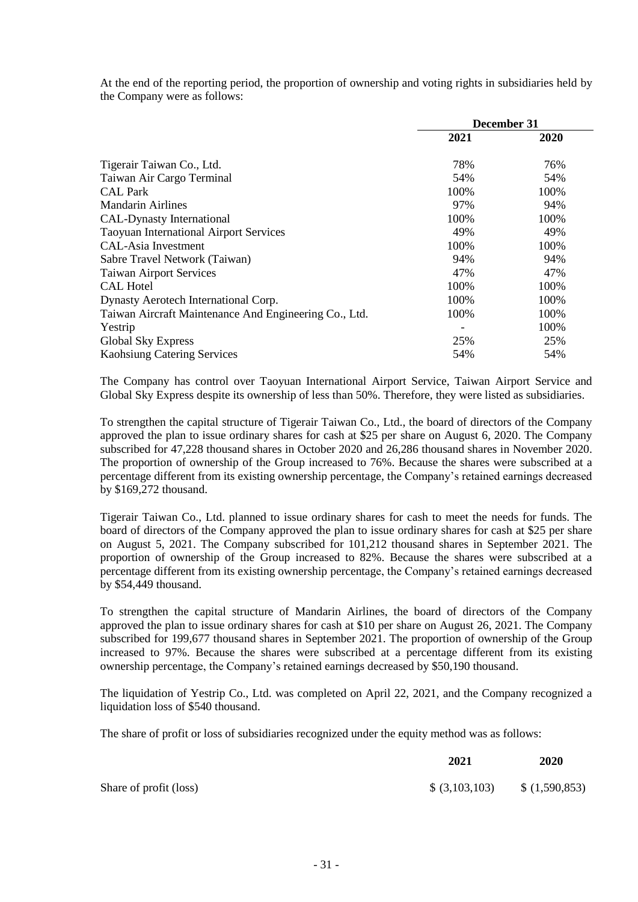At the end of the reporting period, the proportion of ownership and voting rights in subsidiaries held by the Company were as follows:

|                                                       | December 31 |             |
|-------------------------------------------------------|-------------|-------------|
|                                                       | 2021        | <b>2020</b> |
| Tigerair Taiwan Co., Ltd.                             | 78%         | 76%         |
| Taiwan Air Cargo Terminal                             | 54%         | 54%         |
| <b>CAL Park</b>                                       | 100%        | 100%        |
| <b>Mandarin Airlines</b>                              | 97%         | 94%         |
| CAL-Dynasty International                             | 100%        | 100%        |
| <b>Taoyuan International Airport Services</b>         | 49%         | 49%         |
| CAL-Asia Investment                                   | 100%        | 100%        |
| Sabre Travel Network (Taiwan)                         | 94%         | 94%         |
| <b>Taiwan Airport Services</b>                        | 47%         | 47%         |
| <b>CAL Hotel</b>                                      | 100%        | 100%        |
| Dynasty Aerotech International Corp.                  | 100%        | 100%        |
| Taiwan Aircraft Maintenance And Engineering Co., Ltd. | 100%        | 100%        |
| Yestrip                                               |             | 100%        |
| <b>Global Sky Express</b>                             | 25%         | 25%         |
| <b>Kaohsiung Catering Services</b>                    | 54%         | 54%         |

The Company has control over Taoyuan International Airport Service, Taiwan Airport Service and Global Sky Express despite its ownership of less than 50%. Therefore, they were listed as subsidiaries.

To strengthen the capital structure of Tigerair Taiwan Co., Ltd., the board of directors of the Company approved the plan to issue ordinary shares for cash at \$25 per share on August 6, 2020. The Company subscribed for 47,228 thousand shares in October 2020 and 26,286 thousand shares in November 2020. The proportion of ownership of the Group increased to 76%. Because the shares were subscribed at a percentage different from its existing ownership percentage, the Company's retained earnings decreased by \$169,272 thousand.

Tigerair Taiwan Co., Ltd. planned to issue ordinary shares for cash to meet the needs for funds. The board of directors of the Company approved the plan to issue ordinary shares for cash at \$25 per share on August 5, 2021. The Company subscribed for 101,212 thousand shares in September 2021. The proportion of ownership of the Group increased to 82%. Because the shares were subscribed at a percentage different from its existing ownership percentage, the Company's retained earnings decreased by \$54,449 thousand.

To strengthen the capital structure of Mandarin Airlines, the board of directors of the Company approved the plan to issue ordinary shares for cash at \$10 per share on August 26, 2021. The Company subscribed for 199,677 thousand shares in September 2021. The proportion of ownership of the Group increased to 97%. Because the shares were subscribed at a percentage different from its existing ownership percentage, the Company's retained earnings decreased by \$50,190 thousand.

The liquidation of Yestrip Co., Ltd. was completed on April 22, 2021, and the Company recognized a liquidation loss of \$540 thousand.

The share of profit or loss of subsidiaries recognized under the equity method was as follows:

|                        | 2021           | 2020          |
|------------------------|----------------|---------------|
| Share of profit (loss) | \$ (3,103,103) | \$(1,590,853) |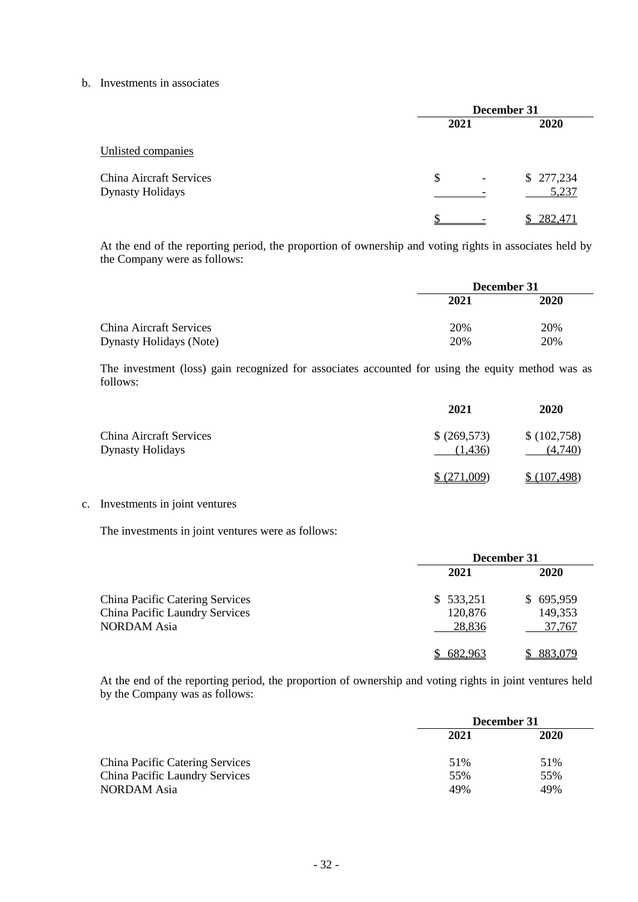#### b. Investments in associates

|                                                    | December 31 |                                                      |                    |  |
|----------------------------------------------------|-------------|------------------------------------------------------|--------------------|--|
|                                                    | 2021        | 2020                                                 |                    |  |
| Unlisted companies                                 |             |                                                      |                    |  |
| China Aircraft Services<br><b>Dynasty Holidays</b> | \$          | $\overline{\phantom{a}}$<br>$\overline{\phantom{0}}$ | \$277,234<br>5,237 |  |
|                                                    |             |                                                      | 282,471            |  |

At the end of the reporting period, the proportion of ownership and voting rights in associates held by the Company were as follows:

|                                | December 31 |      |  |
|--------------------------------|-------------|------|--|
|                                | 2021        | 2020 |  |
| <b>China Aircraft Services</b> | 20%         | 20%  |  |
| Dynasty Holidays (Note)        | 20%         | 20%  |  |

The investment (loss) gain recognized for associates accounted for using the equity method was as follows:

|                                                    | 2021                     | 2020                   |
|----------------------------------------------------|--------------------------|------------------------|
| China Aircraft Services<br><b>Dynasty Holidays</b> | \$ (269,573)<br>(1, 436) | \$(102,758)<br>(4,740) |
|                                                    | \$ (271,009)             | \$(107, 498)           |

#### c. Investments in joint ventures

The investments in joint ventures were as follows:

|                                                                                                | December 31                    |                                    |  |  |
|------------------------------------------------------------------------------------------------|--------------------------------|------------------------------------|--|--|
|                                                                                                | 2021                           | 2020                               |  |  |
| <b>China Pacific Catering Services</b><br>China Pacific Laundry Services<br><b>NORDAM</b> Asia | \$533,251<br>120,876<br>28,836 | 695,959<br>S.<br>149,353<br>37,767 |  |  |
|                                                                                                | 682,963                        | 883,079                            |  |  |

At the end of the reporting period, the proportion of ownership and voting rights in joint ventures held by the Company was as follows:

|                                        | December 31 |      |  |
|----------------------------------------|-------------|------|--|
|                                        | 2021        | 2020 |  |
| <b>China Pacific Catering Services</b> | 51%         | 51%  |  |
| China Pacific Laundry Services         | 55%         | 55%  |  |
| <b>NORDAM</b> Asia                     | 49%         | 49%  |  |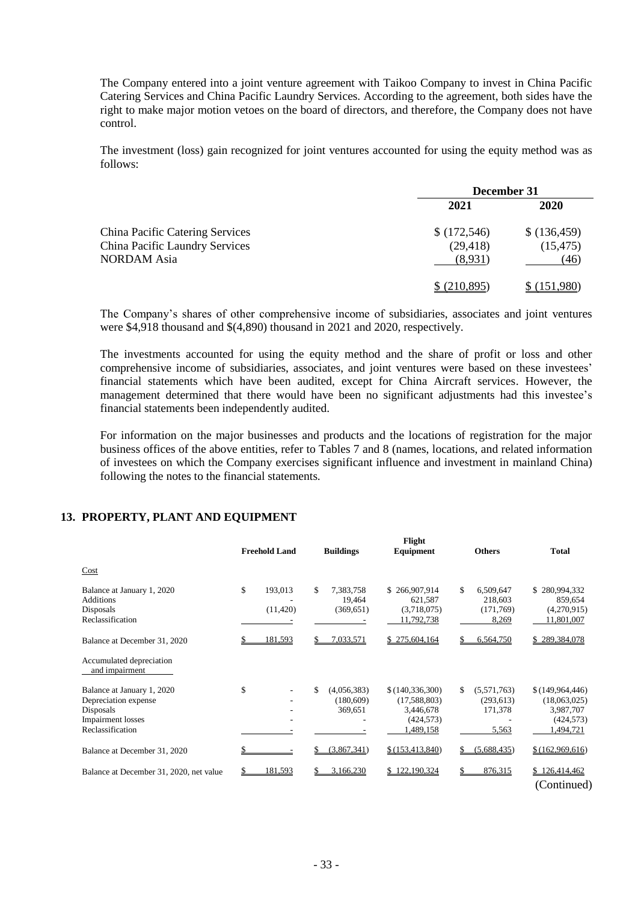The Company entered into a joint venture agreement with Taikoo Company to invest in China Pacific Catering Services and China Pacific Laundry Services. According to the agreement, both sides have the right to make major motion vetoes on the board of directors, and therefore, the Company does not have control.

The investment (loss) gain recognized for joint ventures accounted for using the equity method was as follows:

|                                                                                                | December 31                        |                                   |  |  |
|------------------------------------------------------------------------------------------------|------------------------------------|-----------------------------------|--|--|
|                                                                                                | 2021                               | <b>2020</b>                       |  |  |
| <b>China Pacific Catering Services</b><br>China Pacific Laundry Services<br><b>NORDAM Asia</b> | (172, 546)<br>(29, 418)<br>(8,931) | \$(136, 459)<br>(15, 475)<br>(46) |  |  |
|                                                                                                | \$ (210,895)                       | \$ (151.980)                      |  |  |

The Company's shares of other comprehensive income of subsidiaries, associates and joint ventures were \$4,918 thousand and \$(4,890) thousand in 2021 and 2020, respectively.

The investments accounted for using the equity method and the share of profit or loss and other comprehensive income of subsidiaries, associates, and joint ventures were based on these investees' financial statements which have been audited, except for China Aircraft services. However, the management determined that there would have been no significant adjustments had this investee's financial statements been independently audited.

For information on the major businesses and products and the locations of registration for the major business offices of the above entities, refer to Tables 7 and 8 (names, locations, and related information of investees on which the Company exercises significant influence and investment in mainland China) following the notes to the financial statements.

#### **13. PROPERTY, PLANT AND EQUIPMENT**

|                                                                                                                 | <b>Freehold Land</b>       |    | <b>Buildings</b>                    | Flight<br>Equipment                                                       | <b>Others</b>                                       | <b>Total</b>                                                              |
|-----------------------------------------------------------------------------------------------------------------|----------------------------|----|-------------------------------------|---------------------------------------------------------------------------|-----------------------------------------------------|---------------------------------------------------------------------------|
| Cost                                                                                                            |                            |    |                                     |                                                                           |                                                     |                                                                           |
| Balance at January 1, 2020<br><b>Additions</b><br>Disposals<br>Reclassification                                 | \$<br>193,013<br>(11, 420) | \$ | 7,383,758<br>19,464<br>(369, 651)   | 266,907,914<br>\$<br>621,587<br>(3,718,075)<br>11,792,738                 | \$<br>6,509,647<br>218,603<br>(171, 769)<br>8,269   | 280,994,332<br>S.<br>859,654<br>(4,270,915)<br>11,801,007                 |
| Balance at December 31, 2020                                                                                    | <u>181,593</u>             | S. | 7,033,571                           | \$275,604,164                                                             | 6,564,750                                           | 289,384,078<br>S                                                          |
| Accumulated depreciation<br>and impairment                                                                      |                            |    |                                     |                                                                           |                                                     |                                                                           |
| Balance at January 1, 2020<br>Depreciation expense<br>Disposals<br><b>Impairment</b> losses<br>Reclassification | \$                         | \$ | (4,056,383)<br>(180,609)<br>369,651 | \$(140, 336, 300)<br>(17,588,803)<br>3,446,678<br>(424, 573)<br>1,489,158 | \$<br>(5,571,763)<br>(293, 613)<br>171,378<br>5,563 | \$(149, 964, 446)<br>(18,063,025)<br>3,987,707<br>(424, 573)<br>1,494,721 |
| Balance at December 31, 2020                                                                                    |                            |    | (3,867,341)                         | \$(153, 413, 840)                                                         | (5,688,435)                                         | \$(162,969,616)                                                           |
| Balance at December 31, 2020, net value                                                                         | <u>181,593</u>             |    | 3,166,230                           | \$122,190,324                                                             | 876,315                                             | \$126,414,462<br>(Continued)                                              |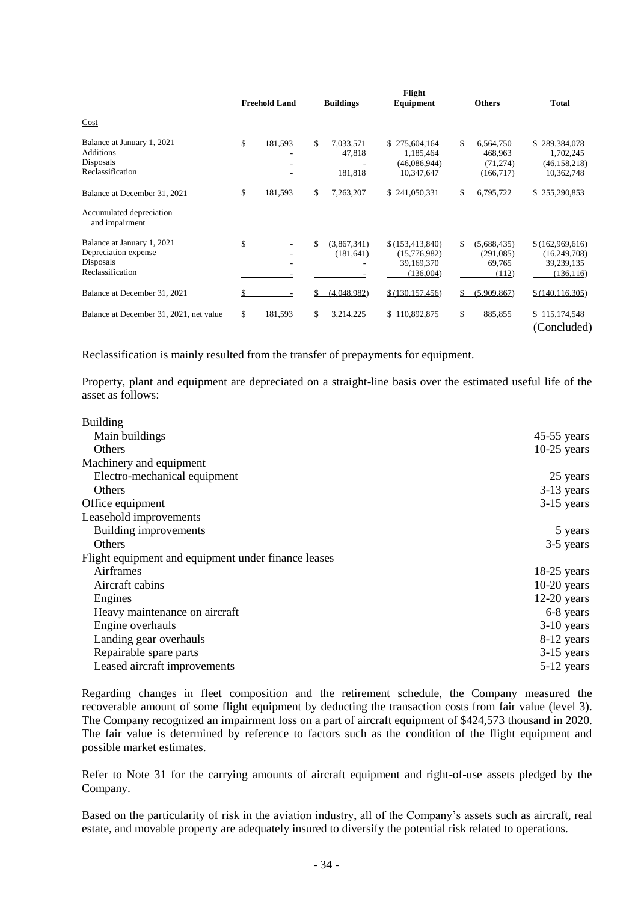|                                                                                     | <b>Freehold Land</b> |                | <b>Buildings</b>                     | Flight<br>Equipment                                          | <b>Others</b>                                         | <b>Total</b>                                                |
|-------------------------------------------------------------------------------------|----------------------|----------------|--------------------------------------|--------------------------------------------------------------|-------------------------------------------------------|-------------------------------------------------------------|
| Cost                                                                                |                      |                |                                      |                                                              |                                                       |                                                             |
| Balance at January 1, 2021<br><b>Additions</b><br>Disposals<br>Reclassification     | \$                   | 181,593        | \$<br>7,033,571<br>47,818<br>181,818 | \$275,604,164<br>1,185,464<br>(46,086,944)<br>10,347,647     | \$<br>6,564,750<br>468,963<br>(71, 274)<br>(166, 717) | \$289,384,078<br>1,702,245<br>(46, 158, 218)<br>10,362,748  |
| Balance at December 31, 2021                                                        |                      | 181,593        | \$<br>7,263,207                      | \$241,050,331                                                | 6,795,722                                             | \$255,290,853                                               |
| Accumulated depreciation<br>and impairment                                          |                      |                |                                      |                                                              |                                                       |                                                             |
| Balance at January 1, 2021<br>Depreciation expense<br>Disposals<br>Reclassification | \$                   |                | \$<br>(3,867,341)<br>(181, 641)      | \$(153, 413, 840)<br>(15,776,982)<br>39,169,370<br>(136,004) | \$<br>(5,688,435)<br>(291.085)<br>69,765<br>(112)     | \$(162,969,616)<br>(16,249,708)<br>39,239,135<br>(136, 116) |
| Balance at December 31, 2021                                                        |                      |                | (4,048,982)                          | \$(130, 157, 456)                                            | (5,909,867)                                           | \$(140, 116, 305)                                           |
| Balance at December 31, 2021, net value                                             |                      | <u>181,593</u> | \$<br>3,214,225                      | \$110,892,875                                                | 885,855                                               | \$115,174,548<br>(Concluded)                                |

Reclassification is mainly resulted from the transfer of prepayments for equipment.

Property, plant and equipment are depreciated on a straight-line basis over the estimated useful life of the asset as follows:

| <b>Building</b>                                     |               |
|-----------------------------------------------------|---------------|
| Main buildings                                      | $45-55$ years |
| <b>Others</b>                                       | $10-25$ years |
| Machinery and equipment                             |               |
| Electro-mechanical equipment                        | 25 years      |
| Others                                              | $3-13$ years  |
| Office equipment                                    | $3-15$ years  |
| Leasehold improvements                              |               |
| Building improvements                               | 5 years       |
| Others                                              | 3-5 years     |
| Flight equipment and equipment under finance leases |               |
| Airframes                                           | $18-25$ years |
| Aircraft cabins                                     | $10-20$ years |
| Engines                                             | $12-20$ years |
| Heavy maintenance on aircraft                       | 6-8 years     |
| Engine overhauls                                    | $3-10$ years  |
| Landing gear overhauls                              | 8-12 years    |
| Repairable spare parts                              | $3-15$ years  |
| Leased aircraft improvements                        | 5-12 years    |

Regarding changes in fleet composition and the retirement schedule, the Company measured the recoverable amount of some flight equipment by deducting the transaction costs from fair value (level 3). The Company recognized an impairment loss on a part of aircraft equipment of \$424,573 thousand in 2020. The fair value is determined by reference to factors such as the condition of the flight equipment and possible market estimates.

Refer to Note 31 for the carrying amounts of aircraft equipment and right-of-use assets pledged by the Company.

Based on the particularity of risk in the aviation industry, all of the Company's assets such as aircraft, real estate, and movable property are adequately insured to diversify the potential risk related to operations.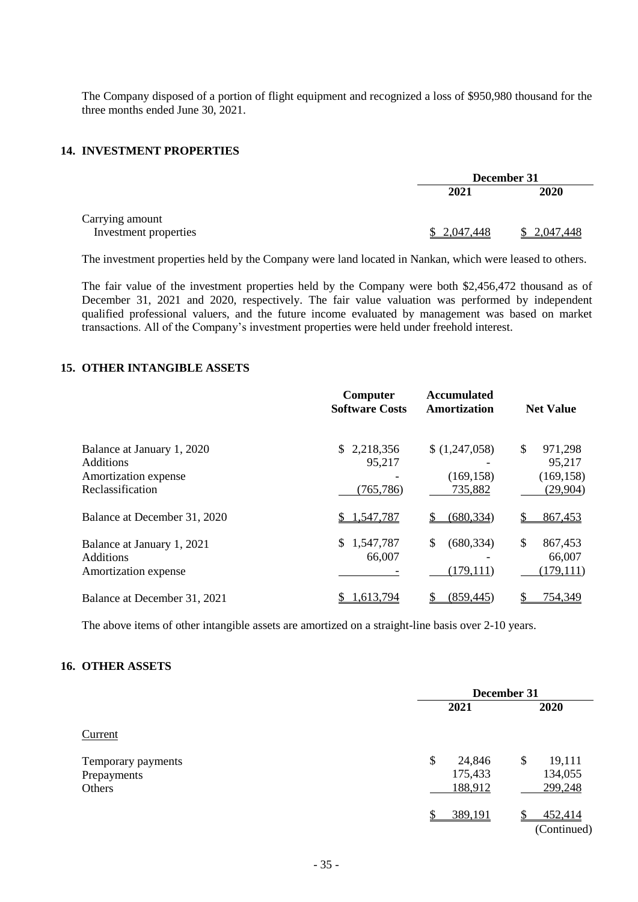The Company disposed of a portion of flight equipment and recognized a loss of \$950,980 thousand for the three months ended June 30, 2021.

## **14. INVESTMENT PROPERTIES**

|                       |             | December 31 |  |  |
|-----------------------|-------------|-------------|--|--|
|                       | 2021        | 2020        |  |  |
| Carrying amount       |             |             |  |  |
| Investment properties | \$2,047,448 | \$2,047,448 |  |  |

The investment properties held by the Company were land located in Nankan, which were leased to others.

The fair value of the investment properties held by the Company were both \$2,456,472 thousand as of December 31, 2021 and 2020, respectively. The fair value valuation was performed by independent qualified professional valuers, and the future income evaluated by management was based on market transactions. All of the Company's investment properties were held under freehold interest.

#### **15. OTHER INTANGIBLE ASSETS**

|                                                                                            | Computer<br><b>Software Costs</b>       | <b>Accumulated</b><br>Amortization     | <b>Net Value</b>                                   |  |
|--------------------------------------------------------------------------------------------|-----------------------------------------|----------------------------------------|----------------------------------------------------|--|
| Balance at January 1, 2020<br><b>Additions</b><br>Amortization expense<br>Reclassification | 2,218,356<br>S.<br>95,217<br>(765, 786) | \$(1,247,058)<br>(169, 158)<br>735,882 | \$<br>971,298<br>95,217<br>(169, 158)<br>(29, 904) |  |
| Balance at December 31, 2020                                                               | 1,547,787                               | (680, 334)                             | 867,453                                            |  |
| Balance at January 1, 2021<br><b>Additions</b><br>Amortization expense                     | 1,547,787<br>\$.<br>66,007              | \$<br>(680, 334)<br>(179, 111)         | \$<br>867,453<br>66,007<br>(179, 111)              |  |
| Balance at December 31, 2021                                                               | 1,613,794                               | (859, 445)                             | 754,349                                            |  |

The above items of other intangible assets are amortized on a straight-line basis over 2-10 years.

## **16. OTHER ASSETS**

|                                             | December 31                        |                                    |
|---------------------------------------------|------------------------------------|------------------------------------|
|                                             | 2021                               | 2020                               |
| Current                                     |                                    |                                    |
| Temporary payments<br>Prepayments<br>Others | \$<br>24,846<br>175,433<br>188,912 | \$<br>19,111<br>134,055<br>299,248 |
|                                             | 389,191                            | \$<br>452,414<br>(Continued)       |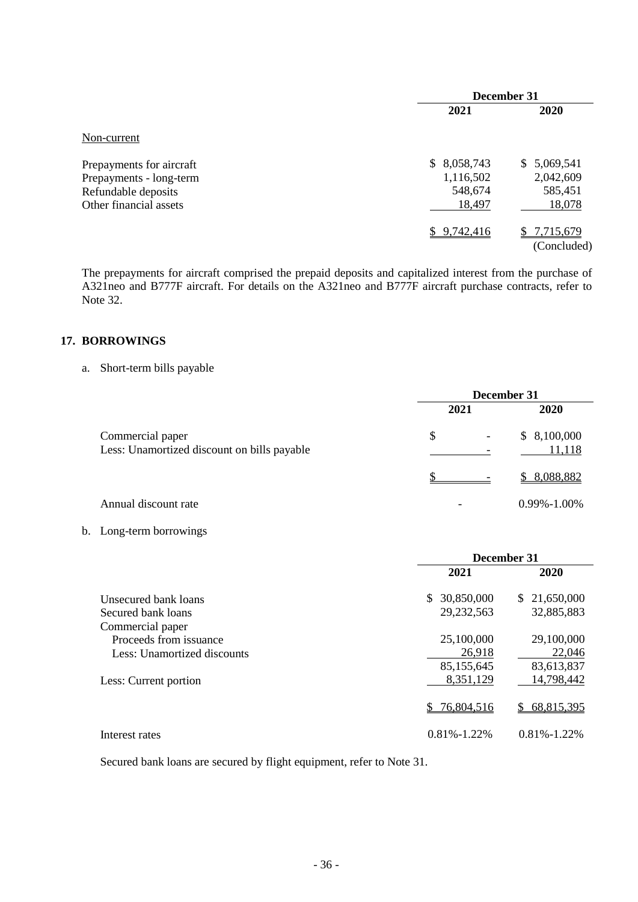|                          | December 31 |                           |  |
|--------------------------|-------------|---------------------------|--|
|                          | 2021        | <b>2020</b>               |  |
| Non-current              |             |                           |  |
| Prepayments for aircraft | \$8,058,743 | 5,069,541<br><sup>S</sup> |  |
| Prepayments - long-term  | 1,116,502   | 2,042,609                 |  |
| Refundable deposits      | 548,674     | 585,451                   |  |
| Other financial assets   | 18,497      | 18,078                    |  |
|                          | \$9,742,416 | 7,715,679<br>\$           |  |
|                          |             | (Concluded)               |  |

The prepayments for aircraft comprised the prepaid deposits and capitalized interest from the purchase of A321neo and B777F aircraft. For details on the A321neo and B777F aircraft purchase contracts, refer to Note 32.

## **17. BORROWINGS**

#### a. Short-term bills payable

|                                                                 | December 31 |   |                       |
|-----------------------------------------------------------------|-------------|---|-----------------------|
|                                                                 | 2021        |   | 2020                  |
| Commercial paper<br>Less: Unamortized discount on bills payable | \$          | - | \$8,100,000<br>11,118 |
|                                                                 |             |   | 8,088,882             |
| Annual discount rate                                            |             |   | $0.99\% - 1.00\%$     |

b. Long-term borrowings

|                             | December 31       |                   |  |
|-----------------------------|-------------------|-------------------|--|
|                             | 2021              | 2020              |  |
| Unsecured bank loans        | 30,850,000        | \$21,650,000      |  |
| Secured bank loans          | 29,232,563        | 32,885,883        |  |
| Commercial paper            |                   |                   |  |
| Proceeds from issuance      | 25,100,000        | 29,100,000        |  |
| Less: Unamortized discounts | 26,918            | 22,046            |  |
|                             | 85,155,645        | 83,613,837        |  |
| Less: Current portion       | 8,351,129         | 14,798,442        |  |
|                             | 76,804,516        | 68,815,395<br>S.  |  |
| Interest rates              | $0.81\% - 1.22\%$ | $0.81\% - 1.22\%$ |  |

Secured bank loans are secured by flight equipment, refer to Note 31.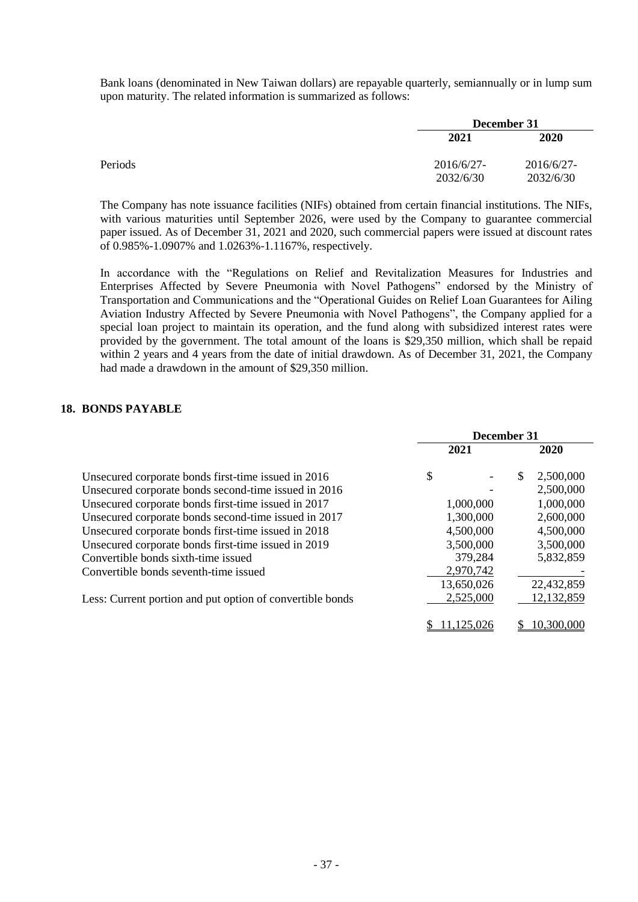Bank loans (denominated in New Taiwan dollars) are repayable quarterly, semiannually or in lump sum upon maturity. The related information is summarized as follows:

|         | December 31                |                            |  |
|---------|----------------------------|----------------------------|--|
|         | 2021                       | 2020                       |  |
| Periods | $2016/6/27$ -<br>2032/6/30 | $2016/6/27$ -<br>2032/6/30 |  |

The Company has note issuance facilities (NIFs) obtained from certain financial institutions. The NIFs, with various maturities until September 2026, were used by the Company to guarantee commercial paper issued. As of December 31, 2021 and 2020, such commercial papers were issued at discount rates of 0.985%-1.0907% and 1.0263%-1.1167%, respectively.

In accordance with the "Regulations on Relief and Revitalization Measures for Industries and Enterprises Affected by Severe Pneumonia with Novel Pathogens" endorsed by the Ministry of Transportation and Communications and the "Operational Guides on Relief Loan Guarantees for Ailing Aviation Industry Affected by Severe Pneumonia with Novel Pathogens", the Company applied for a special loan project to maintain its operation, and the fund along with subsidized interest rates were provided by the government. The total amount of the loans is \$29,350 million, which shall be repaid within 2 years and 4 years from the date of initial drawdown. As of December 31, 2021, the Company had made a drawdown in the amount of \$29,350 million.

## **18. BONDS PAYABLE**

|                                                           | December 31 |            |    |            |
|-----------------------------------------------------------|-------------|------------|----|------------|
|                                                           |             | 2021       |    | 2020       |
| Unsecured corporate bonds first-time issued in 2016       | \$          |            | \$ | 2,500,000  |
| Unsecured corporate bonds second-time issued in 2016      |             |            |    | 2,500,000  |
| Unsecured corporate bonds first-time issued in 2017       |             | 1,000,000  |    | 1,000,000  |
| Unsecured corporate bonds second-time issued in 2017      |             | 1,300,000  |    | 2,600,000  |
| Unsecured corporate bonds first-time issued in 2018       |             | 4,500,000  |    | 4,500,000  |
| Unsecured corporate bonds first-time issued in 2019       |             | 3,500,000  |    | 3,500,000  |
| Convertible bonds sixth-time issued                       |             | 379,284    |    | 5,832,859  |
| Convertible bonds seventh-time issued                     |             | 2,970,742  |    |            |
|                                                           |             | 13,650,026 |    | 22,432,859 |
| Less: Current portion and put option of convertible bonds |             | 2,525,000  |    | 12,132,859 |
|                                                           |             | 125.020    |    | 10.300.000 |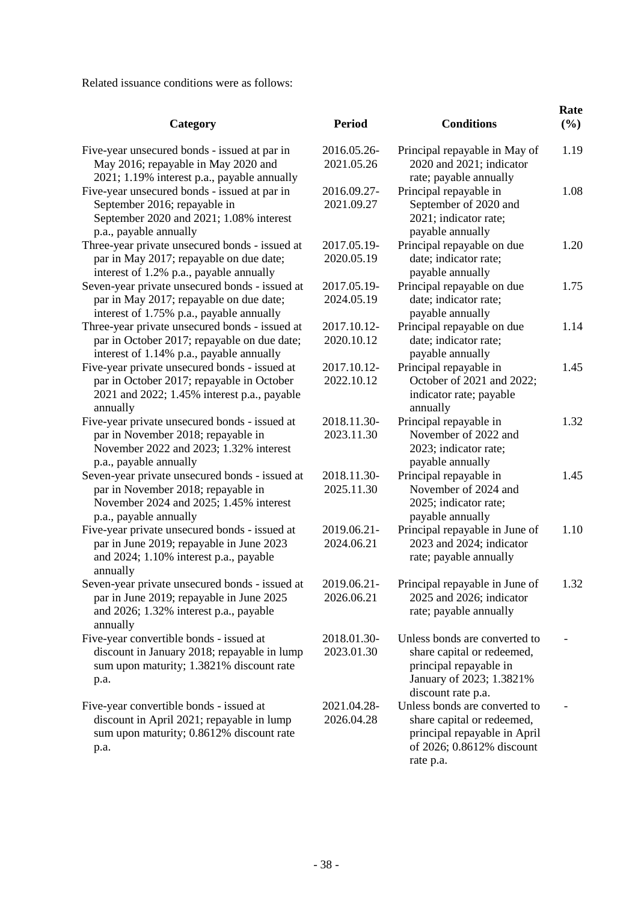Related issuance conditions were as follows:

## $$

| Five-year unsecured bonds - issued at par in |  |
|----------------------------------------------|--|
| May 2016; repayable in May 2020 and          |  |
| 2021; 1.19% interest p.a., payable annually  |  |
|                                              |  |

- Five-year unsecured bonds issued at par in September 2016; repayable in September 2020 and 2021; 1.08% interest p.a., payable annually
- Three-year private unsecured bonds issued at par in May 2017; repayable on due date; interest of 1.2% p.a., payable annually
- Seven-year private unsecured bonds issued at par in May 2017; repayable on due date; interest of 1.75% p.a., payable annually
- Three-year private unsecured bonds issued at par in October 2017; repayable on due date; interest of 1.14% p.a., payable annually
- Five-year private unsecured bonds issued at par in October 2017; repayable in October 2021 and 2022; 1.45% interest p.a., payable annually
- Five-year private unsecured bonds issued at par in November 2018; repayable in November 2022 and 2023; 1.32% interest p.a., payable annually
- Seven-year private unsecured bonds issued at par in November 2018; repayable in November 2024 and 2025; 1.45% interest p.a., payable annually
- Five-year private unsecured bonds issued at par in June 2019; repayable in June 2023 and 2024; 1.10% interest p.a., payable annually
- Seven-year private unsecured bonds issued at par in June 2019; repayable in June 2025 and 2026; 1.32% interest p.a., payable annually
- Five-year convertible bonds issued at discount in January 2018; repayable in lump sum upon maturity; 1.3821% discount rate p.a.

Five-year convertible bonds - issued at discount in April 2021; repayable in lump sum upon maturity; 0.8612% discount rate p.a.

| <b>Period</b>             | <b>Conditions</b>                                                                                                                       | Rate<br>(%) |
|---------------------------|-----------------------------------------------------------------------------------------------------------------------------------------|-------------|
| 2016.05.26-<br>2021.05.26 | Principal repayable in May of<br>2020 and 2021; indicator                                                                               | 1.19        |
| 2016.09.27-<br>2021.09.27 | rate; payable annually<br>Principal repayable in<br>September of 2020 and<br>2021; indicator rate;                                      | 1.08        |
| 2017.05.19-<br>2020.05.19 | payable annually<br>Principal repayable on due<br>date; indicator rate;<br>payable annually                                             | 1.20        |
| 2017.05.19-<br>2024.05.19 | Principal repayable on due<br>date; indicator rate;<br>payable annually                                                                 | 1.75        |
| 2017.10.12-<br>2020.10.12 | Principal repayable on due<br>date; indicator rate;<br>payable annually                                                                 | 1.14        |
| 2017.10.12-<br>2022.10.12 | Principal repayable in<br>October of 2021 and 2022;<br>indicator rate; payable<br>annually                                              | 1.45        |
| 2018.11.30-<br>2023.11.30 | Principal repayable in<br>November of 2022 and<br>2023; indicator rate;<br>payable annually                                             | 1.32        |
| 2018.11.30-<br>2025.11.30 | Principal repayable in<br>November of 2024 and<br>2025; indicator rate;<br>payable annually                                             | 1.45        |
| 2019.06.21-<br>2024.06.21 | Principal repayable in June of<br>2023 and 2024; indicator<br>rate; payable annually                                                    | 1.10        |
| 2019.06.21-<br>2026.06.21 | Principal repayable in June of<br>2025 and 2026; indicator<br>rate; payable annually                                                    | 1.32        |
| 2018.01.30-<br>2023.01.30 | Unless bonds are converted to<br>share capital or redeemed,<br>principal repayable in<br>January of 2023; 1.3821%<br>discount rate p.a. |             |
| 2021.04.28-<br>2026.04.28 | Unless bonds are converted to<br>share capital or redeemed,<br>principal repayable in April<br>of 2026; 0.8612% discount<br>rate p.a.   |             |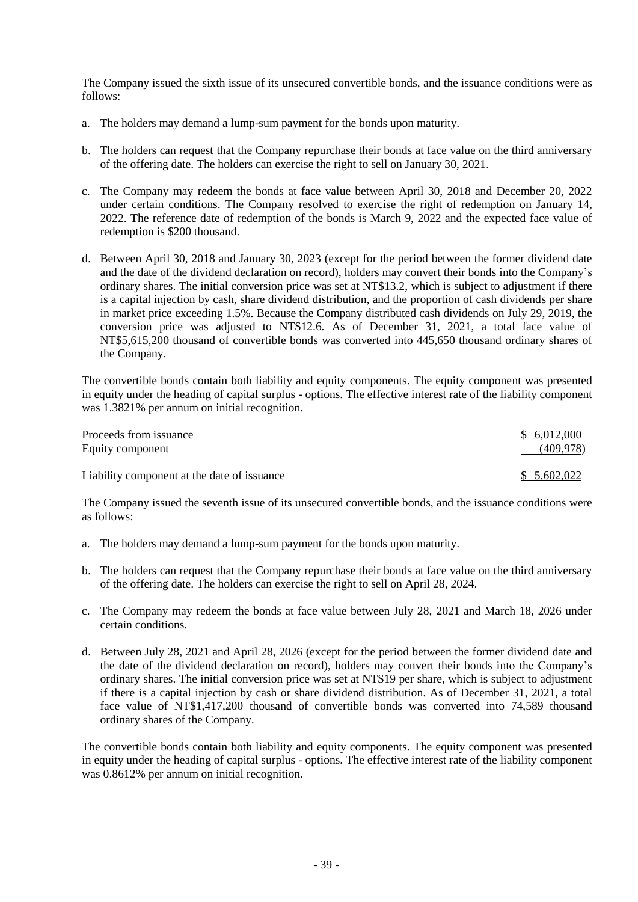The Company issued the sixth issue of its unsecured convertible bonds, and the issuance conditions were as follows:

- a. The holders may demand a lump-sum payment for the bonds upon maturity.
- b. The holders can request that the Company repurchase their bonds at face value on the third anniversary of the offering date. The holders can exercise the right to sell on January 30, 2021.
- c. The Company may redeem the bonds at face value between April 30, 2018 and December 20, 2022 under certain conditions. The Company resolved to exercise the right of redemption on January 14, 2022. The reference date of redemption of the bonds is March 9, 2022 and the expected face value of redemption is \$200 thousand.
- d. Between April 30, 2018 and January 30, 2023 (except for the period between the former dividend date and the date of the dividend declaration on record), holders may convert their bonds into the Company's ordinary shares. The initial conversion price was set at NT\$13.2, which is subject to adjustment if there is a capital injection by cash, share dividend distribution, and the proportion of cash dividends per share in market price exceeding 1.5%. Because the Company distributed cash dividends on July 29, 2019, the conversion price was adjusted to NT\$12.6. As of December 31, 2021, a total face value of NT\$5,615,200 thousand of convertible bonds was converted into 445,650 thousand ordinary shares of the Company.

The convertible bonds contain both liability and equity components. The equity component was presented in equity under the heading of capital surplus - options. The effective interest rate of the liability component was 1.3821% per annum on initial recognition.

| Proceeds from issuance<br>Equity component  | \$6,012,000<br>(409, 978) |
|---------------------------------------------|---------------------------|
| Liability component at the date of issuance | \$5,602,022               |

The Company issued the seventh issue of its unsecured convertible bonds, and the issuance conditions were as follows:

- a. The holders may demand a lump-sum payment for the bonds upon maturity.
- b. The holders can request that the Company repurchase their bonds at face value on the third anniversary of the offering date. The holders can exercise the right to sell on April 28, 2024.
- c. The Company may redeem the bonds at face value between July 28, 2021 and March 18, 2026 under certain conditions.
- d. Between July 28, 2021 and April 28, 2026 (except for the period between the former dividend date and the date of the dividend declaration on record), holders may convert their bonds into the Company's ordinary shares. The initial conversion price was set at NT\$19 per share, which is subject to adjustment if there is a capital injection by cash or share dividend distribution. As of December 31, 2021, a total face value of NT\$1,417,200 thousand of convertible bonds was converted into 74,589 thousand ordinary shares of the Company.

The convertible bonds contain both liability and equity components. The equity component was presented in equity under the heading of capital surplus - options. The effective interest rate of the liability component was 0.8612% per annum on initial recognition.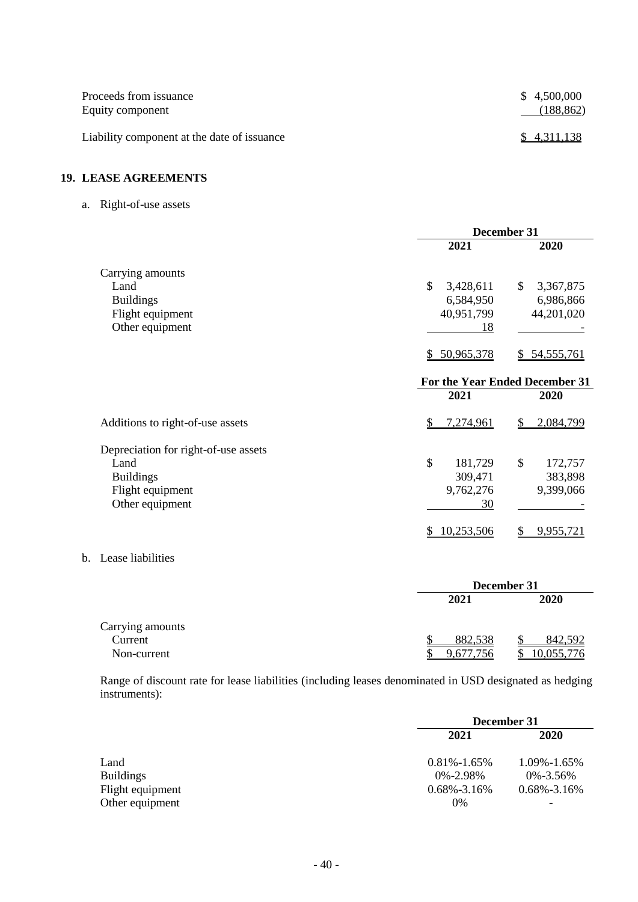| Proceeds from issuance<br>Equity component  | \$4,500,000<br>(188, 862) |
|---------------------------------------------|---------------------------|
| Liability component at the date of issuance | \$4,311,138               |

## **19. LEASE AGREEMENTS**

## a. Right-of-use assets

|                                      | December 31                |                                |  |
|--------------------------------------|----------------------------|--------------------------------|--|
|                                      | 2021                       | 2020                           |  |
| Carrying amounts                     |                            |                                |  |
| Land                                 | $\mathcal{S}$<br>3,428,611 | $\mathbb{S}$<br>3,367,875      |  |
| <b>Buildings</b>                     | 6,584,950                  | 6,986,866                      |  |
| Flight equipment                     | 40,951,799                 | 44,201,020                     |  |
| Other equipment                      | 18                         |                                |  |
|                                      | \$50,965,378               | \$54,555,761                   |  |
|                                      |                            | For the Year Ended December 31 |  |
|                                      | 2021                       | 2020                           |  |
| Additions to right-of-use assets     | 7,274,961<br>\$            | 2,084,799<br>S                 |  |
| Depreciation for right-of-use assets |                            |                                |  |
| Land                                 | \$<br>181,729              | $\mathcal{S}$<br>172,757       |  |
| <b>Buildings</b>                     | 309,471                    | 383,898                        |  |
| Flight equipment                     | 9,762,276                  | 9,399,066                      |  |
| Other equipment                      | 30                         |                                |  |
|                                      | 10,253,506                 | 9,955,721                      |  |

# b. Lease liabilities

|                  |         | December 31       |  |  |
|------------------|---------|-------------------|--|--|
|                  | 2021    | 2020              |  |  |
| Carrying amounts |         |                   |  |  |
| Current          | 882,538 | 842,592           |  |  |
| Non-current      | .01     | <u>10,055,776</u> |  |  |

Range of discount rate for lease liabilities (including leases denominated in USD designated as hedging instruments):

|                  | December 31       |                   |  |
|------------------|-------------------|-------------------|--|
|                  | 2021              | 2020              |  |
| Land             | $0.81\% - 1.65\%$ | 1.09%-1.65%       |  |
| <b>Buildings</b> | $0\% - 2.98\%$    | $0\% - 3.56\%$    |  |
| Flight equipment | $0.68\% - 3.16\%$ | $0.68\% - 3.16\%$ |  |
| Other equipment  | $0\%$             | -                 |  |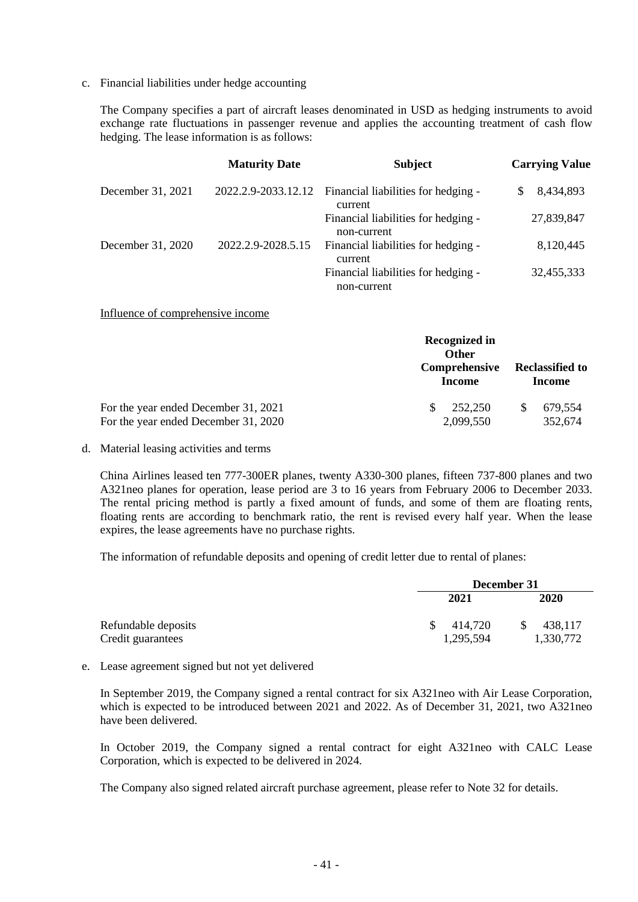c. Financial liabilities under hedge accounting

The Company specifies a part of aircraft leases denominated in USD as hedging instruments to avoid exchange rate fluctuations in passenger revenue and applies the accounting treatment of cash flow hedging. The lease information is as follows:

|                   | <b>Maturity Date</b> | <b>Subject</b>                                     | <b>Carrying Value</b> |
|-------------------|----------------------|----------------------------------------------------|-----------------------|
| December 31, 2021 | 2022.2.9-2033.12.12  | Financial liabilities for hedging -<br>current     | 8,434,893             |
|                   |                      | Financial liabilities for hedging -<br>non-current | 27,839,847            |
| December 31, 2020 | 2022.2.9-2028.5.15   | Financial liabilities for hedging -<br>current     | 8,120,445             |
|                   |                      | Financial liabilities for hedging -<br>non-current | 32,455,333            |

Influence of comprehensive income

|                                                                              | <b>Recognized in</b><br><b>Other</b><br>Comprehensive<br><b>Reclassified to</b><br><b>Income</b><br><b>Income</b> |                         |  |
|------------------------------------------------------------------------------|-------------------------------------------------------------------------------------------------------------------|-------------------------|--|
| For the year ended December 31, 2021<br>For the year ended December 31, 2020 | 252,250<br>2,099,550                                                                                              | 679,554<br>S<br>352,674 |  |

d. Material leasing activities and terms

China Airlines leased ten 777-300ER planes, twenty A330-300 planes, fifteen 737-800 planes and two A321neo planes for operation, lease period are 3 to 16 years from February 2006 to December 2033. The rental pricing method is partly a fixed amount of funds, and some of them are floating rents, floating rents are according to benchmark ratio, the rent is revised every half year. When the lease expires, the lease agreements have no purchase rights.

The information of refundable deposits and opening of credit letter due to rental of planes:

|                     | December 31             |               |
|---------------------|-------------------------|---------------|
|                     | 2021                    | 2020          |
| Refundable deposits | 414,720<br><sup>S</sup> | 438,117<br>S. |
| Credit guarantees   | 1,295,594               | 1,330,772     |

e. Lease agreement signed but not yet delivered

In September 2019, the Company signed a rental contract for six A321neo with Air Lease Corporation, which is expected to be introduced between 2021 and 2022. As of December 31, 2021, two A321neo have been delivered.

In October 2019, the Company signed a rental contract for eight A321neo with CALC Lease Corporation, which is expected to be delivered in 2024.

The Company also signed related aircraft purchase agreement, please refer to Note 32 for details.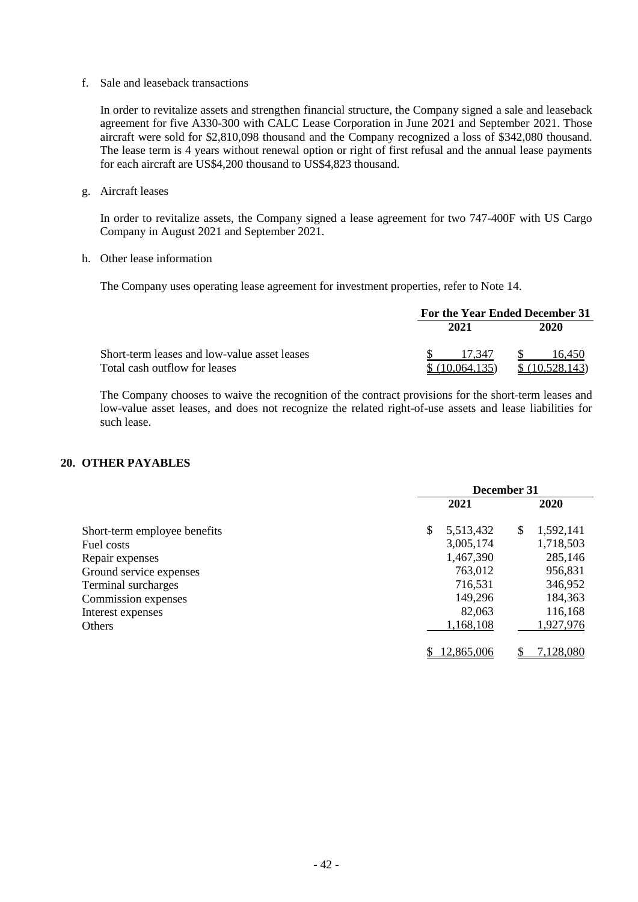f. Sale and leaseback transactions

In order to revitalize assets and strengthen financial structure, the Company signed a sale and leaseback agreement for five A330-300 with CALC Lease Corporation in June 2021 and September 2021. Those aircraft were sold for \$2,810,098 thousand and the Company recognized a loss of \$342,080 thousand. The lease term is 4 years without renewal option or right of first refusal and the annual lease payments for each aircraft are US\$4,200 thousand to US\$4,823 thousand.

g. Aircraft leases

In order to revitalize assets, the Company signed a lease agreement for two 747-400F with US Cargo Company in August 2021 and September 2021.

h. Other lease information

The Company uses operating lease agreement for investment properties, refer to Note 14.

|                                                                               | For the Year Ended December 31 |                          |  |
|-------------------------------------------------------------------------------|--------------------------------|--------------------------|--|
|                                                                               | 2021                           | 2020                     |  |
| Short-term leases and low-value asset leases<br>Total cash outflow for leases | 17 347<br>\$(10.064.135)       | 16.450<br>\$(10.528.143) |  |

The Company chooses to waive the recognition of the contract provisions for the short-term leases and low-value asset leases, and does not recognize the related right-of-use assets and lease liabilities for such lease.

## **20. OTHER PAYABLES**

|                              | December 31 |            |    |           |
|------------------------------|-------------|------------|----|-----------|
|                              |             | 2021       |    | 2020      |
| Short-term employee benefits | \$          | 5,513,432  | \$ | 1,592,141 |
| Fuel costs                   |             | 3,005,174  |    | 1,718,503 |
| Repair expenses              |             | 1,467,390  |    | 285,146   |
| Ground service expenses      |             | 763,012    |    | 956,831   |
| Terminal surcharges          |             | 716,531    |    | 346,952   |
| Commission expenses          |             | 149,296    |    | 184,363   |
| Interest expenses            |             | 82,063     |    | 116,168   |
| <b>Others</b>                |             | 1,168,108  |    | 1,927,976 |
|                              |             | 12,865,006 |    | 7,128,080 |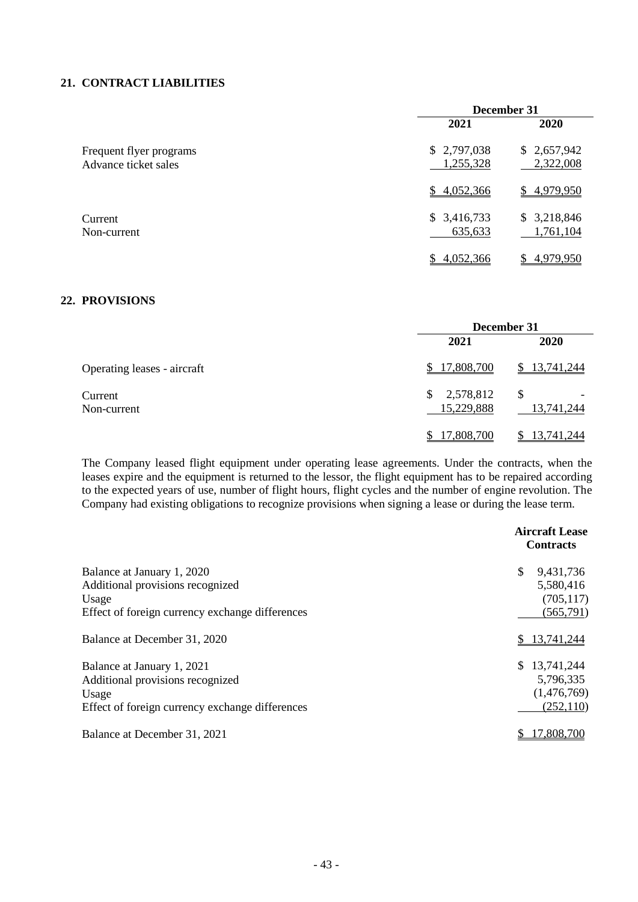## **21. CONTRACT LIABILITIES**

|                                                 | December 31              |                          |
|-------------------------------------------------|--------------------------|--------------------------|
|                                                 | 2021                     | <b>2020</b>              |
| Frequent flyer programs<br>Advance ticket sales | \$2,797,038<br>1,255,328 | \$2,657,942<br>2,322,008 |
|                                                 | \$4,052,366              | \$4,979,950              |
| Current<br>Non-current                          | \$3,416,733<br>635,633   | \$3,218,846<br>1,761,104 |
|                                                 | 4,052,366                | 4,979,950                |

# **22. PROVISIONS**

|                             |                              | December 31                             |  |
|-----------------------------|------------------------------|-----------------------------------------|--|
|                             | 2021                         | 2020                                    |  |
| Operating leases - aircraft | \$17,808,700                 | \$13,741,244                            |  |
| Current<br>Non-current      | 2,578,812<br>S<br>15,229,888 | $\boldsymbol{\mathsf{S}}$<br>13,741,244 |  |
|                             | 17,808,700                   | 13.741.244                              |  |

The Company leased flight equipment under operating lease agreements. Under the contracts, when the leases expire and the equipment is returned to the lessor, the flight equipment has to be repaired according to the expected years of use, number of flight hours, flight cycles and the number of engine revolution. The Company had existing obligations to recognize provisions when signing a lease or during the lease term.

|                                                 | <b>Aircraft Lease</b><br><b>Contracts</b> |
|-------------------------------------------------|-------------------------------------------|
| Balance at January 1, 2020                      | \$<br>9,431,736                           |
| Additional provisions recognized                | 5,580,416                                 |
| Usage                                           | (705, 117)                                |
| Effect of foreign currency exchange differences | (565,791)                                 |
| Balance at December 31, 2020                    | 13,741,244                                |
| Balance at January 1, 2021                      | 13,741,244<br>S.                          |
| Additional provisions recognized                | 5,796,335                                 |
| Usage                                           | (1,476,769)                               |
| Effect of foreign currency exchange differences | (252, 110)                                |
| Balance at December 31, 2021                    | 17,808,700                                |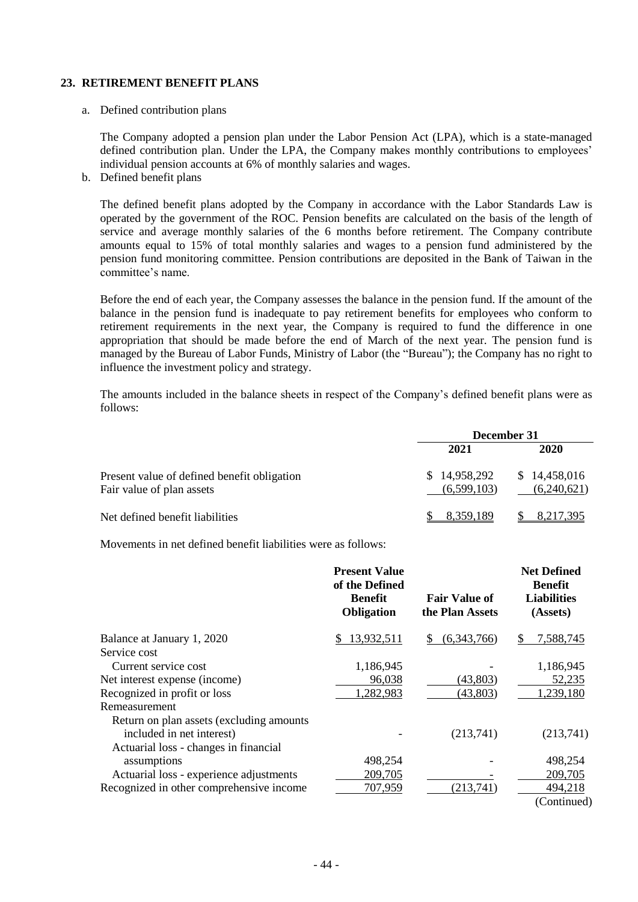#### **23. RETIREMENT BENEFIT PLANS**

a. Defined contribution plans

The Company adopted a pension plan under the Labor Pension Act (LPA), which is a state-managed defined contribution plan. Under the LPA, the Company makes monthly contributions to employees' individual pension accounts at 6% of monthly salaries and wages.

b. Defined benefit plans

The defined benefit plans adopted by the Company in accordance with the Labor Standards Law is operated by the government of the ROC. Pension benefits are calculated on the basis of the length of service and average monthly salaries of the 6 months before retirement. The Company contribute amounts equal to 15% of total monthly salaries and wages to a pension fund administered by the pension fund monitoring committee. Pension contributions are deposited in the Bank of Taiwan in the committee's name.

Before the end of each year, the Company assesses the balance in the pension fund. If the amount of the balance in the pension fund is inadequate to pay retirement benefits for employees who conform to retirement requirements in the next year, the Company is required to fund the difference in one appropriation that should be made before the end of March of the next year. The pension fund is managed by the Bureau of Labor Funds, Ministry of Labor (the "Bureau"); the Company has no right to influence the investment policy and strategy.

The amounts included in the balance sheets in respect of the Company's defined benefit plans were as follows:

|                                                                          | December 31                 |                             |
|--------------------------------------------------------------------------|-----------------------------|-----------------------------|
|                                                                          | 2021                        | 2020                        |
| Present value of defined benefit obligation<br>Fair value of plan assets | \$14,958,292<br>(6,599,103) | \$14,458,016<br>(6,240,621) |
| Net defined benefit liabilities                                          | 8,359,189                   | 8,217,395                   |

Movements in net defined benefit liabilities were as follows:

|                                                                                                                 | <b>Present Value</b><br>of the Defined<br><b>Benefit</b><br>Obligation | <b>Fair Value of</b><br>the Plan Assets | <b>Net Defined</b><br><b>Benefit</b><br><b>Liabilities</b><br>(Assets) |
|-----------------------------------------------------------------------------------------------------------------|------------------------------------------------------------------------|-----------------------------------------|------------------------------------------------------------------------|
| Balance at January 1, 2020                                                                                      | 13,932,511<br>S.                                                       | (6,343,766)<br>S.                       | 7,588,745                                                              |
| Service cost                                                                                                    |                                                                        |                                         |                                                                        |
| Current service cost                                                                                            | 1,186,945                                                              |                                         | 1,186,945                                                              |
| Net interest expense (income)                                                                                   | 96,038                                                                 | (43, 803)                               | 52,235                                                                 |
| Recognized in profit or loss                                                                                    | 1,282,983                                                              | (43, 803)                               | 1,239,180                                                              |
| Remeasurement                                                                                                   |                                                                        |                                         |                                                                        |
| Return on plan assets (excluding amounts)<br>included in net interest)<br>Actuarial loss - changes in financial |                                                                        | (213,741)                               | (213,741)                                                              |
| assumptions                                                                                                     | 498,254                                                                |                                         | 498,254                                                                |
| Actuarial loss - experience adjustments                                                                         | 209,705                                                                |                                         | 209,705                                                                |
| Recognized in other comprehensive income                                                                        | 707,959                                                                | (213,741)                               | 494,218<br>(Continued)                                                 |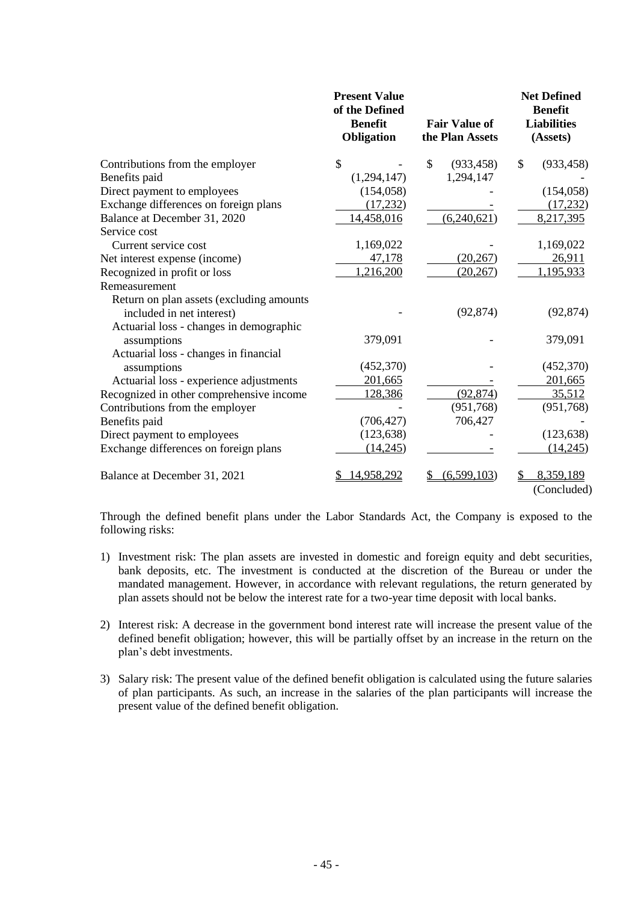|                                          | <b>Present Value</b><br>of the Defined<br><b>Benefit</b><br>Obligation | <b>Fair Value of</b><br>the Plan Assets | <b>Net Defined</b><br><b>Benefit</b><br><b>Liabilities</b><br>(Assets) |
|------------------------------------------|------------------------------------------------------------------------|-----------------------------------------|------------------------------------------------------------------------|
| Contributions from the employer          | \$                                                                     | \$<br>(933, 458)                        | \$<br>(933, 458)                                                       |
| Benefits paid                            | (1, 294, 147)                                                          | 1,294,147                               |                                                                        |
| Direct payment to employees              | (154, 058)                                                             |                                         | (154, 058)                                                             |
| Exchange differences on foreign plans    | (17,232)                                                               |                                         | (17,232)                                                               |
| Balance at December 31, 2020             | 14,458,016                                                             | (6,240,621)                             | 8,217,395                                                              |
| Service cost                             |                                                                        |                                         |                                                                        |
| Current service cost                     | 1,169,022                                                              |                                         | 1,169,022                                                              |
| Net interest expense (income)            | 47,178                                                                 | (20, 267)                               | 26,911                                                                 |
| Recognized in profit or loss             | 1,216,200                                                              | (20, 267)                               | 1,195,933                                                              |
| Remeasurement                            |                                                                        |                                         |                                                                        |
| Return on plan assets (excluding amounts |                                                                        |                                         |                                                                        |
| included in net interest)                |                                                                        | (92, 874)                               | (92, 874)                                                              |
| Actuarial loss - changes in demographic  |                                                                        |                                         |                                                                        |
| assumptions                              | 379,091                                                                |                                         | 379,091                                                                |
| Actuarial loss - changes in financial    |                                                                        |                                         |                                                                        |
| assumptions                              | (452,370)                                                              |                                         | (452,370)                                                              |
| Actuarial loss - experience adjustments  | 201,665                                                                |                                         | 201,665                                                                |
| Recognized in other comprehensive income | 128,386                                                                | (92, 874)                               | 35,512                                                                 |
| Contributions from the employer          |                                                                        | (951,768)                               | (951,768)                                                              |
| Benefits paid                            | (706, 427)                                                             | 706,427                                 |                                                                        |
| Direct payment to employees              | (123, 638)                                                             |                                         | (123, 638)                                                             |
| Exchange differences on foreign plans    | (14,245)                                                               |                                         | (14,245)                                                               |
| Balance at December 31, 2021             | 14,958,292                                                             | (6,599,103)                             | 8,359,189                                                              |
|                                          |                                                                        |                                         | (Concluded)                                                            |

Through the defined benefit plans under the Labor Standards Act, the Company is exposed to the following risks:

- 1) Investment risk: The plan assets are invested in domestic and foreign equity and debt securities, bank deposits, etc. The investment is conducted at the discretion of the Bureau or under the mandated management. However, in accordance with relevant regulations, the return generated by plan assets should not be below the interest rate for a two-year time deposit with local banks.
- 2) Interest risk: A decrease in the government bond interest rate will increase the present value of the defined benefit obligation; however, this will be partially offset by an increase in the return on the plan's debt investments.
- 3) Salary risk: The present value of the defined benefit obligation is calculated using the future salaries of plan participants. As such, an increase in the salaries of the plan participants will increase the present value of the defined benefit obligation.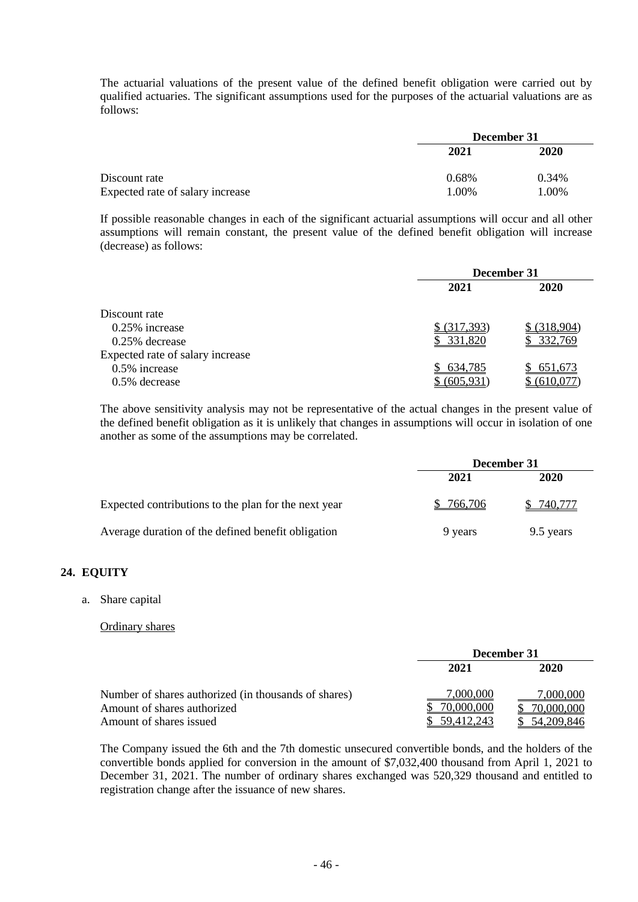The actuarial valuations of the present value of the defined benefit obligation were carried out by qualified actuaries. The significant assumptions used for the purposes of the actuarial valuations are as follows:

|                                  | December 31 |       |
|----------------------------------|-------------|-------|
|                                  | 2021        | 2020  |
| Discount rate                    | 0.68%       | 0.34% |
| Expected rate of salary increase | 1.00%       | 1.00% |

If possible reasonable changes in each of the significant actuarial assumptions will occur and all other assumptions will remain constant, the present value of the defined benefit obligation will increase (decrease) as follows:

|                                  | December 31 |           |
|----------------------------------|-------------|-----------|
|                                  | 2021        | 2020      |
| Discount rate                    |             |           |
| 0.25% increase                   | 317,393)    | (318,904) |
| $0.25\%$ decrease                | \$ 331,820  | \$332,769 |
| Expected rate of salary increase |             |           |
| 0.5% increase                    | 634,785     | 651,673   |
| $0.5\%$ decrease                 | (605.931)   |           |

The above sensitivity analysis may not be representative of the actual changes in the present value of the defined benefit obligation as it is unlikely that changes in assumptions will occur in isolation of one another as some of the assumptions may be correlated.

|                                                      | December 31 |           |
|------------------------------------------------------|-------------|-----------|
|                                                      | 2021        | 2020      |
| Expected contributions to the plan for the next year | 766,706     | 740,777   |
| Average duration of the defined benefit obligation   | 9 years     | 9.5 years |

## **24. EQUITY**

a. Share capital

## Ordinary shares

|                                                      | December 31 |            |
|------------------------------------------------------|-------------|------------|
|                                                      | 2021        | 2020       |
| Number of shares authorized (in thousands of shares) | 7.000.000   | ,000,000   |
| Amount of shares authorized                          | 70,000,000  | 70,000,000 |
| Amount of shares issued                              | 59.412.243  | 54.209.846 |

The Company issued the 6th and the 7th domestic unsecured convertible bonds, and the holders of the convertible bonds applied for conversion in the amount of \$7,032,400 thousand from April 1, 2021 to December 31, 2021. The number of ordinary shares exchanged was 520,329 thousand and entitled to registration change after the issuance of new shares.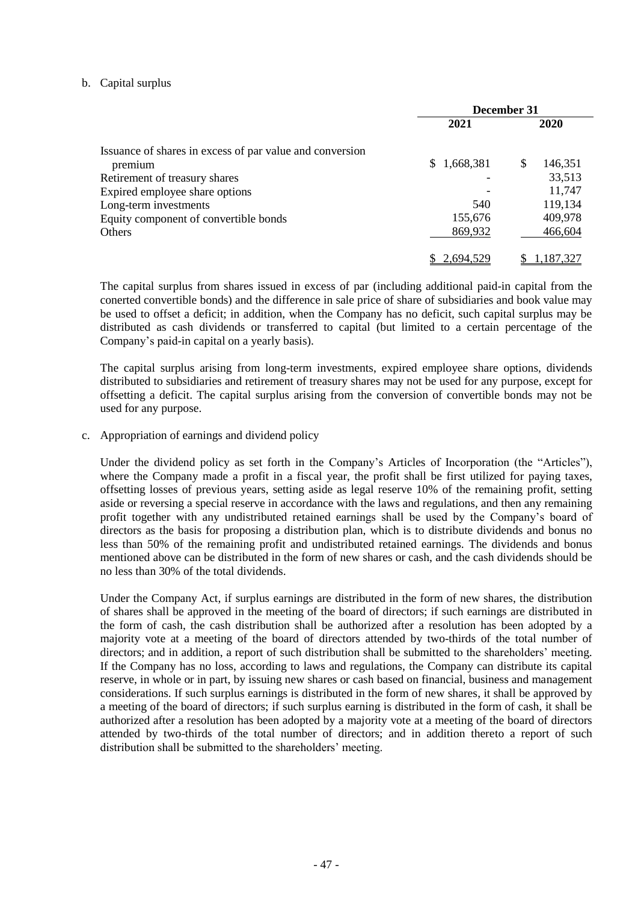#### b. Capital surplus

|                                                          | December 31      |              |
|----------------------------------------------------------|------------------|--------------|
|                                                          | 2021             | <b>2020</b>  |
| Issuance of shares in excess of par value and conversion |                  |              |
| premium                                                  | 1,668,381<br>\$. | 146,351<br>S |
| Retirement of treasury shares                            |                  | 33,513       |
| Expired employee share options                           |                  | 11,747       |
| Long-term investments                                    | 540              | 119,134      |
| Equity component of convertible bonds                    | 155,676          | 409,978      |
| Others                                                   | 869,932          | 466,604      |
|                                                          | 2,694,529        | .187.327     |

The capital surplus from shares issued in excess of par (including additional paid-in capital from the conerted convertible bonds) and the difference in sale price of share of subsidiaries and book value may be used to offset a deficit; in addition, when the Company has no deficit, such capital surplus may be distributed as cash dividends or transferred to capital (but limited to a certain percentage of the Company's paid-in capital on a yearly basis).

The capital surplus arising from long-term investments, expired employee share options, dividends distributed to subsidiaries and retirement of treasury shares may not be used for any purpose, except for offsetting a deficit. The capital surplus arising from the conversion of convertible bonds may not be used for any purpose.

c. Appropriation of earnings and dividend policy

Under the dividend policy as set forth in the Company's Articles of Incorporation (the "Articles"), where the Company made a profit in a fiscal year, the profit shall be first utilized for paying taxes, offsetting losses of previous years, setting aside as legal reserve 10% of the remaining profit, setting aside or reversing a special reserve in accordance with the laws and regulations, and then any remaining profit together with any undistributed retained earnings shall be used by the Company's board of directors as the basis for proposing a distribution plan, which is to distribute dividends and bonus no less than 50% of the remaining profit and undistributed retained earnings. The dividends and bonus mentioned above can be distributed in the form of new shares or cash, and the cash dividends should be no less than 30% of the total dividends.

Under the Company Act, if surplus earnings are distributed in the form of new shares, the distribution of shares shall be approved in the meeting of the board of directors; if such earnings are distributed in the form of cash, the cash distribution shall be authorized after a resolution has been adopted by a majority vote at a meeting of the board of directors attended by two-thirds of the total number of directors; and in addition, a report of such distribution shall be submitted to the shareholders' meeting. If the Company has no loss, according to laws and regulations, the Company can distribute its capital reserve, in whole or in part, by issuing new shares or cash based on financial, business and management considerations. If such surplus earnings is distributed in the form of new shares, it shall be approved by a meeting of the board of directors; if such surplus earning is distributed in the form of cash, it shall be authorized after a resolution has been adopted by a majority vote at a meeting of the board of directors attended by two-thirds of the total number of directors; and in addition thereto a report of such distribution shall be submitted to the shareholders' meeting.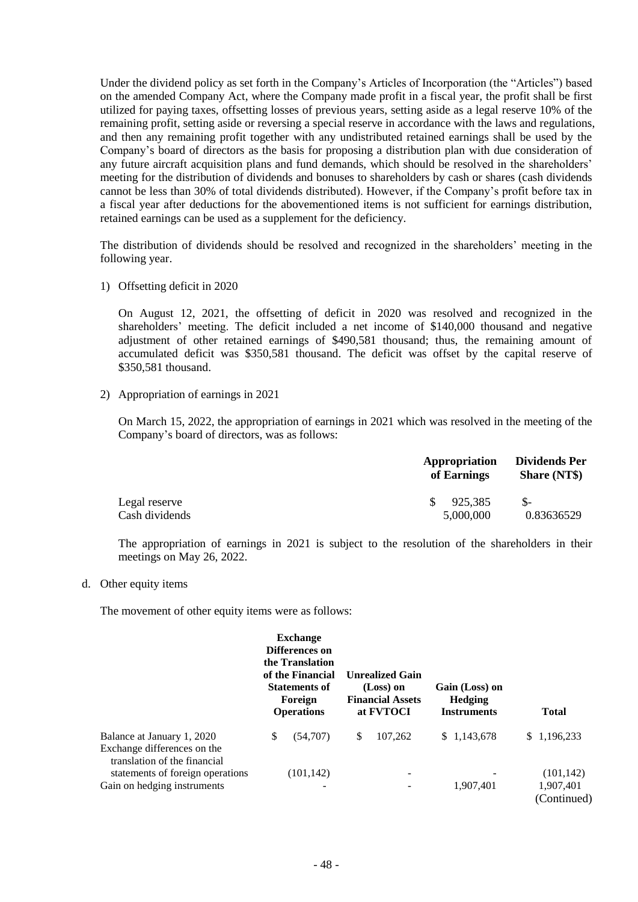Under the dividend policy as set forth in the Company's Articles of Incorporation (the "Articles") based on the amended Company Act, where the Company made profit in a fiscal year, the profit shall be first utilized for paying taxes, offsetting losses of previous years, setting aside as a legal reserve 10% of the remaining profit, setting aside or reversing a special reserve in accordance with the laws and regulations, and then any remaining profit together with any undistributed retained earnings shall be used by the Company's board of directors as the basis for proposing a distribution plan with due consideration of any future aircraft acquisition plans and fund demands, which should be resolved in the shareholders' meeting for the distribution of dividends and bonuses to shareholders by cash or shares (cash dividends cannot be less than 30% of total dividends distributed). However, if the Company's profit before tax in a fiscal year after deductions for the abovementioned items is not sufficient for earnings distribution, retained earnings can be used as a supplement for the deficiency.

The distribution of dividends should be resolved and recognized in the shareholders' meeting in the following year.

1) Offsetting deficit in 2020

On August 12, 2021, the offsetting of deficit in 2020 was resolved and recognized in the shareholders' meeting. The deficit included a net income of \$140,000 thousand and negative adjustment of other retained earnings of \$490,581 thousand; thus, the remaining amount of accumulated deficit was \$350,581 thousand. The deficit was offset by the capital reserve of \$350,581 thousand.

2) Appropriation of earnings in 2021

On March 15, 2022, the appropriation of earnings in 2021 which was resolved in the meeting of the Company's board of directors, was as follows:

|                | Appropriation<br>of Earnings | Dividends Per<br><b>Share (NT\$)</b> |
|----------------|------------------------------|--------------------------------------|
| Legal reserve  | 925,385<br>SS.               | -S                                   |
| Cash dividends | 5,000,000                    | 0.83636529                           |

The appropriation of earnings in 2021 is subject to the resolution of the shareholders in their meetings on May 26, 2022.

#### d. Other equity items

The movement of other equity items were as follows:

|                                                                                           | <b>Exchange</b><br>Differences on<br>the Translation<br>of the Financial<br><b>Statements of</b><br>Foreign<br><b>Operations</b> | <b>Unrealized Gain</b><br>$(Loss)$ on<br><b>Financial Assets</b><br>at FVTOCI | Gain (Loss) on<br><b>Hedging</b><br><b>Instruments</b> | <b>Total</b>                           |
|-------------------------------------------------------------------------------------------|----------------------------------------------------------------------------------------------------------------------------------|-------------------------------------------------------------------------------|--------------------------------------------------------|----------------------------------------|
| Balance at January 1, 2020<br>Exchange differences on the<br>translation of the financial | \$<br>(54,707)                                                                                                                   | \$<br>107.262                                                                 | \$1,143,678                                            | \$1,196,233                            |
| statements of foreign operations<br>Gain on hedging instruments                           | (101, 142)<br>۰                                                                                                                  |                                                                               | 1,907,401                                              | (101, 142)<br>1,907,401<br>(Continued) |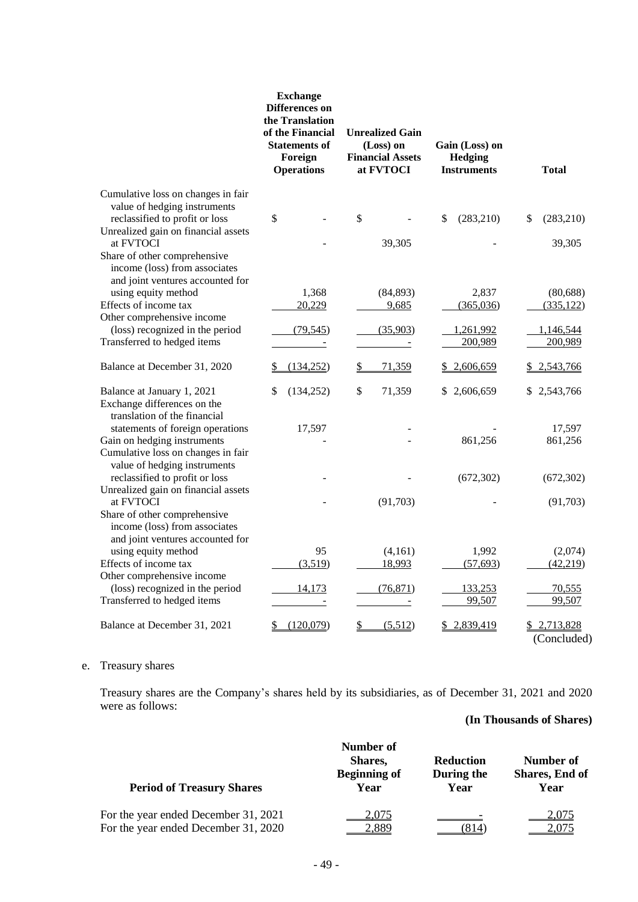|                                                                                                                                             | <b>Exchange</b><br><b>Differences</b> on<br>the Translation<br>of the Financial<br><b>Statements of</b><br>Foreign<br><b>Operations</b> | <b>Unrealized Gain</b><br>(Loss) on<br><b>Financial Assets</b><br>at FVTOCI | Gain (Loss) on<br>Hedging<br><b>Instruments</b> | <b>Total</b>                |
|---------------------------------------------------------------------------------------------------------------------------------------------|-----------------------------------------------------------------------------------------------------------------------------------------|-----------------------------------------------------------------------------|-------------------------------------------------|-----------------------------|
| Cumulative loss on changes in fair<br>value of hedging instruments<br>reclassified to profit or loss<br>Unrealized gain on financial assets | \$                                                                                                                                      | \$                                                                          | (283, 210)<br>\$                                | (283, 210)<br>S             |
| at FVTOCI<br>Share of other comprehensive<br>income (loss) from associates<br>and joint ventures accounted for                              |                                                                                                                                         | 39,305                                                                      |                                                 | 39,305                      |
| using equity method<br>Effects of income tax<br>Other comprehensive income                                                                  | 1,368<br>20,229                                                                                                                         | (84, 893)<br>9,685                                                          | 2,837<br>(365,036)                              | (80, 688)<br>(335, 122)     |
| (loss) recognized in the period<br>Transferred to hedged items                                                                              | (79, 545)                                                                                                                               | (35,903)                                                                    | 1,261,992<br>200,989                            | 1,146,544<br>200,989        |
| Balance at December 31, 2020                                                                                                                | (134, 252)<br>\$                                                                                                                        | 71,359<br>\$                                                                | \$2,606,659                                     | \$2,543,766                 |
| Balance at January 1, 2021<br>Exchange differences on the<br>translation of the financial                                                   | \$<br>(134, 252)                                                                                                                        | \$<br>71,359                                                                | \$2,606,659                                     | 2,543,766                   |
| statements of foreign operations                                                                                                            | 17,597                                                                                                                                  |                                                                             |                                                 | 17,597                      |
| Gain on hedging instruments<br>Cumulative loss on changes in fair<br>value of hedging instruments                                           |                                                                                                                                         |                                                                             | 861,256                                         | 861,256                     |
| reclassified to profit or loss<br>Unrealized gain on financial assets                                                                       |                                                                                                                                         |                                                                             | (672, 302)                                      | (672, 302)                  |
| at FVTOCI                                                                                                                                   |                                                                                                                                         | (91,703)                                                                    |                                                 | (91,703)                    |
| Share of other comprehensive<br>income (loss) from associates<br>and joint ventures accounted for                                           |                                                                                                                                         |                                                                             |                                                 |                             |
| using equity method                                                                                                                         | 95                                                                                                                                      | (4,161)                                                                     | 1,992                                           | (2,074)                     |
| Effects of income tax                                                                                                                       | (3,519)                                                                                                                                 | 18,993                                                                      | (57, 693)                                       | (42, 219)                   |
| Other comprehensive income<br>(loss) recognized in the period<br>Transferred to hedged items                                                | <u>14,173</u>                                                                                                                           | (76, 871)                                                                   | 133,253<br>99,507                               | 70,555<br>99,507            |
| Balance at December 31, 2021                                                                                                                | (120,079)                                                                                                                               | (5,512)<br>\$                                                               | \$2,839,419                                     | \$ 2,713,828<br>(Concluded) |

## e. Treasury shares

Treasury shares are the Company's shares held by its subsidiaries, as of December 31, 2021 and 2020 were as follows:

# **(In Thousands of Shares)**

| <b>Period of Treasury Shares</b>     | Number of<br>Shares,<br><b>Beginning of</b><br>Year | Reduction<br>During the<br>Year | Number of<br>Shares, End of<br>Year |
|--------------------------------------|-----------------------------------------------------|---------------------------------|-------------------------------------|
| For the year ended December 31, 2021 | <u>2.075</u>                                        | 814`                            | <u>2,075</u>                        |
| For the year ended December 31, 2020 | 2,889                                               |                                 | 2,075                               |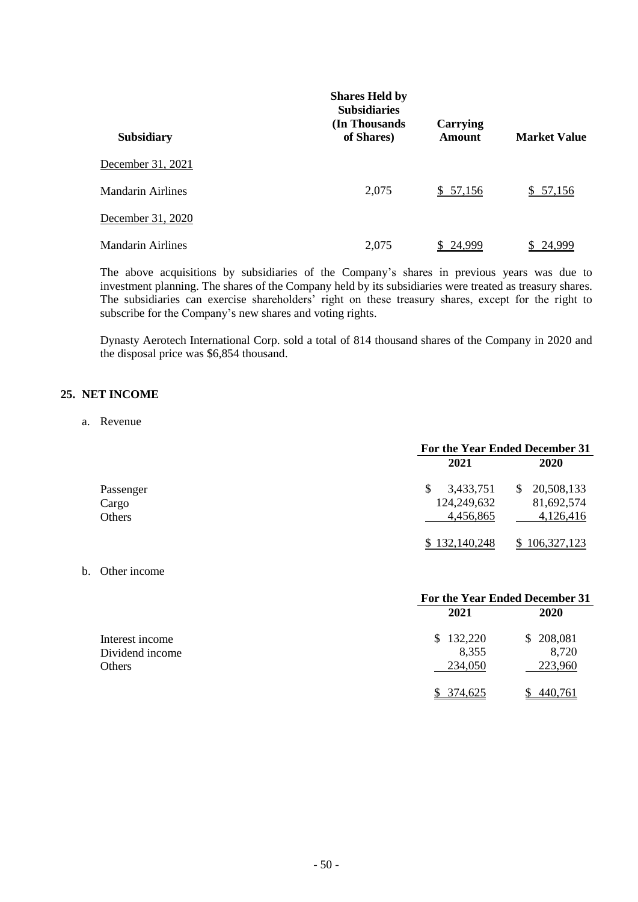| <b>Subsidiary</b>        | <b>Shares Held by</b><br><b>Subsidiaries</b><br>(In Thousands)<br>of Shares) | Carrying<br>Amount | <b>Market Value</b> |
|--------------------------|------------------------------------------------------------------------------|--------------------|---------------------|
| December 31, 2021        |                                                                              |                    |                     |
| Mandarin Airlines        | 2,075                                                                        | \$57,156           | \$ 57,156           |
| December 31, 2020        |                                                                              |                    |                     |
| <b>Mandarin Airlines</b> | 2,075                                                                        | 24.999             | 24,99               |

The above acquisitions by subsidiaries of the Company's shares in previous years was due to investment planning. The shares of the Company held by its subsidiaries were treated as treasury shares. The subsidiaries can exercise shareholders' right on these treasury shares, except for the right to subscribe for the Company's new shares and voting rights.

Dynasty Aerotech International Corp. sold a total of 814 thousand shares of the Company in 2020 and the disposal price was \$6,854 thousand.

#### **25. NET INCOME**

#### a. Revenue

|           | For the Year Ended December 31 |                 |
|-----------|--------------------------------|-----------------|
|           | 2021                           | 2020            |
| Passenger | 3,433,751                      | 20,508,133<br>S |
| Cargo     | 124,249,632                    | 81,692,574      |
| Others    | 4,456,865                      | 4,126,416       |
|           | \$132,140,248                  | \$106,327,123   |

## b. Other income

|                 | For the Year Ended December 31 |           |  |
|-----------------|--------------------------------|-----------|--|
|                 | 2021                           | 2020      |  |
| Interest income | \$132,220                      | \$208,081 |  |
| Dividend income | 8,355                          | 8,720     |  |
| Others          | 234,050                        | 223,960   |  |
|                 | 374,625                        | 440.761   |  |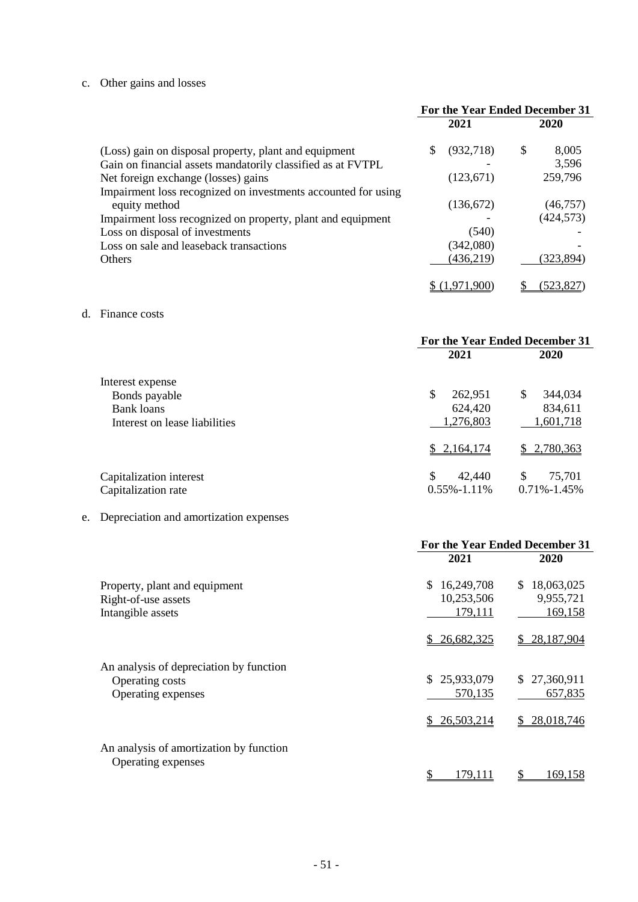# c. Other gains and losses

|                                                                                                                      | For the Year Ended December 31 |                       |
|----------------------------------------------------------------------------------------------------------------------|--------------------------------|-----------------------|
|                                                                                                                      | 2021                           | 2020                  |
| (Loss) gain on disposal property, plant and equipment<br>Gain on financial assets mandatorily classified as at FVTPL | (932,718)<br>S                 | \$<br>8,005<br>3,596  |
| Net foreign exchange (losses) gains<br>Impairment loss recognized on investments accounted for using                 | (123, 671)                     | 259,796               |
| equity method                                                                                                        | (136, 672)                     | (46, 757)             |
| Impairment loss recognized on property, plant and equipment                                                          |                                | (424, 573)            |
| Loss on disposal of investments                                                                                      | (540)                          |                       |
| Loss on sale and leaseback transactions                                                                              | (342,080)                      |                       |
| <b>Others</b>                                                                                                        | (436,219)<br>(1.971.900)       | (323,894)<br>(523,827 |

# d. Finance costs

|                                                | For the Year Ended December 31   |                                   |  |
|------------------------------------------------|----------------------------------|-----------------------------------|--|
|                                                | 2021                             | 2020                              |  |
| Interest expense                               |                                  |                                   |  |
| Bonds payable                                  | \$<br>262,951                    | 344,034<br>S                      |  |
| Bank loans                                     | 624,420                          | 834,611                           |  |
| Interest on lease liabilities                  | 1,276,803                        | 1,601,718                         |  |
|                                                | \$2,164,174                      | \$2,780,363                       |  |
| Capitalization interest<br>Capitalization rate | \$<br>42,440<br>$0.55\% -1.11\%$ | 75,701<br>\$<br>$0.71\% - 1.45\%$ |  |

# e. Depreciation and amortization expenses

|                                                                                  | For the Year Ended December 31                             |                                                 |  |
|----------------------------------------------------------------------------------|------------------------------------------------------------|-------------------------------------------------|--|
|                                                                                  | 2021                                                       | 2020                                            |  |
| Property, plant and equipment<br>Right-of-use assets<br>Intangible assets        | \$.<br>16,249,708<br>10,253,506<br>179,111                 | 18,063,025<br>S.<br>9,955,721<br>169,158        |  |
|                                                                                  | 26,682,325<br>\$                                           | 28,187,904<br>S.                                |  |
| An analysis of depreciation by function<br>Operating costs<br>Operating expenses | $\mathcal{S}$<br>25,933,079<br>570,135<br>26,503,214<br>S. | 27,360,911<br>\$<br>657,835<br>28,018,746<br>S. |  |
| An analysis of amortization by function<br>Operating expenses                    | -79.1                                                      | <u>169,158</u>                                  |  |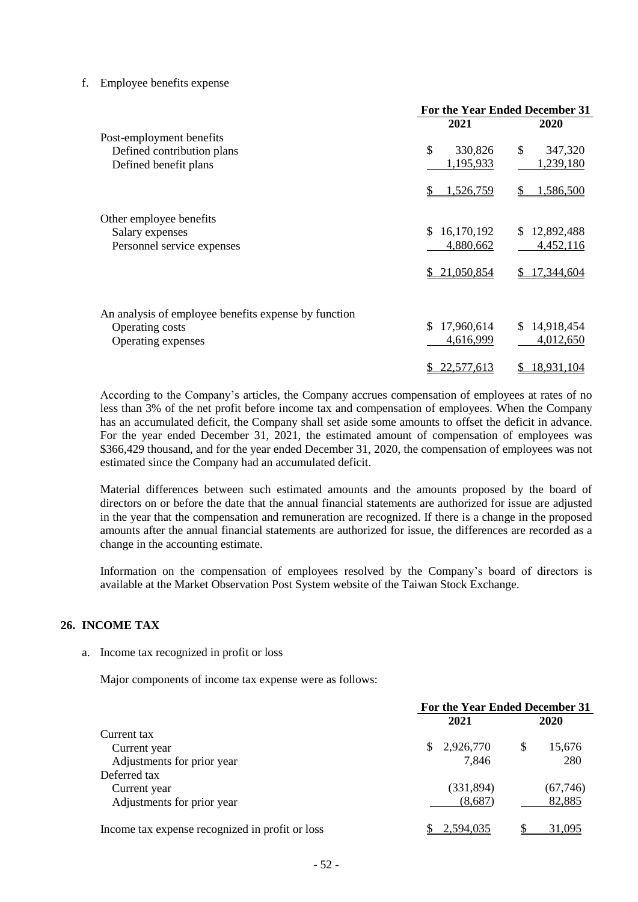#### f. Employee benefits expense

|                                                      | For the Year Ended December 31 |                  |  |
|------------------------------------------------------|--------------------------------|------------------|--|
|                                                      | 2021                           | 2020             |  |
| Post-employment benefits                             |                                |                  |  |
| Defined contribution plans                           | $\mathcal{S}$<br>330,826       | \$<br>347,320    |  |
| Defined benefit plans                                | 1,195,933                      | 1,239,180        |  |
|                                                      | 1,526,759<br>\$                | 1,586,500<br>\$  |  |
| Other employee benefits                              |                                |                  |  |
| Salary expenses                                      | 16,170,192<br>S.               | 12,892,488<br>S. |  |
| Personnel service expenses                           | 4,880,662                      | 4,452,116        |  |
|                                                      | \$21,050,854                   | 17,344,604       |  |
| An analysis of employee benefits expense by function |                                |                  |  |
| Operating costs                                      | 17,960,614                     | 14,918,454<br>\$ |  |
| Operating expenses                                   | 4,616,999                      | 4,012,650        |  |
|                                                      | 22,577,613                     | 18,931,104       |  |

According to the Company's articles, the Company accrues compensation of employees at rates of no less than 3% of the net profit before income tax and compensation of employees. When the Company has an accumulated deficit, the Company shall set aside some amounts to offset the deficit in advance. For the year ended December 31, 2021, the estimated amount of compensation of employees was \$366,429 thousand, and for the year ended December 31, 2020, the compensation of employees was not estimated since the Company had an accumulated deficit.

Material differences between such estimated amounts and the amounts proposed by the board of directors on or before the date that the annual financial statements are authorized for issue are adjusted in the year that the compensation and remuneration are recognized. If there is a change in the proposed amounts after the annual financial statements are authorized for issue, the differences are recorded as a change in the accounting estimate.

Information on the compensation of employees resolved by the Company's board of directors is available at the Market Observation Post System website of the Taiwan Stock Exchange.

#### **26. INCOME TAX**

a. Income tax recognized in profit or loss

Major components of income tax expense were as follows:

|                                                 | For the Year Ended December 31 |             |  |
|-------------------------------------------------|--------------------------------|-------------|--|
|                                                 | 2021                           | 2020        |  |
| Current tax                                     |                                |             |  |
| Current year                                    | 2,926,770                      | S<br>15,676 |  |
| Adjustments for prior year                      | 7.846                          | 280         |  |
| Deferred tax                                    |                                |             |  |
| Current year                                    | (331, 894)                     | (67, 746)   |  |
| Adjustments for prior year                      | (8,687)                        | 82,885      |  |
| Income tax expense recognized in profit or loss | 2,594,035                      | 31,095      |  |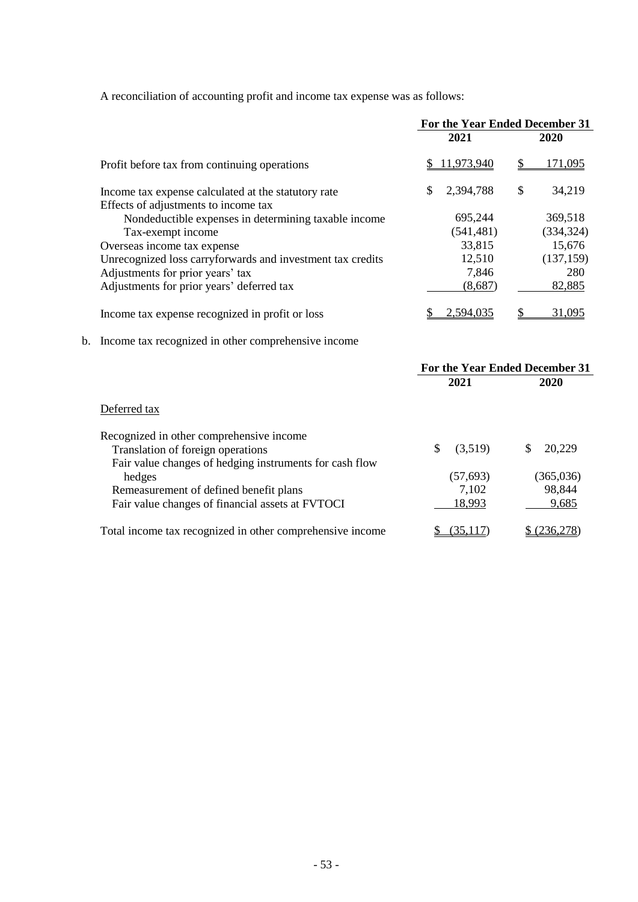A reconciliation of accounting profit and income tax expense was as follows:

|    |                                                            | For the Year Ended December 31 |                                |                          |              |
|----|------------------------------------------------------------|--------------------------------|--------------------------------|--------------------------|--------------|
|    |                                                            |                                | 2021                           |                          | 2020         |
|    | Profit before tax from continuing operations               | \$                             | 11,973,940                     | $\overline{\mathcal{P}}$ | 171,095      |
|    | Income tax expense calculated at the statutory rate        | \$                             | 2,394,788                      | \$                       | 34,219       |
|    | Effects of adjustments to income tax                       |                                |                                |                          |              |
|    | Nondeductible expenses in determining taxable income       |                                | 695,244                        |                          | 369,518      |
|    | Tax-exempt income                                          |                                | (541, 481)                     |                          | (334, 324)   |
|    | Overseas income tax expense                                |                                | 33,815                         |                          | 15,676       |
|    | Unrecognized loss carryforwards and investment tax credits |                                | 12,510                         |                          | (137, 159)   |
|    | Adjustments for prior years' tax                           |                                | 7,846                          |                          | 280          |
|    | Adjustments for prior years' deferred tax                  |                                | (8,687)                        |                          | 82,885       |
|    | Income tax expense recognized in profit or loss            |                                | 2,594,035                      |                          | 31,095       |
| b. | Income tax recognized in other comprehensive income        |                                |                                |                          |              |
|    |                                                            |                                | For the Year Ended December 31 |                          |              |
|    |                                                            |                                | 2021                           |                          | 2020         |
|    | Deferred tax                                               |                                |                                |                          |              |
|    | Recognized in other comprehensive income                   |                                |                                |                          |              |
|    | Translation of foreign operations                          | \$                             | (3,519)                        | \$                       | 20,229       |
|    | Fair value changes of hedging instruments for cash flow    |                                |                                |                          |              |
|    | hedges                                                     |                                | (57, 693)                      |                          | (365,036)    |
|    | Remeasurement of defined benefit plans                     |                                | 7,102                          |                          | 98,844       |
|    | Fair value changes of financial assets at FVTOCI           |                                | 18,993                         |                          | 9,685        |
|    | Total income tax recognized in other comprehensive income  | \$                             | (35,117)                       |                          | \$ (236,278) |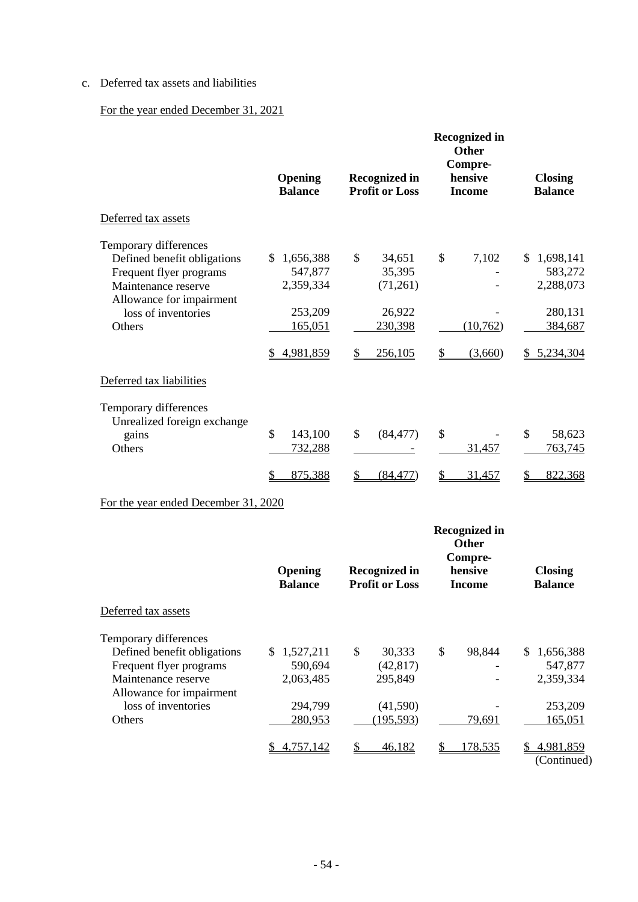# c. Deferred tax assets and liabilities

# For the year ended December 31, 2021

|                             | <b>Opening</b><br><b>Balance</b> | <b>Recognized in</b><br><b>Profit or Loss</b> | <b>Recognized in</b><br><b>Other</b><br>Compre-<br>hensive<br><b>Income</b> | <b>Closing</b><br><b>Balance</b> |
|-----------------------------|----------------------------------|-----------------------------------------------|-----------------------------------------------------------------------------|----------------------------------|
| Deferred tax assets         |                                  |                                               |                                                                             |                                  |
| Temporary differences       |                                  |                                               |                                                                             |                                  |
| Defined benefit obligations | 1,656,388<br>\$                  | \$<br>34,651                                  | \$<br>7,102                                                                 | 1,698,141<br>\$                  |
| Frequent flyer programs     | 547,877                          | 35,395                                        |                                                                             | 583,272                          |
| Maintenance reserve         | 2,359,334                        | (71,261)                                      |                                                                             | 2,288,073                        |
| Allowance for impairment    |                                  |                                               |                                                                             |                                  |
| loss of inventories         | 253,209                          | 26,922                                        |                                                                             | 280,131                          |
| Others                      | 165,051                          | 230,398                                       | (10, 762)                                                                   | 384,687                          |
|                             | 4,981,859                        | 256,105                                       | \$<br>(3,660)                                                               | 5,234,304<br>S.                  |
| Deferred tax liabilities    |                                  |                                               |                                                                             |                                  |
| Temporary differences       |                                  |                                               |                                                                             |                                  |
| Unrealized foreign exchange |                                  |                                               |                                                                             |                                  |
| gains                       | \$<br>143,100                    | $\mathcal{S}$<br>(84, 477)                    | \$                                                                          | \$<br>58,623                     |
| Others                      | 732,288                          |                                               | 31,457                                                                      | 763,745                          |
|                             | \$<br>875,388                    | \$<br>(84, 477)                               | $\mathbf{\underline{\mathcal{S}}}$<br>31,457                                | $\mathcal{S}$<br>822,368         |

For the year ended December 31, 2020

|                             | Opening<br><b>Balance</b> | <b>Recognized in</b><br><b>Profit or Loss</b> | <b>Recognized in</b><br><b>Other</b><br>Compre-<br>hensive<br>Income | <b>Closing</b><br><b>Balance</b> |
|-----------------------------|---------------------------|-----------------------------------------------|----------------------------------------------------------------------|----------------------------------|
| Deferred tax assets         |                           |                                               |                                                                      |                                  |
| Temporary differences       |                           |                                               |                                                                      |                                  |
| Defined benefit obligations | 1,527,211<br>S.           | \$<br>30,333                                  | \$<br>98,844                                                         | 1,656,388<br>\$.                 |
| Frequent flyer programs     | 590,694                   | (42, 817)                                     |                                                                      | 547,877                          |
| Maintenance reserve         | 2,063,485                 | 295,849                                       |                                                                      | 2,359,334                        |
| Allowance for impairment    |                           |                                               |                                                                      |                                  |
| loss of inventories         | 294,799                   | (41,590)                                      |                                                                      | 253,209                          |
| <b>Others</b>               | 280,953                   | (195, 593)                                    | 79,691                                                               | 165,051                          |
|                             | 4,757,142                 | 46,182                                        | 178,535                                                              | 4,981,859<br>S<br>(Continued)    |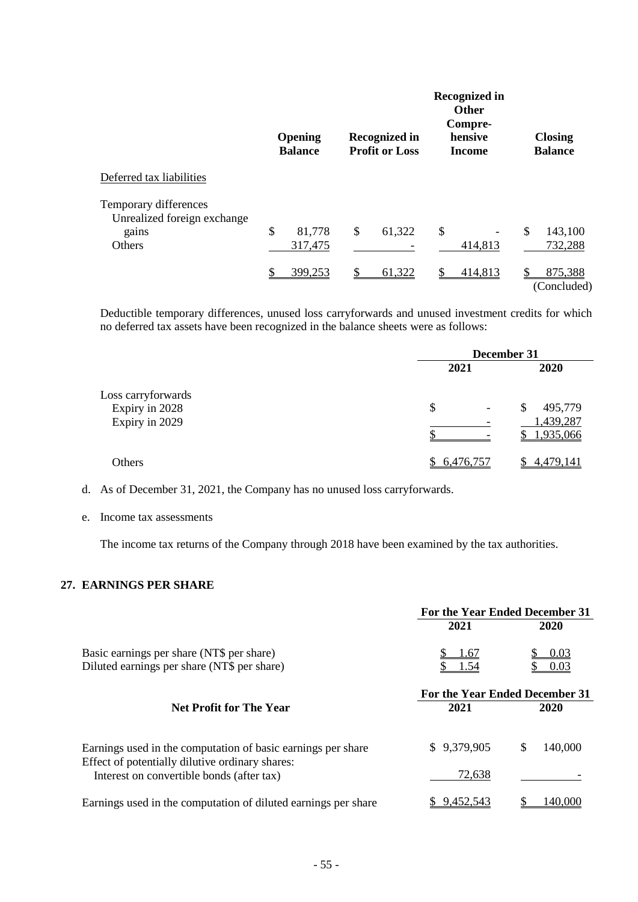|                                                                         | Opening<br><b>Balance</b> | <b>Recognized in</b><br><b>Profit or Loss</b> | <b>Recognized in</b><br><b>Other</b><br>Compre-<br>hensive<br><b>Income</b> | <b>Closing</b><br><b>Balance</b> |
|-------------------------------------------------------------------------|---------------------------|-----------------------------------------------|-----------------------------------------------------------------------------|----------------------------------|
| Deferred tax liabilities                                                |                           |                                               |                                                                             |                                  |
| Temporary differences<br>Unrealized foreign exchange<br>gains<br>Others | \$<br>81,778<br>317,475   | \$<br>61,322                                  | \$<br>$\overline{\phantom{a}}$<br>414,813                                   | \$<br>143,100<br>732,288         |
|                                                                         | \$<br>399,253             | 61,322                                        | 414,813<br>\$.                                                              | 875,388<br>(Concluded)           |

Deductible temporary differences, unused loss carryforwards and unused investment credits for which no deferred tax assets have been recognized in the balance sheets were as follows:

|                                                        | December 31                    |                                         |  |
|--------------------------------------------------------|--------------------------------|-----------------------------------------|--|
|                                                        | 2021                           | 2020                                    |  |
| Loss carryforwards<br>Expiry in 2028<br>Expiry in 2029 | \$<br>$\overline{\phantom{a}}$ | 495,779<br>\$<br>1,439,287<br>1,935,066 |  |
| Others                                                 | 6,476,757                      | 4,479,141                               |  |

d. As of December 31, 2021, the Company has no unused loss carryforwards.

#### e. Income tax assessments

The income tax returns of the Company through 2018 have been examined by the tax authorities.

## **27. EARNINGS PER SHARE**

|                                                                                                                                                              | For the Year Ended December 31 |               |
|--------------------------------------------------------------------------------------------------------------------------------------------------------------|--------------------------------|---------------|
|                                                                                                                                                              | 2021                           | 2020          |
| Basic earnings per share (NT\$ per share)<br>Diluted earnings per share (NT\$ per share)                                                                     | 1.67<br>1.54                   | 0.03<br>0.03  |
|                                                                                                                                                              | For the Year Ended December 31 |               |
| <b>Net Profit for The Year</b>                                                                                                                               | 2021                           | 2020          |
| Earnings used in the computation of basic earnings per share<br>Effect of potentially dilutive ordinary shares:<br>Interest on convertible bonds (after tax) | \$9,379,905<br>72,638          | \$<br>140,000 |
| Earnings used in the computation of diluted earnings per share                                                                                               | 9.452.543                      | 140.000       |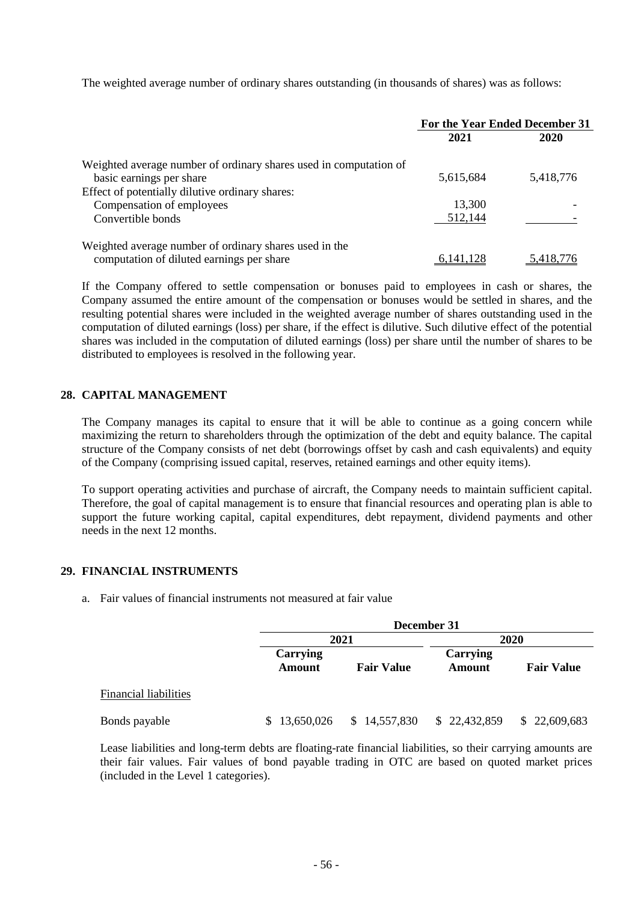The weighted average number of ordinary shares outstanding (in thousands of shares) was as follows:

|                                                                   | For the Year Ended December 31 |           |
|-------------------------------------------------------------------|--------------------------------|-----------|
|                                                                   | 2021                           | 2020      |
| Weighted average number of ordinary shares used in computation of |                                |           |
| basic earnings per share                                          | 5,615,684                      | 5,418,776 |
| Effect of potentially dilutive ordinary shares:                   |                                |           |
| Compensation of employees                                         | 13,300                         |           |
| Convertible bonds                                                 | 512,144                        |           |
| Weighted average number of ordinary shares used in the            |                                |           |
| computation of diluted earnings per share                         | 6.141.128                      | 5.418.776 |

If the Company offered to settle compensation or bonuses paid to employees in cash or shares, the Company assumed the entire amount of the compensation or bonuses would be settled in shares, and the resulting potential shares were included in the weighted average number of shares outstanding used in the computation of diluted earnings (loss) per share, if the effect is dilutive. Such dilutive effect of the potential shares was included in the computation of diluted earnings (loss) per share until the number of shares to be distributed to employees is resolved in the following year.

## **28. CAPITAL MANAGEMENT**

The Company manages its capital to ensure that it will be able to continue as a going concern while maximizing the return to shareholders through the optimization of the debt and equity balance. The capital structure of the Company consists of net debt (borrowings offset by cash and cash equivalents) and equity of the Company (comprising issued capital, reserves, retained earnings and other equity items).

To support operating activities and purchase of aircraft, the Company needs to maintain sufficient capital. Therefore, the goal of capital management is to ensure that financial resources and operating plan is able to support the future working capital, capital expenditures, debt repayment, dividend payments and other needs in the next 12 months.

#### **29. FINANCIAL INSTRUMENTS**

a. Fair values of financial instruments not measured at fair value

|                              | December 31               |                   |                           |                   |
|------------------------------|---------------------------|-------------------|---------------------------|-------------------|
|                              |                           | 2021              |                           | <b>2020</b>       |
|                              | Carrying<br><b>Amount</b> | <b>Fair Value</b> | Carrying<br><b>Amount</b> | <b>Fair Value</b> |
| <b>Financial liabilities</b> |                           |                   |                           |                   |
| Bonds payable                | 13,650,026<br>S.          | \$14,557,830      | \$22,432,859              | \$22,609,683      |

Lease liabilities and long-term debts are floating-rate financial liabilities, so their carrying amounts are their fair values. Fair values of bond payable trading in OTC are based on quoted market prices (included in the Level 1 categories).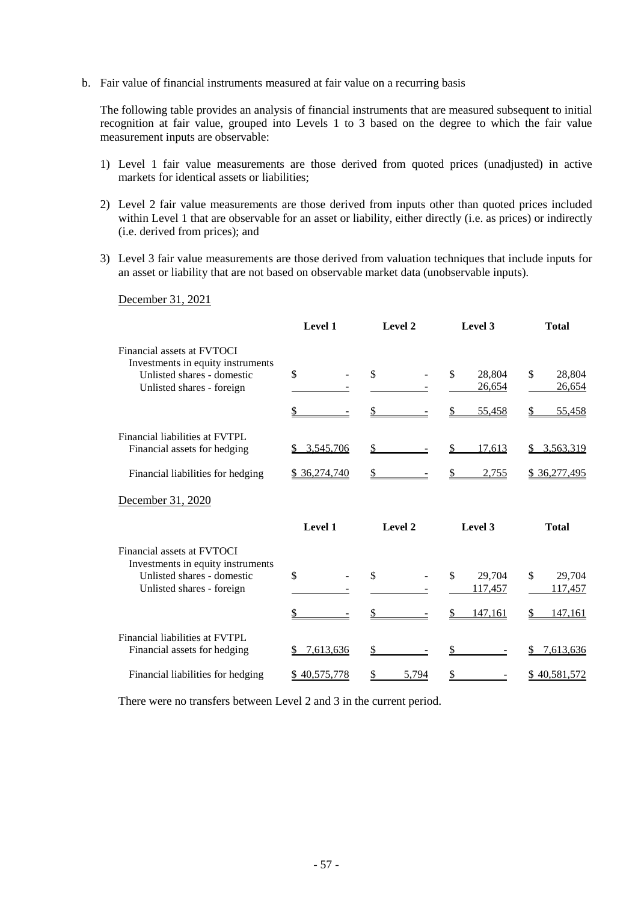b. Fair value of financial instruments measured at fair value on a recurring basis

The following table provides an analysis of financial instruments that are measured subsequent to initial recognition at fair value, grouped into Levels 1 to 3 based on the degree to which the fair value measurement inputs are observable:

- 1) Level 1 fair value measurements are those derived from quoted prices (unadjusted) in active markets for identical assets or liabilities;
- 2) Level 2 fair value measurements are those derived from inputs other than quoted prices included within Level 1 that are observable for an asset or liability, either directly (i.e. as prices) or indirectly (i.e. derived from prices); and
- 3) Level 3 fair value measurements are those derived from valuation techniques that include inputs for an asset or liability that are not based on observable market data (unobservable inputs).

**Level 1 Level 2 Level 3 Total** Financial assets at FVTOCI Investments in equity instruments Unlisted shares - domestic  $\qquad$  \$ - \$ 28,804 \$ 28,804 Unlisted shares - foreign  $\frac{1}{26,654}$  26,654 26,654  $\frac{\$ \qquad \frac{\$ \qquad \frac{\$ \qquad \frac{\$ \qquad \frac{\$ \qquad \frac{\$ \qquad \frac{\$ \qquad \frac{\$ \qquad \frac{\$ \qquad \frac{\$ \qquad \frac{\$ \qquad \frac{\$ \qquad \frac{\$ \qquad \frac{\$ \qquad \frac{\$ \qquad \frac{\$ \qquad \frac{\$ \qquad \frac{\$ \qquad \frac{\$ \qquad \frac{\$ \qquad \frac{\$ \qquad \frac{\$ \qquad \frac{\$ \qquad \frac{\$ \qquad \frac{\$ \qquad \frac{\$ \qquad \frac{\$ \qquad \frac{\$ \qquad \frac{\$ \qquad \frac{\$ \qquad \frac{\$ \qquad \frac{\$ Financial liabilities at FVTPL Financial assets for hedging  $\frac{$3,545,706}{$1,706}$   $\frac{$17,613}{$1,613}$   $\frac{$3,563,319}{1,613}$ Financial liabilities for hedging  $$36,274,740$   $$36,274,740$   $$36,277,495$ December 31, 2020 **Level 1 Level 2 Level 3 Total** Financial assets at FVTOCI Investments in equity instruments Unlisted shares - domestic  $\qquad$  \$ - \$  $\qquad$  +  $\qquad$  \$ 29,704 \$ 29,704 Unlisted shares - foreign - - 117,457 117,457  $\frac{\$}{\$}$  -  $\frac{\$}{\$}$  147,161  $\frac{\$}{\$}$  147,161 Financial liabilities at FVTPL Financial assets for hedging  $\frac{\$ \quad 7,613,636}{\$} \quad \frac{\$ \quad 4 \quad \frac{1}{\$} \quad \frac{1}{\$} \quad \frac{1}{\$} \quad \frac{1}{\$} \quad \frac{1}{\$} \quad \frac{1}{\$} \quad \frac{1}{\$}$ Financial liabilities for hedging \$ 40,575,778 \$ 5,794 \$ - \$ 40,581,572

December 31, 2021

There were no transfers between Level 2 and 3 in the current period.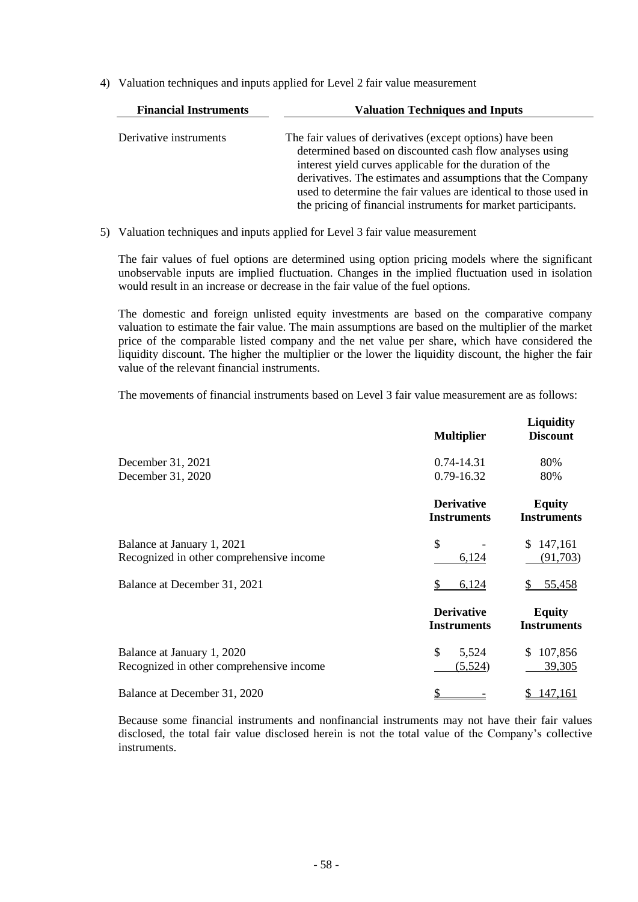4) Valuation techniques and inputs applied for Level 2 fair value measurement

| <b>Financial Instruments</b> | <b>Valuation Techniques and Inputs</b>                                                                              |  |  |  |  |
|------------------------------|---------------------------------------------------------------------------------------------------------------------|--|--|--|--|
| Derivative instruments       | The fair values of derivatives (except options) have been                                                           |  |  |  |  |
|                              | determined based on discounted cash flow analyses using<br>interest yield curves applicable for the duration of the |  |  |  |  |
|                              | derivatives. The estimates and assumptions that the Company                                                         |  |  |  |  |
|                              | used to determine the fair values are identical to those used in                                                    |  |  |  |  |
|                              | the pricing of financial instruments for market participants.                                                       |  |  |  |  |

5) Valuation techniques and inputs applied for Level 3 fair value measurement

The fair values of fuel options are determined using option pricing models where the significant unobservable inputs are implied fluctuation. Changes in the implied fluctuation used in isolation would result in an increase or decrease in the fair value of the fuel options.

The domestic and foreign unlisted equity investments are based on the comparative company valuation to estimate the fair value. The main assumptions are based on the multiplier of the market price of the comparable listed company and the net value per share, which have considered the liquidity discount. The higher the multiplier or the lower the liquidity discount, the higher the fair value of the relevant financial instruments.

The movements of financial instruments based on Level 3 fair value measurement are as follows:

|                                                                        | <b>Multiplier</b>                       | <b>Liquidity</b><br><b>Discount</b> |
|------------------------------------------------------------------------|-----------------------------------------|-------------------------------------|
| December 31, 2021                                                      | 0.74-14.31                              | 80%                                 |
| December 31, 2020                                                      | 0.79-16.32                              | 80%                                 |
|                                                                        | <b>Derivative</b><br><b>Instruments</b> | <b>Equity</b><br><b>Instruments</b> |
| Balance at January 1, 2021<br>Recognized in other comprehensive income | \$<br>6,124                             | 147,161<br>\$.<br>(91, 703)         |
| Balance at December 31, 2021                                           | 6,124                                   | 55,458                              |
|                                                                        | <b>Derivative</b><br><b>Instruments</b> | <b>Equity</b><br><b>Instruments</b> |
| Balance at January 1, 2020                                             | \$<br>5,524                             | 107,856<br>S                        |
| Recognized in other comprehensive income                               | (5,524)                                 | 39,305                              |
| Balance at December 31, 2020                                           | <u>\$</u>                               | 147,161                             |

Because some financial instruments and nonfinancial instruments may not have their fair values disclosed, the total fair value disclosed herein is not the total value of the Company's collective instruments.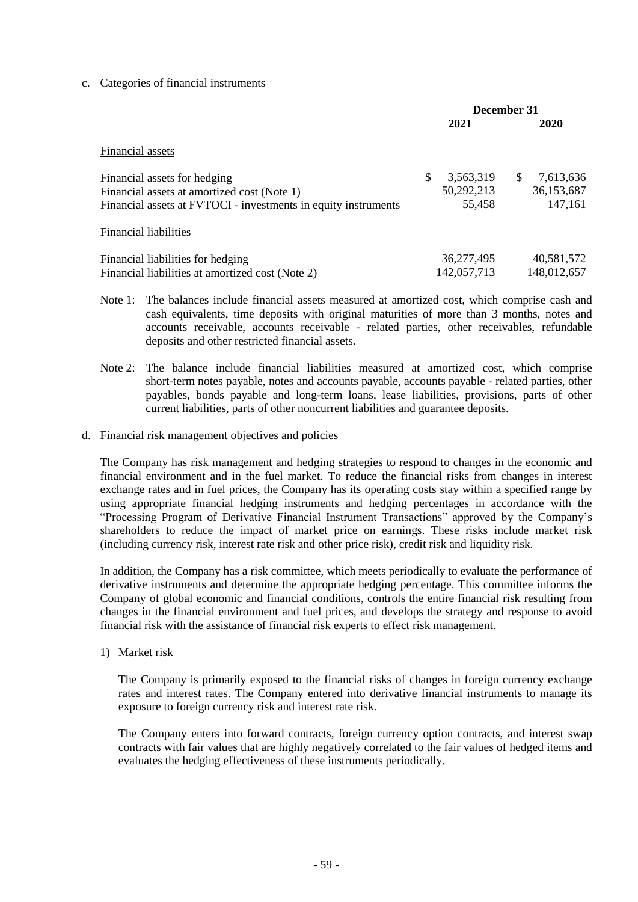c. Categories of financial instruments

|                                                                                                                                               | December 31 |                                   |               |                                    |
|-----------------------------------------------------------------------------------------------------------------------------------------------|-------------|-----------------------------------|---------------|------------------------------------|
|                                                                                                                                               |             | 2021                              |               | 2020                               |
| Financial assets                                                                                                                              |             |                                   |               |                                    |
| Financial assets for hedging<br>Financial assets at amortized cost (Note 1)<br>Financial assets at FVTOCI - investments in equity instruments | \$          | 3,563,319<br>50,292,213<br>55,458 | <sup>\$</sup> | 7,613,636<br>36,153,687<br>147,161 |
| <b>Financial liabilities</b>                                                                                                                  |             |                                   |               |                                    |
| Financial liabilities for hedging<br>Financial liabilities at amortized cost (Note 2)                                                         |             | 36, 277, 495<br>142,057,713       |               | 40,581,572<br>148,012,657          |

- Note 1: The balances include financial assets measured at amortized cost, which comprise cash and cash equivalents, time deposits with original maturities of more than 3 months, notes and accounts receivable, accounts receivable - related parties, other receivables, refundable deposits and other restricted financial assets.
- Note 2: The balance include financial liabilities measured at amortized cost, which comprise short-term notes payable, notes and accounts payable, accounts payable - related parties, other payables, bonds payable and long-term loans, lease liabilities, provisions, parts of other current liabilities, parts of other noncurrent liabilities and guarantee deposits.
- d. Financial risk management objectives and policies

The Company has risk management and hedging strategies to respond to changes in the economic and financial environment and in the fuel market. To reduce the financial risks from changes in interest exchange rates and in fuel prices, the Company has its operating costs stay within a specified range by using appropriate financial hedging instruments and hedging percentages in accordance with the "Processing Program of Derivative Financial Instrument Transactions" approved by the Company's shareholders to reduce the impact of market price on earnings. These risks include market risk (including currency risk, interest rate risk and other price risk), credit risk and liquidity risk.

In addition, the Company has a risk committee, which meets periodically to evaluate the performance of derivative instruments and determine the appropriate hedging percentage. This committee informs the Company of global economic and financial conditions, controls the entire financial risk resulting from changes in the financial environment and fuel prices, and develops the strategy and response to avoid financial risk with the assistance of financial risk experts to effect risk management.

1) Market risk

The Company is primarily exposed to the financial risks of changes in foreign currency exchange rates and interest rates. The Company entered into derivative financial instruments to manage its exposure to foreign currency risk and interest rate risk.

The Company enters into forward contracts, foreign currency option contracts, and interest swap contracts with fair values that are highly negatively correlated to the fair values of hedged items and evaluates the hedging effectiveness of these instruments periodically.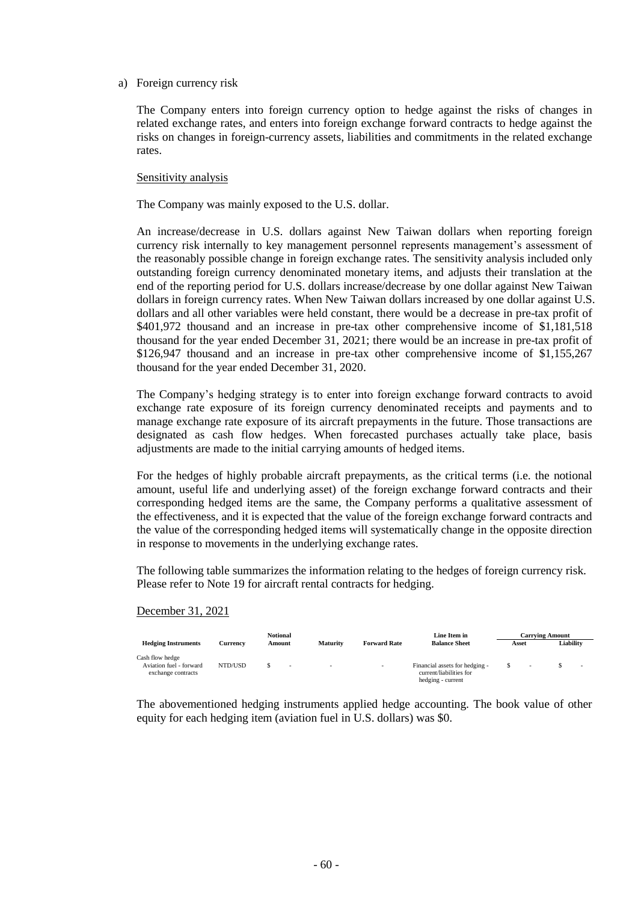#### a) Foreign currency risk

The Company enters into foreign currency option to hedge against the risks of changes in related exchange rates, and enters into foreign exchange forward contracts to hedge against the risks on changes in foreign-currency assets, liabilities and commitments in the related exchange rates.

#### Sensitivity analysis

The Company was mainly exposed to the U.S. dollar.

An increase/decrease in U.S. dollars against New Taiwan dollars when reporting foreign currency risk internally to key management personnel represents management's assessment of the reasonably possible change in foreign exchange rates. The sensitivity analysis included only outstanding foreign currency denominated monetary items, and adjusts their translation at the end of the reporting period for U.S. dollars increase/decrease by one dollar against New Taiwan dollars in foreign currency rates. When New Taiwan dollars increased by one dollar against U.S. dollars and all other variables were held constant, there would be a decrease in pre-tax profit of \$401,972 thousand and an increase in pre-tax other comprehensive income of \$1,181,518 thousand for the year ended December 31, 2021; there would be an increase in pre-tax profit of \$126,947 thousand and an increase in pre-tax other comprehensive income of \$1,155,267 thousand for the year ended December 31, 2020.

The Company's hedging strategy is to enter into foreign exchange forward contracts to avoid exchange rate exposure of its foreign currency denominated receipts and payments and to manage exchange rate exposure of its aircraft prepayments in the future. Those transactions are designated as cash flow hedges. When forecasted purchases actually take place, basis adjustments are made to the initial carrying amounts of hedged items.

For the hedges of highly probable aircraft prepayments, as the critical terms (i.e. the notional amount, useful life and underlying asset) of the foreign exchange forward contracts and their corresponding hedged items are the same, the Company performs a qualitative assessment of the effectiveness, and it is expected that the value of the foreign exchange forward contracts and the value of the corresponding hedged items will systematically change in the opposite direction in response to movements in the underlying exchange rates.

The following table summarizes the information relating to the hedges of foreign currency risk. Please refer to Note 19 for aircraft rental contracts for hedging.

#### December 31, 2021

| <b>Hedging Instruments</b>                                       | Currencv | Notional<br>Amount       | <b>Maturity</b> | <b>Forward Rate</b>      | Line Item in<br><b>Balance Sheet</b>                                           | Asset |                          | <b>Carrying Amount</b><br>Liability |                          |
|------------------------------------------------------------------|----------|--------------------------|-----------------|--------------------------|--------------------------------------------------------------------------------|-------|--------------------------|-------------------------------------|--------------------------|
| Cash flow hedge<br>Aviation fuel - forward<br>exchange contracts | NTD/USD  | $\overline{\phantom{0}}$ |                 | $\overline{\phantom{a}}$ | Financial assets for hedging -<br>current/liabilities for<br>hedging - current |       | $\overline{\phantom{a}}$ |                                     | $\overline{\phantom{a}}$ |

The abovementioned hedging instruments applied hedge accounting. The book value of other equity for each hedging item (aviation fuel in U.S. dollars) was \$0.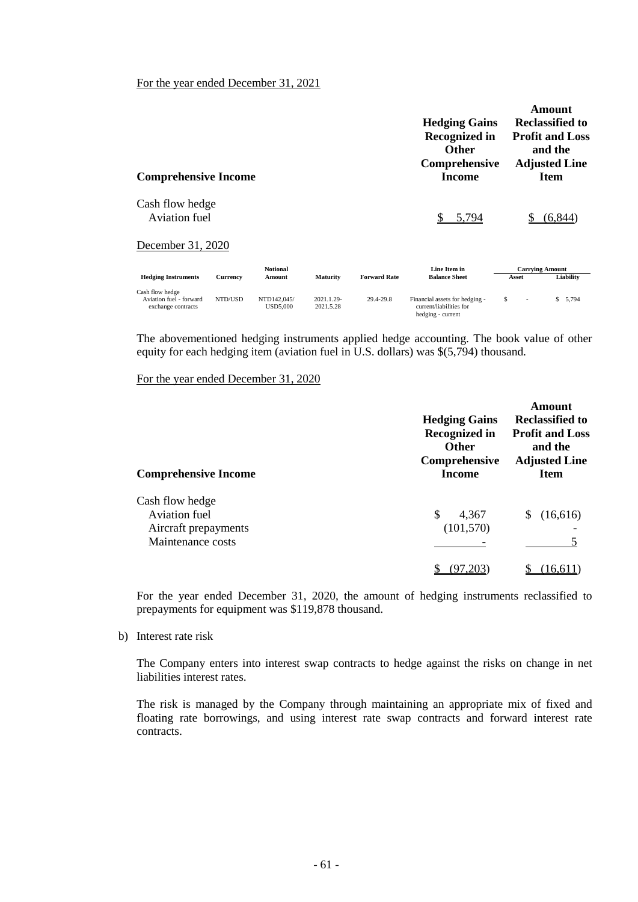#### For the year ended December 31, 2021

| <b>Comprehensive Income</b>                                      |          |                                |                         |                     | <b>Hedging Gains</b><br><b>Recognized in</b><br><b>Other</b><br>Comprehensive<br>Income |                                | Amount<br><b>Reclassified to</b><br><b>Profit and Loss</b><br>and the<br><b>Adjusted Line</b><br><b>Item</b> |
|------------------------------------------------------------------|----------|--------------------------------|-------------------------|---------------------|-----------------------------------------------------------------------------------------|--------------------------------|--------------------------------------------------------------------------------------------------------------|
| Cash flow hedge<br><b>Aviation fuel</b>                          |          |                                |                         |                     | 5.794                                                                                   |                                | (6.844)                                                                                                      |
| December 31, 2020                                                |          |                                |                         |                     |                                                                                         |                                |                                                                                                              |
|                                                                  |          | <b>Notional</b>                |                         |                     | Line Item in                                                                            |                                | <b>Carrying Amount</b>                                                                                       |
| <b>Hedging Instruments</b>                                       | Currency | Amount                         | <b>Maturity</b>         | <b>Forward Rate</b> | <b>Balance Sheet</b>                                                                    | Asset                          | Liability                                                                                                    |
| Cash flow hedge<br>Aviation fuel - forward<br>exchange contracts | NTD/USD  | NTD142,045/<br><b>USD5.000</b> | 2021.1.29-<br>2021.5.28 | 29.4-29.8           | Financial assets for hedging -<br>current/liabilities for<br>hedging - current          | \$<br>$\overline{\phantom{a}}$ | S.<br>5,794                                                                                                  |

The abovementioned hedging instruments applied hedge accounting. The book value of other equity for each hedging item (aviation fuel in U.S. dollars) was \$(5,794) thousand.

For the year ended December 31, 2020

| <b>Comprehensive Income</b>                                                          | <b>Hedging Gains</b><br><b>Recognized in</b><br><b>Other</b><br>Comprehensive<br><b>Income</b> | Amount<br><b>Reclassified to</b><br><b>Profit and Loss</b><br>and the<br><b>Adjusted Line</b><br><b>Item</b> |  |
|--------------------------------------------------------------------------------------|------------------------------------------------------------------------------------------------|--------------------------------------------------------------------------------------------------------------|--|
| Cash flow hedge<br><b>Aviation fuel</b><br>Aircraft prepayments<br>Maintenance costs | \$<br>4,367<br>(101, 570)                                                                      | S<br>(16,616)                                                                                                |  |
|                                                                                      |                                                                                                |                                                                                                              |  |

For the year ended December 31, 2020, the amount of hedging instruments reclassified to prepayments for equipment was \$119,878 thousand.

b) Interest rate risk

The Company enters into interest swap contracts to hedge against the risks on change in net liabilities interest rates.

The risk is managed by the Company through maintaining an appropriate mix of fixed and floating rate borrowings, and using interest rate swap contracts and forward interest rate contracts.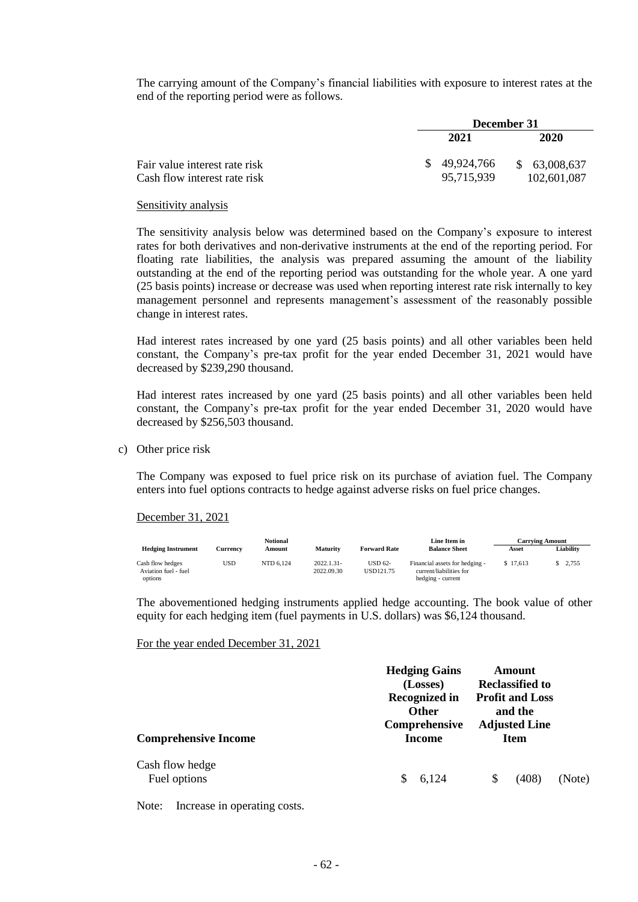The carrying amount of the Company's financial liabilities with exposure to interest rates at the end of the reporting period were as follows.

|                                                               | December 31 |                            |                             |  |
|---------------------------------------------------------------|-------------|----------------------------|-----------------------------|--|
|                                                               |             | 2021                       | 2020                        |  |
| Fair value interest rate risk<br>Cash flow interest rate risk |             | \$49.924.766<br>95.715.939 | \$63,008,637<br>102,601,087 |  |

#### Sensitivity analysis

The sensitivity analysis below was determined based on the Company's exposure to interest rates for both derivatives and non-derivative instruments at the end of the reporting period. For floating rate liabilities, the analysis was prepared assuming the amount of the liability outstanding at the end of the reporting period was outstanding for the whole year. A one yard (25 basis points) increase or decrease was used when reporting interest rate risk internally to key management personnel and represents management's assessment of the reasonably possible change in interest rates.

Had interest rates increased by one yard (25 basis points) and all other variables been held constant, the Company's pre-tax profit for the year ended December 31, 2021 would have decreased by \$239,290 thousand.

Had interest rates increased by one yard (25 basis points) and all other variables been held constant, the Company's pre-tax profit for the year ended December 31, 2020 would have decreased by \$256,503 thousand.

c) Other price risk

The Company was exposed to fuel price risk on its purchase of aviation fuel. The Company enters into fuel options contracts to hedge against adverse risks on fuel price changes.

December 31, 2021

|                                                     |                 | <b>Notional</b> |                             |                             | Line Item in                                                                   | <b>Carrving Amount</b> |           |  |
|-----------------------------------------------------|-----------------|-----------------|-----------------------------|-----------------------------|--------------------------------------------------------------------------------|------------------------|-----------|--|
| <b>Hedging Instrument</b>                           | <b>Currencv</b> | Amount          | <b>Maturity</b>             | <b>Forward Rate</b>         | <b>Balance Sheet</b>                                                           | Asset                  | Liabilitv |  |
| Cash flow hedges<br>Aviation fuel - fuel<br>options | USD             | NTD 6.124       | $2022.1.31 -$<br>2022.09.30 | <b>USD 62-</b><br>USD121.75 | Financial assets for hedging -<br>current/liabilities for<br>hedging - current | \$17.613               | 2.755     |  |

The abovementioned hedging instruments applied hedge accounting. The book value of other equity for each hedging item (fuel payments in U.S. dollars) was \$6,124 thousand.

For the year ended December 31, 2021

| <b>Comprehensive Income</b> | <b>Hedging Gains</b><br>(Losses)<br><b>Recognized in</b><br><b>Other</b><br>Comprehensive<br>Income | <b>Amount</b><br><b>Reclassified to</b><br><b>Profit and Loss</b><br>and the<br><b>Adjusted Line</b><br><b>Item</b> |        |
|-----------------------------|-----------------------------------------------------------------------------------------------------|---------------------------------------------------------------------------------------------------------------------|--------|
| Cash flow hedge             | 6,124                                                                                               | (408)                                                                                                               | (Note) |
| Fuel options                | \$.                                                                                                 | S                                                                                                                   |        |

Note: Increase in operating costs.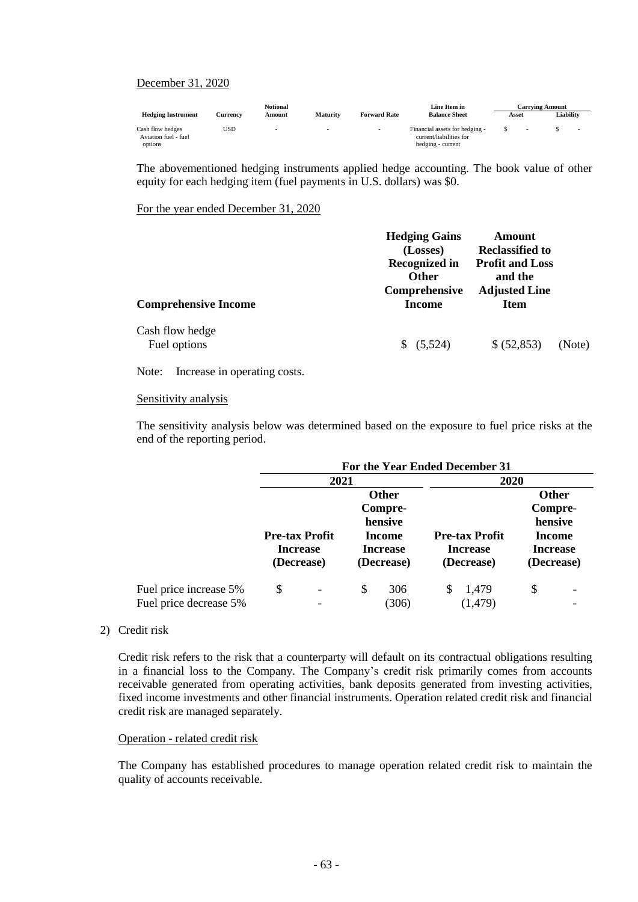December 31, 2020

|                                                     |                 | Notional                 |                 |                     | Line Item in                                                                   | <b>Carrying Amount</b> |                          |           |        |
|-----------------------------------------------------|-----------------|--------------------------|-----------------|---------------------|--------------------------------------------------------------------------------|------------------------|--------------------------|-----------|--------|
| <b>Hedging Instrument</b>                           | <b>Currencv</b> | Amount                   | <b>Maturity</b> | <b>Forward Rate</b> | <b>Balance Sheet</b>                                                           | Asset                  |                          | Liability |        |
| Cash flow hedges<br>Aviation fuel - fuel<br>options | USD             | $\overline{\phantom{0}}$ |                 | -                   | Financial assets for hedging -<br>current/liabilities for<br>hedging - current |                        | $\overline{\phantom{a}}$ |           | $\sim$ |

The abovementioned hedging instruments applied hedge accounting. The book value of other equity for each hedging item (fuel payments in U.S. dollars) was \$0.

For the year ended December 31, 2020

| <b>Comprehensive Income</b>                                                               | <b>Hedging Gains</b><br>(Losses)<br><b>Recognized in</b><br><b>Other</b><br>Comprehensive<br><b>Income</b> | <b>Amount</b><br><b>Reclassified to</b><br><b>Profit and Loss</b><br>and the<br><b>Adjusted Line</b><br>Item |        |
|-------------------------------------------------------------------------------------------|------------------------------------------------------------------------------------------------------------|--------------------------------------------------------------------------------------------------------------|--------|
| Cash flow hedge<br>Fuel options                                                           | \$ (5,524)                                                                                                 | \$ (52,853)                                                                                                  | (Note) |
| $\mathbf{M}$ and $\mathbf{M}$ is the set of the set of the set of the set of $\mathbf{M}$ |                                                                                                            |                                                                                                              |        |

Note: Increase in operating costs.

#### Sensitivity analysis

The sensitivity analysis below was determined based on the exposure to fuel price risks at the end of the reporting period.

|                                                  |                                                        |      |                                                                                      |     | <b>For the Year Ended December 31</b>                  |    |                                                                               |
|--------------------------------------------------|--------------------------------------------------------|------|--------------------------------------------------------------------------------------|-----|--------------------------------------------------------|----|-------------------------------------------------------------------------------|
|                                                  |                                                        | 2021 |                                                                                      |     | <b>2020</b>                                            |    |                                                                               |
|                                                  | <b>Pre-tax Profit</b><br><b>Increase</b><br>(Decrease) |      | <b>Other</b><br>Compre-<br>hensive<br><b>Income</b><br><b>Increase</b><br>(Decrease) |     | <b>Pre-tax Profit</b><br><b>Increase</b><br>(Decrease) |    | <b>Other</b><br>Compre-<br>hensive<br>Income<br><b>Increase</b><br>(Decrease) |
| Fuel price increase 5%<br>Fuel price decrease 5% | \$                                                     |      | \$<br>306<br>(306)                                                                   | \$. | 1,479<br>(1, 479)                                      | \$ |                                                                               |

#### 2) Credit risk

Credit risk refers to the risk that a counterparty will default on its contractual obligations resulting in a financial loss to the Company. The Company's credit risk primarily comes from accounts receivable generated from operating activities, bank deposits generated from investing activities, fixed income investments and other financial instruments. Operation related credit risk and financial credit risk are managed separately.

#### Operation - related credit risk

The Company has established procedures to manage operation related credit risk to maintain the quality of accounts receivable.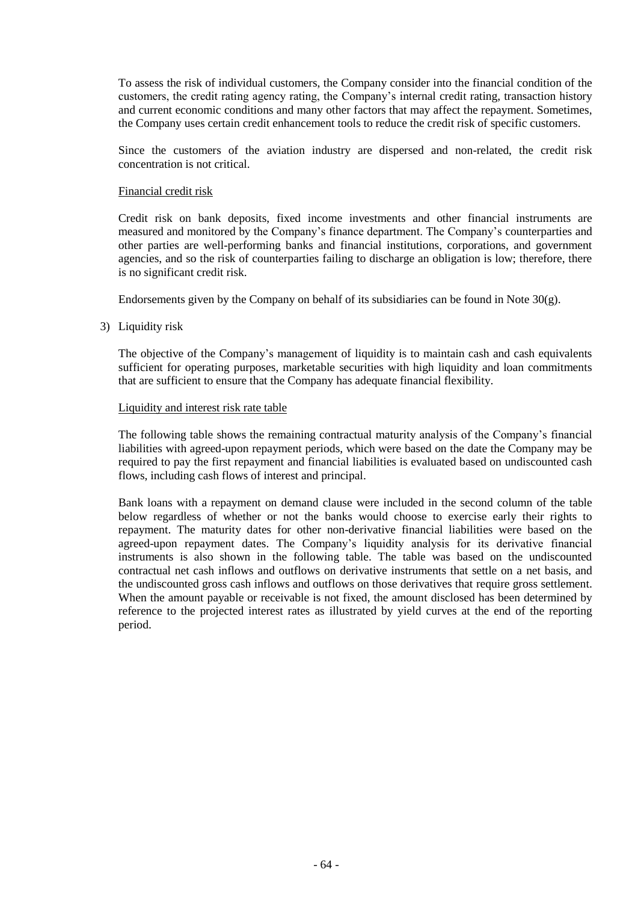To assess the risk of individual customers, the Company consider into the financial condition of the customers, the credit rating agency rating, the Company's internal credit rating, transaction history and current economic conditions and many other factors that may affect the repayment. Sometimes, the Company uses certain credit enhancement tools to reduce the credit risk of specific customers.

Since the customers of the aviation industry are dispersed and non-related, the credit risk concentration is not critical.

#### Financial credit risk

Credit risk on bank deposits, fixed income investments and other financial instruments are measured and monitored by the Company's finance department. The Company's counterparties and other parties are well-performing banks and financial institutions, corporations, and government agencies, and so the risk of counterparties failing to discharge an obligation is low; therefore, there is no significant credit risk.

Endorsements given by the Company on behalf of its subsidiaries can be found in Note 30(g).

#### 3) Liquidity risk

The objective of the Company's management of liquidity is to maintain cash and cash equivalents sufficient for operating purposes, marketable securities with high liquidity and loan commitments that are sufficient to ensure that the Company has adequate financial flexibility.

#### Liquidity and interest risk rate table

The following table shows the remaining contractual maturity analysis of the Company's financial liabilities with agreed-upon repayment periods, which were based on the date the Company may be required to pay the first repayment and financial liabilities is evaluated based on undiscounted cash flows, including cash flows of interest and principal.

Bank loans with a repayment on demand clause were included in the second column of the table below regardless of whether or not the banks would choose to exercise early their rights to repayment. The maturity dates for other non-derivative financial liabilities were based on the agreed-upon repayment dates. The Company's liquidity analysis for its derivative financial instruments is also shown in the following table. The table was based on the undiscounted contractual net cash inflows and outflows on derivative instruments that settle on a net basis, and the undiscounted gross cash inflows and outflows on those derivatives that require gross settlement. When the amount payable or receivable is not fixed, the amount disclosed has been determined by reference to the projected interest rates as illustrated by yield curves at the end of the reporting period.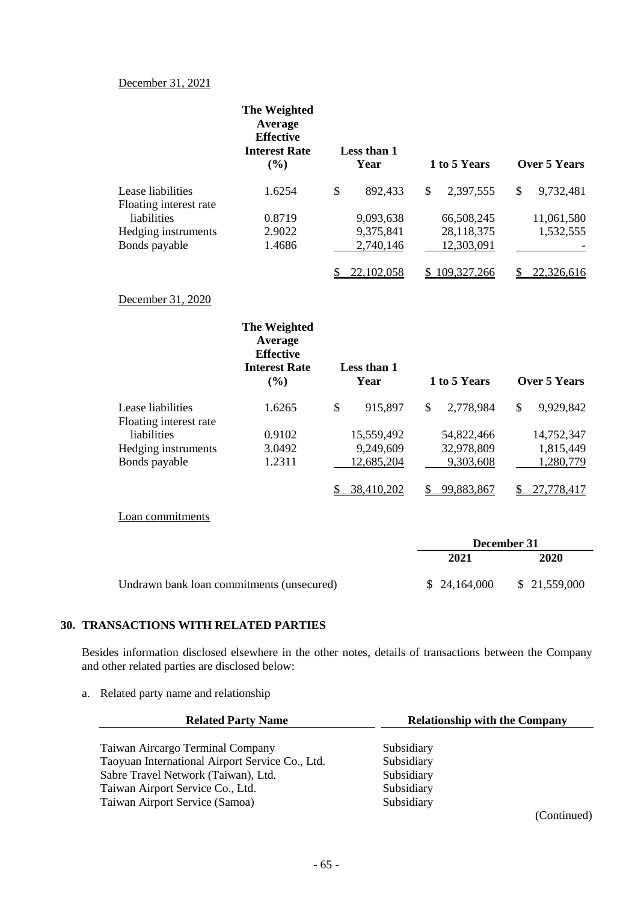## December 31, 2021

|                                             | The Weighted<br>Average<br><b>Effective</b><br><b>Interest Rate</b><br>(%) |               | Less than 1<br>Year | 1 to 5 Years     |    | <b>Over 5 Years</b> |
|---------------------------------------------|----------------------------------------------------------------------------|---------------|---------------------|------------------|----|---------------------|
|                                             |                                                                            |               |                     |                  |    |                     |
| Lease liabilities<br>Floating interest rate | 1.6254                                                                     | \$            | 892,433             | \$<br>2,397,555  | \$ | 9,732,481           |
| liabilities                                 | 0.8719                                                                     |               | 9,093,638           | 66,508,245       |    | 11,061,580          |
| Hedging instruments                         | 2.9022                                                                     |               | 9,375,841           | 28,118,375       |    | 1,532,555           |
| Bonds payable                               | 1.4686                                                                     |               | 2,740,146           | 12,303,091       |    |                     |
|                                             |                                                                            | \$            | 22,102,058          | \$109,327,266    | \$ | 22,326,616          |
| December 31, 2020                           |                                                                            |               |                     |                  |    |                     |
|                                             | The Weighted<br>Average<br><b>Effective</b>                                |               |                     |                  |    |                     |
|                                             | <b>Interest Rate</b>                                                       |               | Less than 1         |                  |    |                     |
|                                             | (%)                                                                        |               | Year                | 1 to 5 Years     |    | <b>Over 5 Years</b> |
| Lease liabilities<br>Floating interest rate | 1.6265                                                                     | $\mathcal{S}$ | 915,897             | \$<br>2,778,984  | \$ | 9,929,842           |
| liabilities                                 | 0.9102                                                                     |               | 15,559,492          | 54,822,466       |    | 14,752,347          |
| Hedging instruments                         | 3.0492                                                                     |               | 9,249,609           | 32,978,809       |    | 1,815,449           |
| Bonds payable                               | 1.2311                                                                     |               | 12,685,204          | 9,303,608        |    | 1,280,779           |
|                                             |                                                                            | \$            | 38,410,202          | 99,883,867       | S. | 27,778,417          |
| Loan commitments                            |                                                                            |               |                     |                  |    |                     |
|                                             |                                                                            |               |                     | December 31      |    |                     |
|                                             |                                                                            |               |                     | 2021             |    | 2020                |
|                                             |                                                                            |               |                     |                  |    |                     |
| Undrawn bank loan commitments (unsecured)   |                                                                            |               |                     | \$<br>24,164,000 | \$ | 21,559,000          |

# **30. TRANSACTIONS WITH RELATED PARTIES**

Besides information disclosed elsewhere in the other notes, details of transactions between the Company and other related parties are disclosed below:

a. Related party name and relationship

| <b>Related Party Name</b>                       | <b>Relationship with the Company</b> |
|-------------------------------------------------|--------------------------------------|
|                                                 |                                      |
| Taiwan Aircargo Terminal Company                | Subsidiary                           |
| Taoyuan International Airport Service Co., Ltd. | Subsidiary                           |
| Sabre Travel Network (Taiwan), Ltd.             | Subsidiary                           |
| Taiwan Airport Service Co., Ltd.                | Subsidiary                           |
| Taiwan Airport Service (Samoa)                  | Subsidiary                           |
|                                                 | $(C_{\text{optimal}})$               |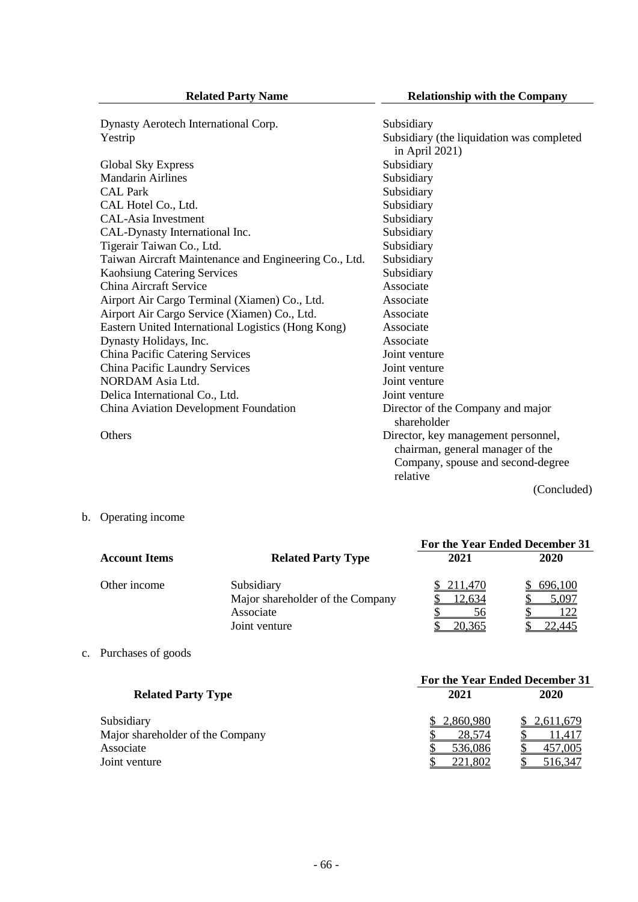# **Related Party Name Relationship with the Company**

| Dynasty Aerotech International Corp.                  | Subsidiary                                                                                                   |
|-------------------------------------------------------|--------------------------------------------------------------------------------------------------------------|
| Yestrip                                               | Subsidiary (the liquidation was completed                                                                    |
|                                                       | in April 2021)                                                                                               |
| Global Sky Express                                    | Subsidiary                                                                                                   |
| <b>Mandarin Airlines</b>                              | Subsidiary                                                                                                   |
| <b>CAL Park</b>                                       | Subsidiary                                                                                                   |
| CAL Hotel Co., Ltd.                                   | Subsidiary                                                                                                   |
| CAL-Asia Investment                                   | Subsidiary                                                                                                   |
| CAL-Dynasty International Inc.                        | Subsidiary                                                                                                   |
| Tigerair Taiwan Co., Ltd.                             | Subsidiary                                                                                                   |
| Taiwan Aircraft Maintenance and Engineering Co., Ltd. | Subsidiary                                                                                                   |
| <b>Kaohsiung Catering Services</b>                    | Subsidiary                                                                                                   |
| China Aircraft Service                                | Associate                                                                                                    |
| Airport Air Cargo Terminal (Xiamen) Co., Ltd.         | Associate                                                                                                    |
| Airport Air Cargo Service (Xiamen) Co., Ltd.          | Associate                                                                                                    |
| Eastern United International Logistics (Hong Kong)    | Associate                                                                                                    |
| Dynasty Holidays, Inc.                                | Associate                                                                                                    |
| China Pacific Catering Services                       | Joint venture                                                                                                |
| China Pacific Laundry Services                        | Joint venture                                                                                                |
| NORDAM Asia Ltd.                                      | Joint venture                                                                                                |
| Delica International Co., Ltd.                        | Joint venture                                                                                                |
| China Aviation Development Foundation                 | Director of the Company and major<br>shareholder                                                             |
| Others                                                | Director, key management personnel,<br>chairman, general manager of the<br>Company, spouse and second-degree |
|                                                       | relative                                                                                                     |

(Concluded)

# b. Operating income

|                      |                                                                              |                                   | For the Year Ended December 31 |
|----------------------|------------------------------------------------------------------------------|-----------------------------------|--------------------------------|
| <b>Account Items</b> | <b>Related Party Type</b>                                                    | 2021                              | 2020                           |
| Other income         | Subsidiary<br>Major shareholder of the Company<br>Associate<br>Joint venture | 211.470<br>12.634<br>56<br>20.365 | 696.100<br>5.097<br>22.445     |

# c. Purchases of goods

|                                  | For the Year Ended December 31 |                |  |  |
|----------------------------------|--------------------------------|----------------|--|--|
| <b>Related Party Type</b>        | 2021                           | 2020           |  |  |
| Subsidiary                       | 2,860,980                      | 2.611.679      |  |  |
| Major shareholder of the Company | 28,574                         | 1,417          |  |  |
| Associate                        | 536,086                        | 457,005        |  |  |
| Joint venture                    | 221,802                        | <u>516,347</u> |  |  |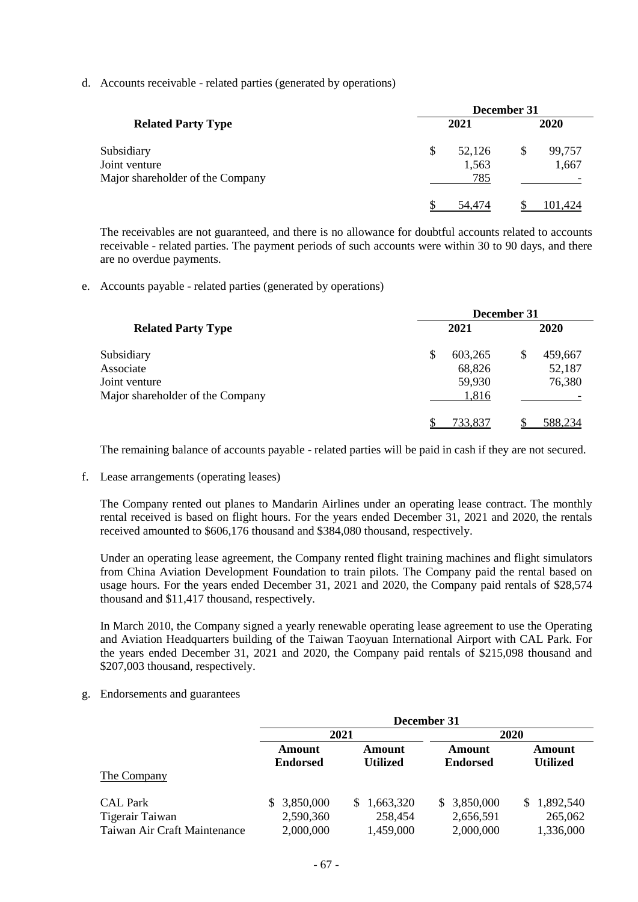d. Accounts receivable - related parties (generated by operations)

|                                  | December 31 |        |   |         |  |
|----------------------------------|-------------|--------|---|---------|--|
| <b>Related Party Type</b>        |             | 2021   |   | 2020    |  |
| Subsidiary                       | \$          | 52,126 | S | 99,757  |  |
| Joint venture                    |             | 1,563  |   | 1,667   |  |
| Major shareholder of the Company |             | 785    |   |         |  |
|                                  |             | 54.474 |   | 101.424 |  |

The receivables are not guaranteed, and there is no allowance for doubtful accounts related to accounts receivable - related parties. The payment periods of such accounts were within 30 to 90 days, and there are no overdue payments.

e. Accounts payable - related parties (generated by operations)

|                                  | December 31 |         |             |         |  |
|----------------------------------|-------------|---------|-------------|---------|--|
| <b>Related Party Type</b>        | 2021        |         | <b>2020</b> |         |  |
| Subsidiary                       | S           | 603,265 | \$          | 459,667 |  |
| Associate                        |             | 68,826  |             | 52,187  |  |
| Joint venture                    |             | 59,930  |             | 76,380  |  |
| Major shareholder of the Company |             | 1,816   |             |         |  |
|                                  |             | 733,837 |             | 588,234 |  |

The remaining balance of accounts payable - related parties will be paid in cash if they are not secured.

f. Lease arrangements (operating leases)

The Company rented out planes to Mandarin Airlines under an operating lease contract. The monthly rental received is based on flight hours. For the years ended December 31, 2021 and 2020, the rentals received amounted to \$606,176 thousand and \$384,080 thousand, respectively.

Under an operating lease agreement, the Company rented flight training machines and flight simulators from China Aviation Development Foundation to train pilots. The Company paid the rental based on usage hours. For the years ended December 31, 2021 and 2020, the Company paid rentals of \$28,574 thousand and \$11,417 thousand, respectively.

In March 2010, the Company signed a yearly renewable operating lease agreement to use the Operating and Aviation Headquarters building of the Taiwan Taoyuan International Airport with CAL Park. For the years ended December 31, 2021 and 2020, the Company paid rentals of \$215,098 thousand and \$207,003 thousand, respectively.

g. Endorsements and guarantees

|                              | December 31               |                    |                           |                                  |  |
|------------------------------|---------------------------|--------------------|---------------------------|----------------------------------|--|
|                              | 2021                      |                    | 2020                      |                                  |  |
|                              | Amount<br><b>Endorsed</b> | Amount<br>Utilized | Amount<br><b>Endorsed</b> | <b>Amount</b><br><b>Utilized</b> |  |
| The Company                  |                           |                    |                           |                                  |  |
| <b>CAL Park</b>              | 3,850,000<br>\$.          | 1,663,320<br>S.    | \$3,850,000               | \$1,892,540                      |  |
| Tigerair Taiwan              | 2,590,360                 | 258,454            | 2,656,591                 | 265,062                          |  |
| Taiwan Air Craft Maintenance | 2,000,000                 | 1,459,000          | 2,000,000                 | 1,336,000                        |  |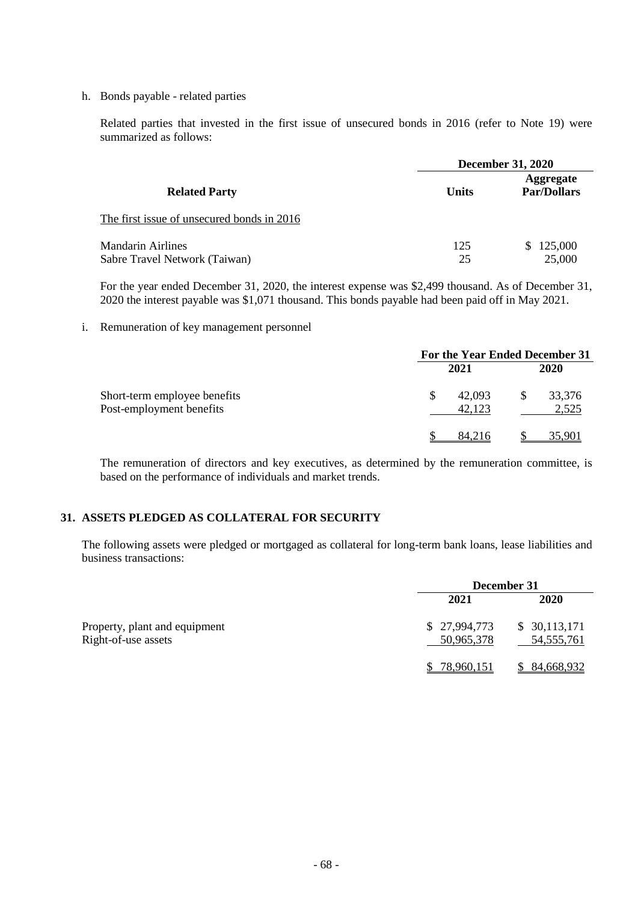h. Bonds payable - related parties

Related parties that invested in the first issue of unsecured bonds in 2016 (refer to Note 19) were summarized as follows:

|                                            | <b>December 31, 2020</b> |                                        |  |
|--------------------------------------------|--------------------------|----------------------------------------|--|
| <b>Related Party</b>                       | <b>Units</b>             | <b>Aggregate</b><br><b>Par/Dollars</b> |  |
| The first issue of unsecured bonds in 2016 |                          |                                        |  |
| <b>Mandarin Airlines</b>                   | 125                      | 125,000<br>S.                          |  |
| Sabre Travel Network (Taiwan)              | 25                       | 25,000                                 |  |

For the year ended December 31, 2020, the interest expense was \$2,499 thousand. As of December 31, 2020 the interest payable was \$1,071 thousand. This bonds payable had been paid off in May 2021.

#### i. Remuneration of key management personnel

|                                                          | For the Year Ended December 31 |                  |    |                 |
|----------------------------------------------------------|--------------------------------|------------------|----|-----------------|
|                                                          |                                | 2021             |    | 2020            |
| Short-term employee benefits<br>Post-employment benefits | \$.                            | 42,093<br>42.123 | \$ | 33,376<br>2,525 |
|                                                          |                                | 84.216           |    | 35.901          |

The remuneration of directors and key executives, as determined by the remuneration committee, is based on the performance of individuals and market trends.

#### **31. ASSETS PLEDGED AS COLLATERAL FOR SECURITY**

The following assets were pledged or mortgaged as collateral for long-term bank loans, lease liabilities and business transactions:

|                                                      | December 31                |                              |  |
|------------------------------------------------------|----------------------------|------------------------------|--|
|                                                      | 2021                       | <b>2020</b>                  |  |
| Property, plant and equipment<br>Right-of-use assets | \$27,994,773<br>50,965,378 | \$30,113,171<br>54, 555, 761 |  |
|                                                      | <u>78.960.151</u>          | 84,668,932                   |  |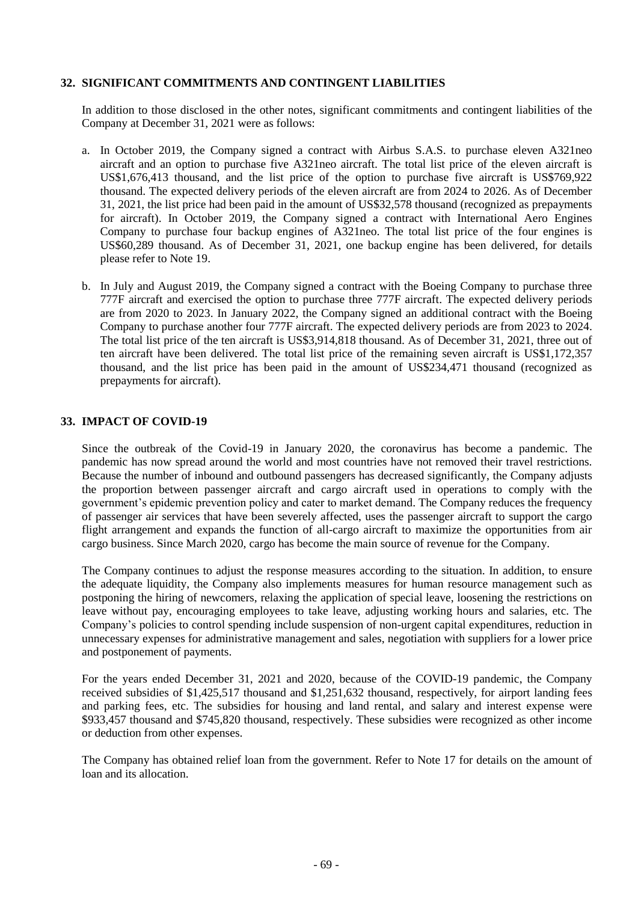#### **32. SIGNIFICANT COMMITMENTS AND CONTINGENT LIABILITIES**

In addition to those disclosed in the other notes, significant commitments and contingent liabilities of the Company at December 31, 2021 were as follows:

- a. In October 2019, the Company signed a contract with Airbus S.A.S. to purchase eleven A321neo aircraft and an option to purchase five A321neo aircraft. The total list price of the eleven aircraft is US\$1,676,413 thousand, and the list price of the option to purchase five aircraft is US\$769,922 thousand. The expected delivery periods of the eleven aircraft are from 2024 to 2026. As of December 31, 2021, the list price had been paid in the amount of US\$32,578 thousand (recognized as prepayments for aircraft). In October 2019, the Company signed a contract with International Aero Engines Company to purchase four backup engines of A321neo. The total list price of the four engines is US\$60,289 thousand. As of December 31, 2021, one backup engine has been delivered, for details please refer to Note 19.
- b. In July and August 2019, the Company signed a contract with the Boeing Company to purchase three 777F aircraft and exercised the option to purchase three 777F aircraft. The expected delivery periods are from 2020 to 2023. In January 2022, the Company signed an additional contract with the Boeing Company to purchase another four 777F aircraft. The expected delivery periods are from 2023 to 2024. The total list price of the ten aircraft is US\$3,914,818 thousand. As of December 31, 2021, three out of ten aircraft have been delivered. The total list price of the remaining seven aircraft is US\$1,172,357 thousand, and the list price has been paid in the amount of US\$234,471 thousand (recognized as prepayments for aircraft).

#### **33. IMPACT OF COVID-19**

Since the outbreak of the Covid-19 in January 2020, the coronavirus has become a pandemic. The pandemic has now spread around the world and most countries have not removed their travel restrictions. Because the number of inbound and outbound passengers has decreased significantly, the Company adjusts the proportion between passenger aircraft and cargo aircraft used in operations to comply with the government's epidemic prevention policy and cater to market demand. The Company reduces the frequency of passenger air services that have been severely affected, uses the passenger aircraft to support the cargo flight arrangement and expands the function of all-cargo aircraft to maximize the opportunities from air cargo business. Since March 2020, cargo has become the main source of revenue for the Company.

The Company continues to adjust the response measures according to the situation. In addition, to ensure the adequate liquidity, the Company also implements measures for human resource management such as postponing the hiring of newcomers, relaxing the application of special leave, loosening the restrictions on leave without pay, encouraging employees to take leave, adjusting working hours and salaries, etc. The Company's policies to control spending include suspension of non-urgent capital expenditures, reduction in unnecessary expenses for administrative management and sales, negotiation with suppliers for a lower price and postponement of payments.

For the years ended December 31, 2021 and 2020, because of the COVID-19 pandemic, the Company received subsidies of \$1,425,517 thousand and \$1,251,632 thousand, respectively, for airport landing fees and parking fees, etc. The subsidies for housing and land rental, and salary and interest expense were \$933,457 thousand and \$745,820 thousand, respectively. These subsidies were recognized as other income or deduction from other expenses.

The Company has obtained relief loan from the government. Refer to Note 17 for details on the amount of loan and its allocation.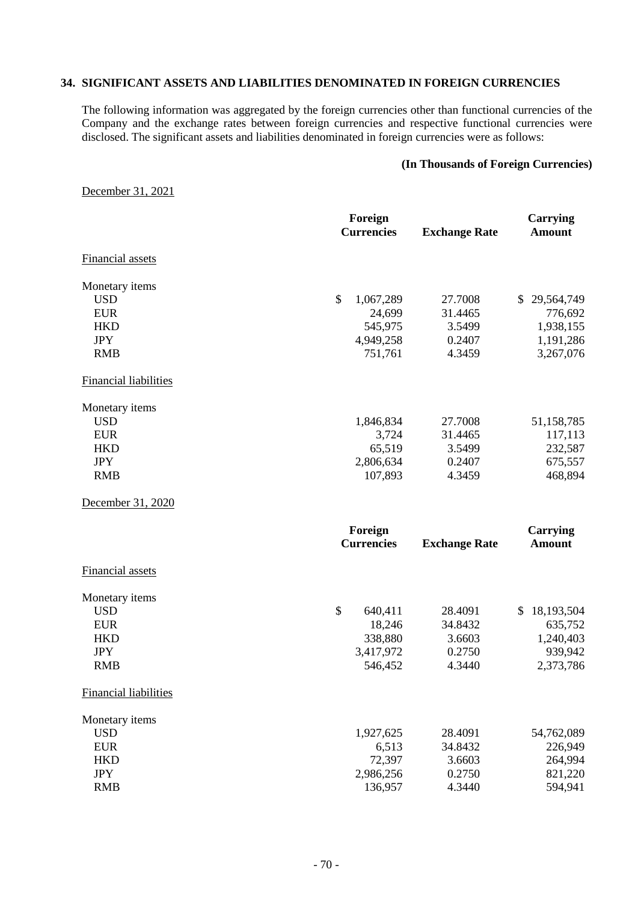## **34. SIGNIFICANT ASSETS AND LIABILITIES DENOMINATED IN FOREIGN CURRENCIES**

The following information was aggregated by the foreign currencies other than functional currencies of the Company and the exchange rates between foreign currencies and respective functional currencies were disclosed. The significant assets and liabilities denominated in foreign currencies were as follows:

#### **(In Thousands of Foreign Currencies)**

#### December 31, 2021

|                              | Foreign<br><b>Currencies</b> | <b>Exchange Rate</b> | <b>Carrying</b><br><b>Amount</b> |
|------------------------------|------------------------------|----------------------|----------------------------------|
| <b>Financial assets</b>      |                              |                      |                                  |
| Monetary items               |                              |                      |                                  |
| <b>USD</b>                   | \$<br>1,067,289              | 27.7008              | \$29,564,749                     |
| <b>EUR</b>                   | 24,699                       | 31.4465              | 776,692                          |
| <b>HKD</b>                   | 545,975                      | 3.5499               | 1,938,155                        |
| <b>JPY</b>                   | 4,949,258                    | 0.2407               | 1,191,286                        |
| <b>RMB</b>                   | 751,761                      | 4.3459               | 3,267,076                        |
| <b>Financial liabilities</b> |                              |                      |                                  |
| Monetary items               |                              |                      |                                  |
| <b>USD</b>                   | 1,846,834                    | 27.7008              | 51,158,785                       |
| <b>EUR</b>                   | 3,724                        | 31.4465              | 117,113                          |
| <b>HKD</b>                   | 65,519                       | 3.5499               | 232,587                          |
| <b>JPY</b>                   | 2,806,634                    | 0.2407               | 675,557                          |
| <b>RMB</b>                   | 107,893                      | 4.3459               | 468,894                          |
| December 31, 2020            |                              |                      |                                  |
|                              | Foreign                      |                      | <b>Carrying</b>                  |
|                              | <b>Currencies</b>            | <b>Exchange Rate</b> | <b>Amount</b>                    |
| <b>Financial assets</b>      |                              |                      |                                  |
| Monetary items               |                              |                      |                                  |
| <b>USD</b>                   | \$<br>640,411                | 28.4091              | 18,193,504<br>\$                 |
| <b>EUR</b>                   | 18,246                       | 34.8432              | 635,752                          |
| <b>HKD</b>                   | 338,880                      | 3.6603               | 1,240,403                        |
| <b>JPY</b>                   | 3,417,972                    | 0.2750               | 939,942                          |
| <b>RMB</b>                   | 546,452                      | 4.3440               | 2,373,786                        |
| <b>Financial liabilities</b> |                              |                      |                                  |
| Monetary items               |                              |                      |                                  |
| <b>USD</b>                   | 1,927,625                    | 28.4091              | 54,762,089                       |
| <b>EUR</b>                   | 6,513                        | 34.8432              | 226,949                          |
| <b>HKD</b>                   | 72,397                       | 3.6603               | 264,994                          |
| <b>JPY</b>                   | 2,986,256                    | 0.2750               | 821,220                          |
| <b>RMB</b>                   | 136,957                      | 4.3440               | 594,941                          |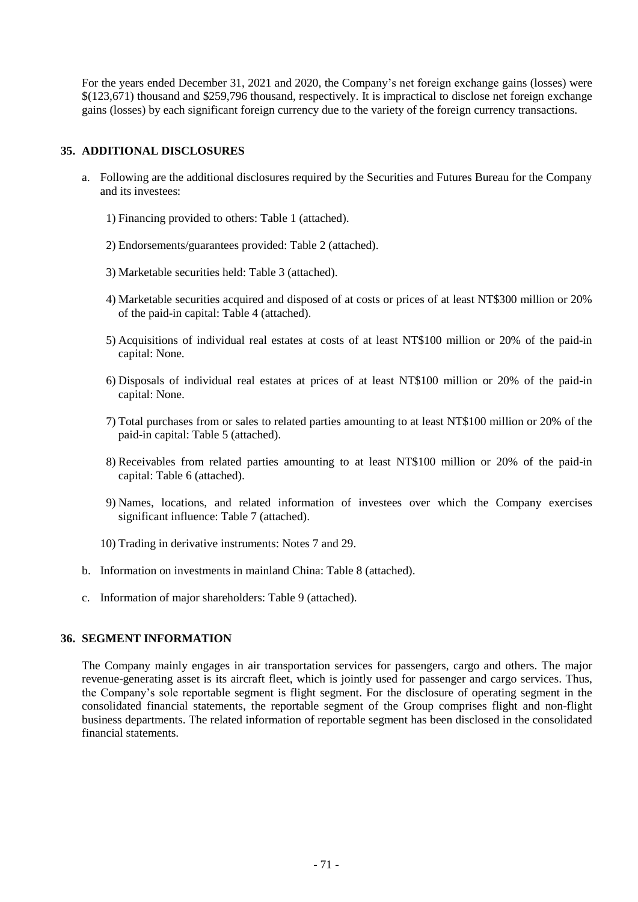For the years ended December 31, 2021 and 2020, the Company's net foreign exchange gains (losses) were \$(123,671) thousand and \$259,796 thousand, respectively. It is impractical to disclose net foreign exchange gains (losses) by each significant foreign currency due to the variety of the foreign currency transactions.

## **35. ADDITIONAL DISCLOSURES**

- a. Following are the additional disclosures required by the Securities and Futures Bureau for the Company and its investees:
	- 1) Financing provided to others: Table 1 (attached).
	- 2) Endorsements/guarantees provided: Table 2 (attached).
	- 3) Marketable securities held: Table 3 (attached).
	- 4) Marketable securities acquired and disposed of at costs or prices of at least NT\$300 million or 20% of the paid-in capital: Table 4 (attached).
	- 5) Acquisitions of individual real estates at costs of at least NT\$100 million or 20% of the paid-in capital: None.
	- 6) Disposals of individual real estates at prices of at least NT\$100 million or 20% of the paid-in capital: None.
	- 7) Total purchases from or sales to related parties amounting to at least NT\$100 million or 20% of the paid-in capital: Table 5 (attached).
	- 8) Receivables from related parties amounting to at least NT\$100 million or 20% of the paid-in capital: Table 6 (attached).
	- 9) Names, locations, and related information of investees over which the Company exercises significant influence: Table 7 (attached).
	- 10) Trading in derivative instruments: Notes 7 and 29.
- b. Information on investments in mainland China: Table 8 (attached).
- c. Information of major shareholders: Table 9 (attached).

#### **36. SEGMENT INFORMATION**

The Company mainly engages in air transportation services for passengers, cargo and others. The major revenue-generating asset is its aircraft fleet, which is jointly used for passenger and cargo services. Thus, the Company's sole reportable segment is flight segment. For the disclosure of operating segment in the consolidated financial statements, the reportable segment of the Group comprises flight and non-flight business departments. The related information of reportable segment has been disclosed in the consolidated financial statements.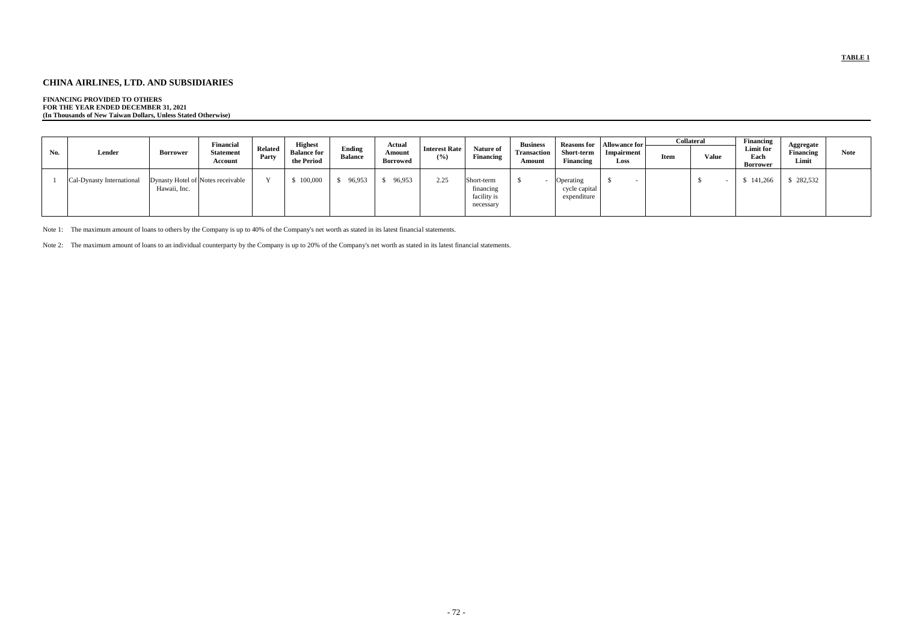# **CHINA AIRLINES, LTD. AND SUBSIDIARIES**

#### **FINANCING PROVIDED TO OTHERS**

**FOR THE YEAR ENDED DECEMBER 31, 2021 (In Thousands of New Taiwan Dollars, Unless Stated Otherwise)**

|     |                           |                 | Financial                         |                  | <b>Highest</b>                   |                          | Actual                    |                                |                                                     | <b>Business</b>              | <b>Reasons for</b>                        | Allowance for             |             | <b>Collateral</b> | <b>Financing</b>                     |                                        |      |
|-----|---------------------------|-----------------|-----------------------------------|------------------|----------------------------------|--------------------------|---------------------------|--------------------------------|-----------------------------------------------------|------------------------------|-------------------------------------------|---------------------------|-------------|-------------------|--------------------------------------|----------------------------------------|------|
| No. | Lender                    | <b>Borrower</b> | <b>Statement</b><br>Account       | Related<br>Party | <b>Balance for</b><br>the Period | Ending<br><b>Balance</b> | Amount<br><b>Borrowed</b> | <b>Interest Rate</b><br>$(\%)$ | Nature of<br><b>Financing</b>                       | <b>Transaction</b><br>Amount | Short-term<br>Financing                   | <b>Impairment</b><br>Loss | <b>Item</b> | Value             | Limit for<br>Each<br><b>Borrower</b> | <b>Aggregate</b><br>Financing<br>Limit | Note |
|     | Cal-Dynasty International | Hawaii, Inc.    | Dynasty Hotel of Notes receivable |                  | 100,000                          | 96,953                   | 96,953                    | 2.25                           | Short-term<br>financing<br>facility is<br>necessary |                              | Operating<br>cycle capital<br>expenditure |                           |             |                   | 141,266                              | \$282,532                              |      |

Note 1: The maximum amount of loans to others by the Company is up to 40% of the Company's net worth as stated in its latest financial statements.

Note 2: The maximum amount of loans to an individual counterparty by the Company is up to 20% of the Company's net worth as stated in its latest financial statements.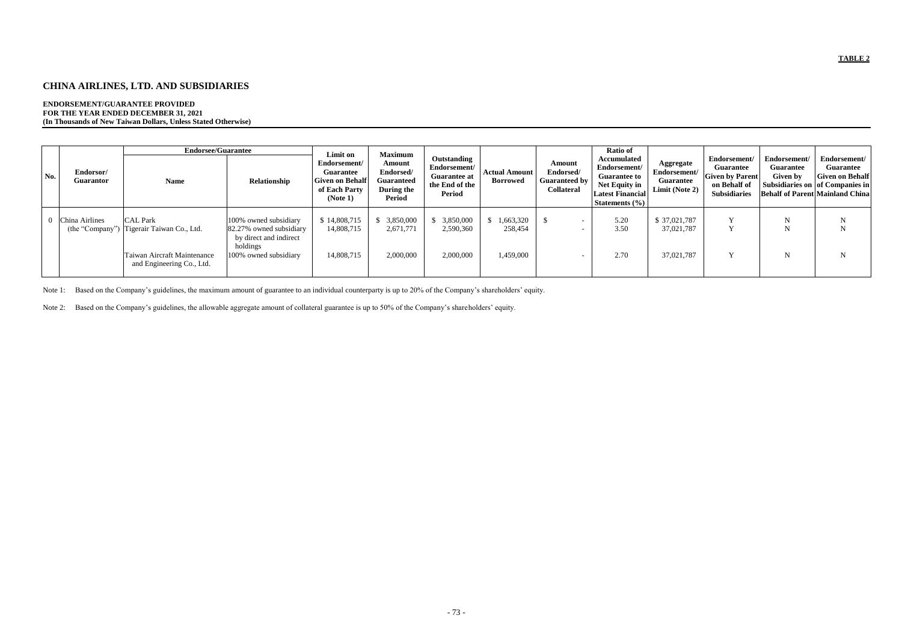# **CHINA AIRLINES, LTD. AND SUBSIDIARIES**

#### **ENDORSEMENT/GUARANTEE PROVIDED FOR THE YEAR ENDED DECEMBER 31, 2021 (In Thousands of New Taiwan Dollars, Unless Stated Otherwise)**

| Endorsor/<br>No.<br><b>Guarantor</b> | <b>Endorsee/Guarantee</b><br><b>Name</b>                                                                                 | Relationship                                                                                                    | Limit on<br>Endorsement/<br>Guarantee<br><b>Given on Behalf</b><br>of Each Party<br>(Note 1) | <b>Maximum</b><br>Amount<br>Endorsed/<br><b>Guaranteed</b><br>During the<br>Period | Outstanding<br>Endorsement/<br><b>Guarantee at</b><br>the End of the<br>Period | <b>Actual Amount</b><br><b>Borrowed</b> | Amount<br>Endorsed/<br><b>Guaranteed by</b><br><b>Collateral</b> | Ratio of<br>Accumulated<br>Endorsement/<br><b>Guarantee to</b><br>Net Equity in<br>Latest Financial<br>Statements $(\% )$ | Aggregate<br>Endorsement/<br><b>Guarantee</b><br>Limit (Note 2) | Endorsement/<br><b>Guarantee</b><br><b>Given by Parent</b><br>on Behalf of<br><b>Subsidiaries</b> | Endorsement/<br><b>Guarantee</b><br><b>Given by</b> | Endorsement/<br><b>Guarantee</b><br><b>Given on Behalf</b><br>Subsidiaries on of Companies in<br><b>Behalf of Parent Mainland China</b> |
|--------------------------------------|--------------------------------------------------------------------------------------------------------------------------|-----------------------------------------------------------------------------------------------------------------|----------------------------------------------------------------------------------------------|------------------------------------------------------------------------------------|--------------------------------------------------------------------------------|-----------------------------------------|------------------------------------------------------------------|---------------------------------------------------------------------------------------------------------------------------|-----------------------------------------------------------------|---------------------------------------------------------------------------------------------------|-----------------------------------------------------|-----------------------------------------------------------------------------------------------------------------------------------------|
| China Airlines                       | <b>CAL Park</b><br>(the "Company") Tigerair Taiwan Co., Ltd.<br>Taiwan Aircraft Maintenance<br>and Engineering Co., Ltd. | 100% owned subsidiary<br>82.27% owned subsidiary<br>by direct and indirect<br>holdings<br>100% owned subsidiary | \$14,808,715<br>14,808,715<br>14,808,715                                                     | 3,850,000<br>2,671,771<br>2,000,000                                                | 3,850,000<br>2,590,360<br>2,000,000                                            | 1,663,320<br>258,454<br>1,459,000       |                                                                  | 5.20<br>3.50<br>2.70                                                                                                      | \$37,021,787<br>37,021,787<br>37,021,787                        |                                                                                                   | N                                                   | N                                                                                                                                       |

Note 1: Based on the Company's guidelines, the maximum amount of guarantee to an individual counterparty is up to 20% of the Company's shareholders' equity.

Note 2: Based on the Company's guidelines, the allowable aggregate amount of collateral guarantee is up to 50% of the Company's shareholders' equity.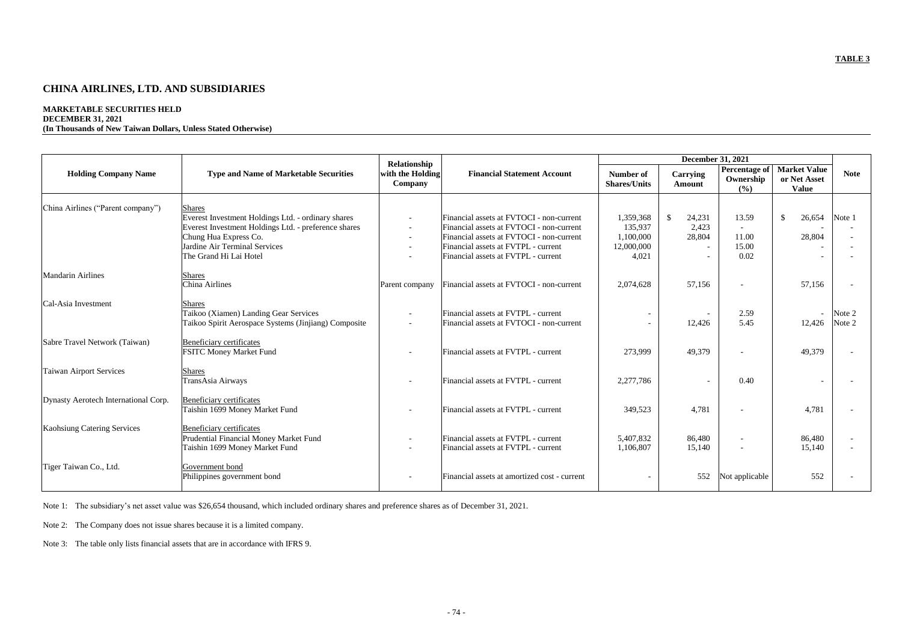# **CHINA AIRLINES, LTD. AND SUBSIDIARIES**

#### **MARKETABLE SECURITIES HELD DECEMBER 31, 2021**

## **(In Thousands of New Taiwan Dollars, Unless Stated Otherwise)**

|                                      |                                                                                                                                                                                                                 | Relationship                |                                                                                                                                                                                                                |                                                          | December 31, 2021                          |                                           |                                                     |                  |
|--------------------------------------|-----------------------------------------------------------------------------------------------------------------------------------------------------------------------------------------------------------------|-----------------------------|----------------------------------------------------------------------------------------------------------------------------------------------------------------------------------------------------------------|----------------------------------------------------------|--------------------------------------------|-------------------------------------------|-----------------------------------------------------|------------------|
| <b>Holding Company Name</b>          | <b>Type and Name of Marketable Securities</b>                                                                                                                                                                   | with the Holding<br>Company | <b>Financial Statement Account</b>                                                                                                                                                                             | Number of<br><b>Shares/Units</b>                         | Carrying<br><b>Amount</b>                  | Percentage of<br>Ownership<br>(%)         | <b>Market Value</b><br>or Net Asset<br><b>Value</b> | <b>Note</b>      |
| China Airlines ("Parent company")    | <b>Shares</b><br>Everest Investment Holdings Ltd. - ordinary shares<br>Everest Investment Holdings Ltd. - preference shares<br>Chung Hua Express Co.<br>Jardine Air Terminal Services<br>The Grand Hi Lai Hotel | $\sim$<br>$\sim$            | Financial assets at FVTOCI - non-current<br>Financial assets at FVTOCI - non-current<br>Financial assets at FVTOCI - non-current<br>Financial assets at FVTPL - current<br>Financial assets at FVTPL - current | 1,359,368<br>135,937<br>1,100,000<br>12,000,000<br>4,021 | <sup>\$</sup><br>24,231<br>2,423<br>28,804 | 13.59<br>$\sim$<br>11.00<br>15.00<br>0.02 | $\mathbb{S}$<br>26,654<br>28,804                    | Note 1           |
| <b>Mandarin Airlines</b>             | <b>Shares</b><br><b>China Airlines</b>                                                                                                                                                                          | Parent company              | Financial assets at FVTOCI - non-current                                                                                                                                                                       | 2,074,628                                                | 57,156                                     |                                           | 57,156                                              |                  |
| Cal-Asia Investment                  | <b>Shares</b><br>Taikoo (Xiamen) Landing Gear Services<br>Taikoo Spirit Aerospace Systems (Jinjiang) Composite                                                                                                  |                             | Financial assets at FVTPL - current<br>Financial assets at FVTOCI - non-current                                                                                                                                |                                                          | 12,426                                     | 2.59<br>5.45                              | $\sim$<br>12,426                                    | Note 2<br>Note 2 |
| Sabre Travel Network (Taiwan)        | <b>Beneficiary certificates</b><br>FSITC Money Market Fund                                                                                                                                                      |                             | Financial assets at FVTPL - current                                                                                                                                                                            | 273,999                                                  | 49,379                                     |                                           | 49,379                                              |                  |
| <b>Taiwan Airport Services</b>       | <b>Shares</b><br>TransAsia Airways                                                                                                                                                                              |                             | Financial assets at FVTPL - current                                                                                                                                                                            | 2,277,786                                                |                                            | 0.40                                      |                                                     |                  |
| Dynasty Aerotech International Corp. | <b>Beneficiary certificates</b><br>Taishin 1699 Money Market Fund                                                                                                                                               |                             | Financial assets at FVTPL - current                                                                                                                                                                            | 349,523                                                  | 4,781                                      |                                           | 4,781                                               |                  |
| <b>Kaohsiung Catering Services</b>   | <b>Beneficiary certificates</b><br>Prudential Financial Money Market Fund<br>Taishin 1699 Money Market Fund                                                                                                     |                             | Financial assets at FVTPL - current<br>Financial assets at FVTPL - current                                                                                                                                     | 5,407,832<br>1,106,807                                   | 86,480<br>15,140                           |                                           | 86,480<br>15,140                                    |                  |
| Tiger Taiwan Co., Ltd.               | Government bond<br>Philippines government bond                                                                                                                                                                  |                             | Financial assets at amortized cost - current                                                                                                                                                                   |                                                          | 552                                        | Not applicable                            | 552                                                 |                  |

Note 1: The subsidiary's net asset value was \$26,654 thousand, which included ordinary shares and preference shares as of December 31, 2021.

Note 2: The Company does not issue shares because it is a limited company.

Note 3: The table only lists financial assets that are in accordance with IFRS 9.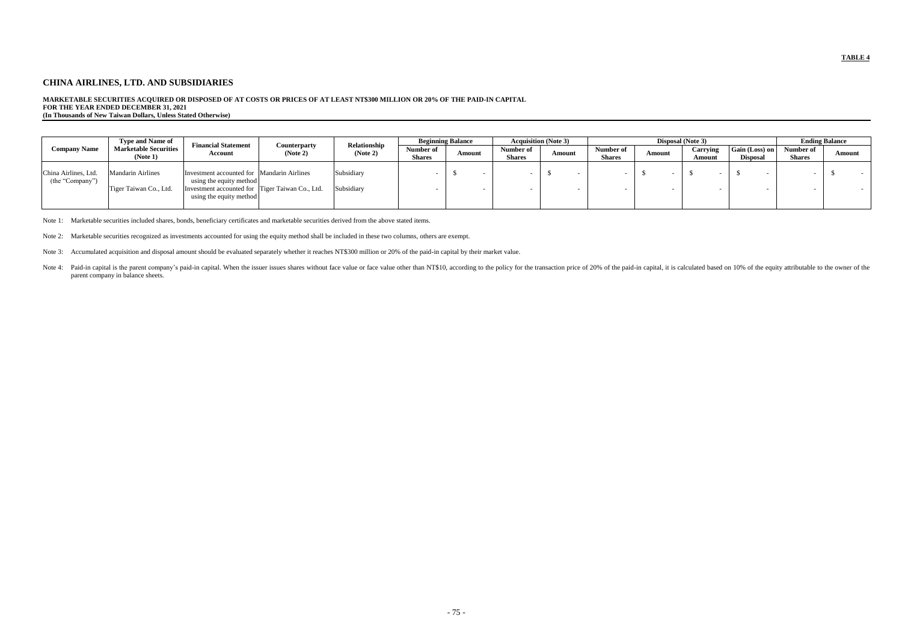## **CHINA AIRLINES, LTD. AND SUBSIDIARIES**

#### **MARKETABLE SECURITIES ACQUIRED OR DISPOSED OF AT COSTS OR PRICES OF AT LEAST NT\$300 MILLION OR 20% OF THE PAID-IN CAPITAL FOR THE YEAR ENDED DECEMBER 31, 2021 (In Thousands of New Taiwan Dollars, Unless Stated Otherwise)**

|                                         | <b>Type and Name of</b>                            | <b>Financial Statement</b>                                                                                                                          | <b>Counterparty</b> | Relationship             |                            | <b>Beginning Balance</b> |                            | <b>Acquisition</b> (Note 3) |                            | <b>Disposal</b> (Note 3) |                    |                                                   |                            | <b>Ending Balance</b> |
|-----------------------------------------|----------------------------------------------------|-----------------------------------------------------------------------------------------------------------------------------------------------------|---------------------|--------------------------|----------------------------|--------------------------|----------------------------|-----------------------------|----------------------------|--------------------------|--------------------|---------------------------------------------------|----------------------------|-----------------------|
| Company Name                            | <b>Marketable Securities</b><br>(Note 1)           | Account                                                                                                                                             | (Note 2)            | (Note 2)                 | Number of<br><b>Shares</b> | Amount                   | Number of<br><b>Shares</b> | Amount                      | Number of<br><b>Shares</b> | Amount                   | Carrying<br>Amount | $\vert$ Gain (Loss) on $\vert$<br><b>Disposal</b> | Number of<br><b>Shares</b> | Amount                |
| China Airlines, Ltd.<br>(the "Company") | <b>Mandarin Airlines</b><br>Tiger Taiwan Co., Ltd. | Investment accounted for Mandarin Airlines<br>using the equity method<br>Investment accounted for Tiger Taiwan Co., Ltd.<br>using the equity method |                     | Subsidiary<br>Subsidiary |                            |                          |                            |                             |                            |                          |                    |                                                   |                            |                       |

Note 4: Paid-in capital is the parent company's paid-in capital. When the issuer issues shares without face value or face value of the rather than NT\$10, according to the policy for the transaction price of 20% of the paid parent company in balance sheets.

Note 1: Marketable securities included shares, bonds, beneficiary certificates and marketable securities derived from the above stated items.

Note 2: Marketable securities recognized as investments accounted for using the equity method shall be included in these two columns, others are exempt.

Note 3: Accumulated acquisition and disposal amount should be evaluated separately whether it reaches NT\$300 million or 20% of the paid-in capital by their market value.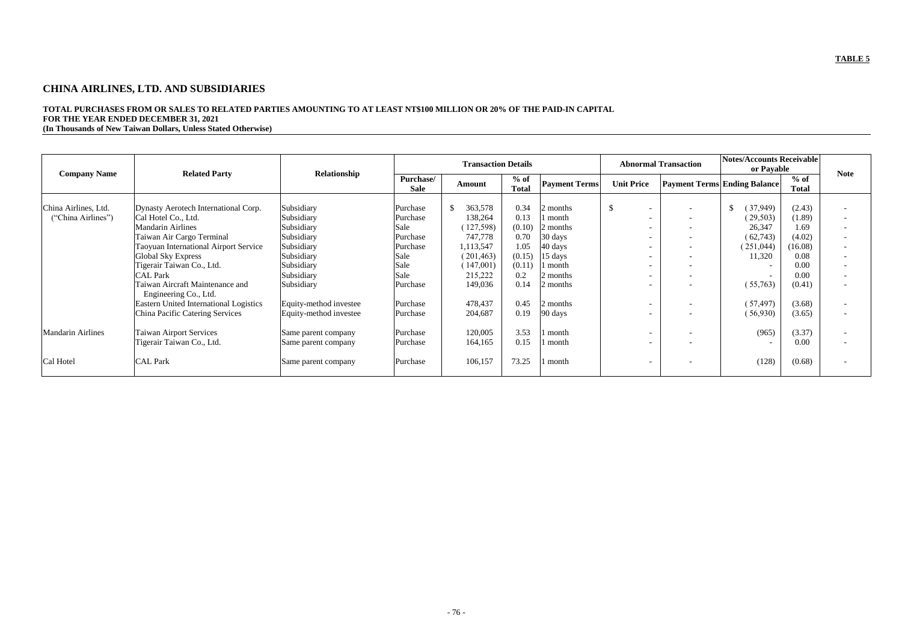# **CHINA AIRLINES, LTD. AND SUBSIDIARIES**

# **TOTAL PURCHASES FROM OR SALES TO RELATED PARTIES AMOUNTING TO AT LEAST NT\$100 MILLION OR 20% OF THE PAID-IN CAPITAL FOR THE YEAR ENDED DECEMBER 31, 2021**

**(In Thousands of New Taiwan Dollars, Unless Stated Otherwise)**

|                          |                                                                        |                                            |                          | <b>Transaction Details</b> |                        |                            |                                                      | <b>Abnormal Transaction</b>                          | <b>Notes/Accounts Receivable</b><br>or Payable |                        |                                                      |
|--------------------------|------------------------------------------------------------------------|--------------------------------------------|--------------------------|----------------------------|------------------------|----------------------------|------------------------------------------------------|------------------------------------------------------|------------------------------------------------|------------------------|------------------------------------------------------|
| <b>Company Name</b>      | <b>Related Party</b>                                                   | Relationship                               | Purchase/<br><b>Sale</b> | Amount                     | $%$ of<br><b>Total</b> | <b>Payment Terms</b>       | <b>Unit Price</b>                                    |                                                      | <b>Payment Terms Ending Balance</b>            | $%$ of<br><b>Total</b> | <b>Note</b>                                          |
| China Airlines, Ltd.     | Dynasty Aerotech International Corp.                                   | Subsidiary                                 | Purchase                 | 363,578                    | 0.34                   | 2 months                   | $\mathcal{S}$<br>$\overline{\phantom{a}}$            | $\overline{\phantom{a}}$                             | 37,949                                         | (2.43)                 | $\overline{\phantom{a}}$                             |
| ("China Airlines")       | Cal Hotel Co., Ltd.<br><b>Mandarin Airlines</b>                        | Subsidiary<br>Subsidiary                   | Purchase<br>Sale         | 138,264<br>(127,598)       | 0.13<br>(0.10)         | month<br>2 months          | $\overline{\phantom{a}}$<br>$\overline{\phantom{0}}$ | $\overline{\phantom{a}}$<br>$\overline{\phantom{0}}$ | 29,503<br>26,347                               | (1.89)<br>1.69         | $\overline{\phantom{a}}$<br>$\overline{\phantom{a}}$ |
|                          | Taiwan Air Cargo Terminal<br>Taoyuan International Airport Service     | Subsidiary<br>Subsidiary                   | Purchase<br>Purchase     | 747,778<br>1,113,547       | 0.70<br>1.05           | 30 days<br>40 days         | $\sim$<br>$\overline{\phantom{a}}$                   | $\overline{\phantom{a}}$<br>$\sim$                   | (62, 743)<br>(251,044)                         | (4.02)<br>(16.08)      | $\overline{\phantom{0}}$<br>$\overline{\phantom{a}}$ |
|                          | <b>Global Sky Express</b><br>Tigerair Taiwan Co., Ltd.                 | Subsidiary<br>Subsidiary                   | Sale<br>Sale             | (201, 463)<br>147,001      | (0.15)<br>(0.11)       | $15 \text{ days}$<br>month | Ξ.<br>$\overline{\phantom{a}}$                       | $\overline{\phantom{a}}$<br>$\overline{\phantom{a}}$ | 11,320                                         | 0.08<br>0.00           | $\overline{\phantom{a}}$<br>$\overline{\phantom{a}}$ |
|                          | <b>CAL Park</b><br>Taiwan Aircraft Maintenance and                     | Subsidiary<br>Subsidiary                   | Sale<br>Purchase         | 215,222<br>149,036         | 0.2<br>0.14            | 2 months<br>2 months       | $\overline{\phantom{0}}$<br>$\overline{\phantom{0}}$ | $\overline{\phantom{0}}$<br>$\overline{\phantom{0}}$ | (55,763)                                       | 0.00<br>(0.41)         | $\overline{\phantom{a}}$<br>$\overline{\phantom{a}}$ |
|                          | Engineering Co., Ltd.<br><b>Eastern United International Logistics</b> | Equity-method investee                     | Purchase                 | 478,437                    | 0.45                   | 2 months                   | $\sim$                                               | $\overline{\phantom{a}}$                             | (57, 497)                                      | (3.68)                 | $\overline{\phantom{a}}$                             |
|                          | <b>China Pacific Catering Services</b>                                 | Equity-method investee                     | Purchase                 | 204,687                    | 0.19                   | 90 days                    | $\overline{\phantom{0}}$                             | $\overline{\phantom{0}}$                             | (56,930)                                       | (3.65)                 |                                                      |
| <b>Mandarin Airlines</b> | <b>Taiwan Airport Services</b><br>Tigerair Taiwan Co., Ltd.            | Same parent company<br>Same parent company | Purchase<br>Purchase     | 120,005<br>164,165         | 3.53<br>0.15           | month<br>month             | $\overline{\phantom{a}}$<br>$\overline{\phantom{0}}$ | $\overline{\phantom{a}}$<br>$\overline{\phantom{0}}$ | (965)                                          | (3.37)<br>0.00         | $\overline{\phantom{a}}$<br>$\overline{\phantom{a}}$ |
| Cal Hotel                | <b>CAL Park</b>                                                        | Same parent company                        | Purchase                 | 106,157                    | 73.25                  | month                      | $\overline{\phantom{a}}$                             | $\overline{\phantom{a}}$                             | (128)                                          | (0.68)                 | $\overline{\phantom{a}}$                             |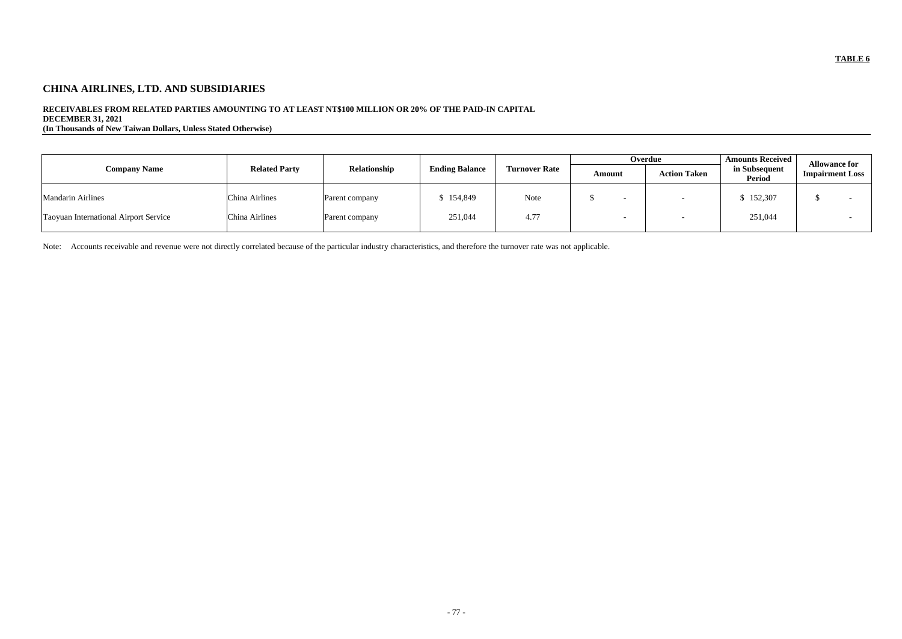# **CHINA AIRLINES, LTD. AND SUBSIDIARIES**

## **RECEIVABLES FROM RELATED PARTIES AMOUNTING TO AT LEAST NT\$100 MILLION OR 20% OF THE PAID-IN CAPITAL DECEMBER 31, 2021**

**(In Thousands of New Taiwan Dollars, Unless Stated Otherwise)**

|                                       |                      |                |                       |                      |               | Overdue             | <b>Amounts Received</b>        | <b>Allowance for</b>   |  |
|---------------------------------------|----------------------|----------------|-----------------------|----------------------|---------------|---------------------|--------------------------------|------------------------|--|
| <b>Company Name</b>                   | <b>Related Party</b> | Relationship   | <b>Ending Balance</b> | <b>Turnover Rate</b> | <b>Amount</b> | <b>Action Taken</b> | in Subsequent<br><b>Period</b> | <b>Impairment Loss</b> |  |
| <b>Mandarin Airlines</b>              | China Airlines       | Parent company | 154,849               | <b>Note</b>          |               |                     | \$152,307                      |                        |  |
| Taoyuan International Airport Service | China Airlines       | Parent company | 251,044               | 4.77                 |               |                     | 251,044                        |                        |  |

Note: Accounts receivable and revenue were not directly correlated because of the particular industry characteristics, and therefore the turnover rate was not applicable.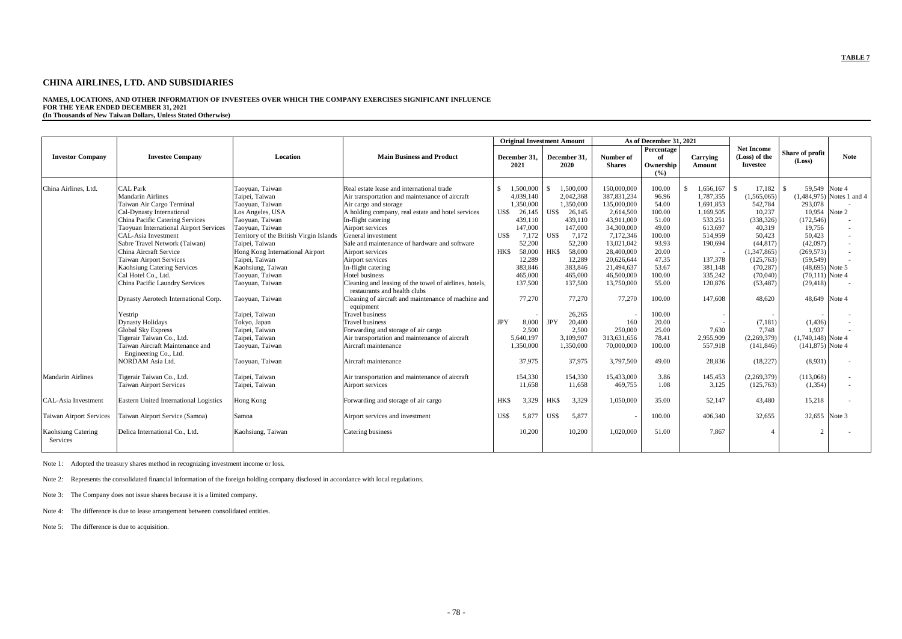## **CHINA AIRLINES, LTD. AND SUBSIDIARIES**

#### **NAMES, LOCATIONS, AND OTHER INFORMATION OF INVESTEES OVER WHICH THE COMPANY EXERCISES SIGNIFICANT INFLUENCE FOR THE YEAR ENDED DECEMBER 31, 2021 (In Thousands of New Taiwan Dollars, Unless Stated Otherwise)**

|                                       |                                                                                                                                                                                                                                                                                                                                                                                                                                                                                                                                                                                                                               |                                                                                                                                                                                                                                                                                                                                                                                                                            |                                                                                                                                                                                                                                                                                                                                                                                                                                                                                                                                                                                                                                                                                                                                              |                                                                                                                                                                                                                                                                    | <b>Original Investment Amount</b>                                                                                                                                                                                                                            |                                                                                                                                                                                                                                                           | As of December 31, 2021                                                                                                                                                                 |                                                                                                                                                                                                      |                                                                                                                                                                                                                                          |                                                                                                                                                                                                                                                                                 |                             |
|---------------------------------------|-------------------------------------------------------------------------------------------------------------------------------------------------------------------------------------------------------------------------------------------------------------------------------------------------------------------------------------------------------------------------------------------------------------------------------------------------------------------------------------------------------------------------------------------------------------------------------------------------------------------------------|----------------------------------------------------------------------------------------------------------------------------------------------------------------------------------------------------------------------------------------------------------------------------------------------------------------------------------------------------------------------------------------------------------------------------|----------------------------------------------------------------------------------------------------------------------------------------------------------------------------------------------------------------------------------------------------------------------------------------------------------------------------------------------------------------------------------------------------------------------------------------------------------------------------------------------------------------------------------------------------------------------------------------------------------------------------------------------------------------------------------------------------------------------------------------------|--------------------------------------------------------------------------------------------------------------------------------------------------------------------------------------------------------------------------------------------------------------------|--------------------------------------------------------------------------------------------------------------------------------------------------------------------------------------------------------------------------------------------------------------|-----------------------------------------------------------------------------------------------------------------------------------------------------------------------------------------------------------------------------------------------------------|-----------------------------------------------------------------------------------------------------------------------------------------------------------------------------------------|------------------------------------------------------------------------------------------------------------------------------------------------------------------------------------------------------|------------------------------------------------------------------------------------------------------------------------------------------------------------------------------------------------------------------------------------------|---------------------------------------------------------------------------------------------------------------------------------------------------------------------------------------------------------------------------------------------------------------------------------|-----------------------------|
| <b>Investor Company</b>               | <b>Investee Company</b>                                                                                                                                                                                                                                                                                                                                                                                                                                                                                                                                                                                                       | Location                                                                                                                                                                                                                                                                                                                                                                                                                   | <b>Main Business and Product</b>                                                                                                                                                                                                                                                                                                                                                                                                                                                                                                                                                                                                                                                                                                             | December 31,<br>2021                                                                                                                                                                                                                                               | December 31.<br>2020                                                                                                                                                                                                                                         | Number of<br><b>Shares</b>                                                                                                                                                                                                                                | Percentage<br>of<br>Ownership<br>(9/0)                                                                                                                                                  | Carrying<br>Amount                                                                                                                                                                                   | <b>Net Income</b><br>(Loss) of the<br><b>Investee</b>                                                                                                                                                                                    | Share of profit<br>(Loss)                                                                                                                                                                                                                                                       | <b>Note</b>                 |
| China Airlines, Ltd.                  | <b>CAL Park</b><br><b>Mandarin Airlines</b><br>Taiwan Air Cargo Terminal<br>Cal-Dynasty International<br>China Pacific Catering Services<br><b>Taoyuan International Airport Services</b><br><b>CAL-Asia Investment</b><br>Sabre Travel Network (Taiwan)<br>China Aircraft Service<br><b>Taiwan Airport Services</b><br>Kaohsiung Catering Services<br>Cal Hotel Co., Ltd.<br>China Pacific Laundry Services<br>Dynasty Aerotech International Corp.<br>Yestrip<br>Dynasty Holidays<br><b>Global Sky Express</b><br>Tigerair Taiwan Co., Ltd.<br>Taiwan Aircraft Maintenance and<br>Engineering Co., Ltd.<br>NORDAM Asia Ltd. | Taoyuan, Taiwan<br>Taipei, Taiwan<br>Taoyuan, Taiwan<br>Los Angeles, USA<br>Taoyuan, Taiwan<br>Taoyuan, Taiwan<br>Territory of the British Virgin Islands<br>Taipei, Taiwan<br>Hong Kong International Airport<br>Taipei, Taiwan<br>Kaohsiung, Taiwan<br>Taoyuan, Taiwan<br>Taoyuan, Taiwan<br>Taoyuan, Taiwan<br>Taipei, Taiwan<br>Tokyo, Japan<br>Taipei, Taiwan<br>Taipei, Taiwan<br>Taoyuan, Taiwan<br>Taoyuan, Taiwan | Real estate lease and international trade<br>Air transportation and maintenance of aircraft<br>Air cargo and storage<br>A holding company, real estate and hotel services<br>In-flight catering<br>Airport services<br>General investment<br>Sale and maintenance of hardware and software<br>Airport services<br>Airport services<br>In-flight catering<br><b>Hotel</b> business<br>Cleaning and leasing of the towel of airlines, hotels,<br>restaurants and health clubs<br>Cleaning of aircraft and maintenance of machine and<br>equipment<br><b>Travel business</b><br><b>Travel business</b><br>Forwarding and storage of air cargo<br>Air transportation and maintenance of aircraft<br>Aircraft maintenance<br>Aircraft maintenance | <sup>\$</sup><br>1,500,000<br>4,039,140<br>1,350,000<br>US\$<br>26,145<br>439,110<br>147,000<br>US\$<br>7,172<br>52,200<br>HK\$<br>58,000<br>12,289<br>383,846<br>465,000<br>137,500<br>77,270<br><b>JPY</b><br>8,000<br>2,500<br>5,640,197<br>1,350,000<br>37,975 | 1,500,000<br>2,042,368<br>1,350,000<br>US\$<br>26,145<br>439,110<br>147,000<br>US\$<br>7,172<br>52,200<br>HK\$<br>58,000<br>12,289<br>383,846<br>465,000<br>137,500<br>77,270<br>26,265<br><b>JPY</b><br>20,400<br>2,500<br>3,109,907<br>1,350,000<br>37,975 | 150,000,000<br>387,831,234<br>135,000,000<br>2,614,500<br>43,911,000<br>34,300,000<br>7,172,346<br>13,021,042<br>28,400,000<br>20,626,644<br>21,494,637<br>46,500,000<br>13,750,000<br>77,270<br>160<br>250,000<br>313,631,656<br>70,000,000<br>3,797,500 | 100.00<br>96.96<br>54.00<br>100.00<br>51.00<br>49.00<br>100.00<br>93.93<br>20.00<br>47.35<br>53.67<br>100.00<br>55.00<br>100.00<br>100.00<br>20.00<br>25.00<br>78.41<br>100.00<br>49.00 | 1,656,167<br>-S<br>1,787,355<br>1,691,853<br>1,169,505<br>533,251<br>613,697<br>514,959<br>190,694<br>137,378<br>381,148<br>335,242<br>120.876<br>147,608<br>7,630<br>2,955,909<br>557,918<br>28,836 | 17,182<br>S.<br>(1,565,065)<br>542,784<br>10,237<br>(338, 326)<br>40,319<br>50,423<br>(44, 817)<br>(1,347,865)<br>(125,763)<br>(70, 287)<br>(70,040)<br>(53, 487)<br>48,620<br>(7,181)<br>7.748<br>(2,269,379)<br>(141, 846)<br>(18,227) | 59,549 Note 4<br>\$.<br>293,078<br>10,954 Note 2<br>(172, 546)<br>19,756<br>50,423<br>(42,097)<br>(269, 573)<br>(59, 549)<br>$(48,695)$ Note 5<br>$(70,111)$ Note 4<br>(29, 418)<br>48,649 Note 4<br>(1, 436)<br>1,937<br>$(1,740,148)$ Note 4<br>$(141,875)$ Note 4<br>(8,931) | $(1,484,975)$ Notes 1 and 4 |
| <b>Mandarin Airlines</b>              | Tigerair Taiwan Co., Ltd.<br>Taiwan Airport Services                                                                                                                                                                                                                                                                                                                                                                                                                                                                                                                                                                          | Taipei, Taiwan<br>Taipei, Taiwan                                                                                                                                                                                                                                                                                                                                                                                           | Air transportation and maintenance of aircraft<br>Airport services                                                                                                                                                                                                                                                                                                                                                                                                                                                                                                                                                                                                                                                                           | 154.330<br>11,658                                                                                                                                                                                                                                                  | 154,330<br>11,658                                                                                                                                                                                                                                            | 15,433,000<br>469,755                                                                                                                                                                                                                                     | 3.86<br>1.08                                                                                                                                                                            | 145,453<br>3,125                                                                                                                                                                                     | (2,269,379)<br>(125,763)                                                                                                                                                                                                                 | (113,068)<br>(1, 354)                                                                                                                                                                                                                                                           |                             |
| <b>CAL-Asia Investment</b>            | <b>Eastern United International Logistics</b>                                                                                                                                                                                                                                                                                                                                                                                                                                                                                                                                                                                 | Hong Kong                                                                                                                                                                                                                                                                                                                                                                                                                  | Forwarding and storage of air cargo                                                                                                                                                                                                                                                                                                                                                                                                                                                                                                                                                                                                                                                                                                          | HK\$<br>3,329                                                                                                                                                                                                                                                      | 3,329<br>HK\$                                                                                                                                                                                                                                                | 1,050,000                                                                                                                                                                                                                                                 | 35.00                                                                                                                                                                                   | 52,147                                                                                                                                                                                               | 43.480                                                                                                                                                                                                                                   | 15,218                                                                                                                                                                                                                                                                          |                             |
| <b>Taiwan Airport Services</b>        | Taiwan Airport Service (Samoa)                                                                                                                                                                                                                                                                                                                                                                                                                                                                                                                                                                                                | Samoa                                                                                                                                                                                                                                                                                                                                                                                                                      | Airport services and investment                                                                                                                                                                                                                                                                                                                                                                                                                                                                                                                                                                                                                                                                                                              | US\$<br>5,877                                                                                                                                                                                                                                                      | US\$<br>5,877                                                                                                                                                                                                                                                |                                                                                                                                                                                                                                                           | 100.00                                                                                                                                                                                  | 406,340                                                                                                                                                                                              | 32,655                                                                                                                                                                                                                                   | 32,655 Note 3                                                                                                                                                                                                                                                                   |                             |
| <b>Kaohsiung Catering</b><br>Services | Delica International Co., Ltd.                                                                                                                                                                                                                                                                                                                                                                                                                                                                                                                                                                                                | Kaohsiung, Taiwan                                                                                                                                                                                                                                                                                                                                                                                                          | Catering business                                                                                                                                                                                                                                                                                                                                                                                                                                                                                                                                                                                                                                                                                                                            | 10,200                                                                                                                                                                                                                                                             | 10,200                                                                                                                                                                                                                                                       | 1,020,000                                                                                                                                                                                                                                                 | 51.00                                                                                                                                                                                   | 7,867                                                                                                                                                                                                |                                                                                                                                                                                                                                          | $\bigcap$                                                                                                                                                                                                                                                                       |                             |

Note 1: Adopted the treasury shares method in recognizing investment income or loss.

Note 2: Represents the consolidated financial information of the foreign holding company disclosed in accordance with local regulations.

Note 3: The Company does not issue shares because it is a limited company.

Note 4: The difference is due to lease arrangement between consolidated entities.

Note 5: The difference is due to acquisition.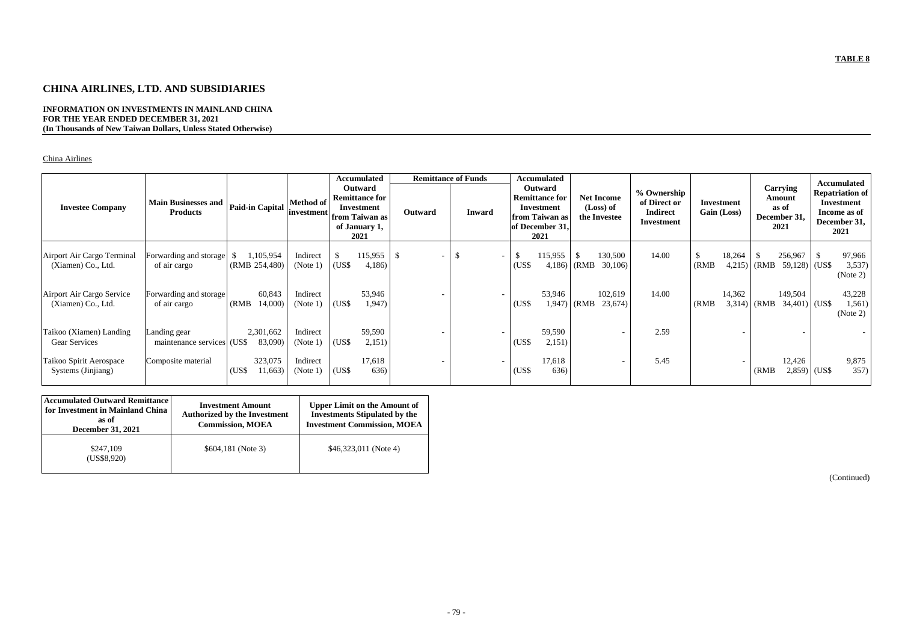# **CHINA AIRLINES, LTD. AND SUBSIDIARIES**

#### **INFORMATION ON INVESTMENTS IN MAINLAND CHINA FOR THE YEAR ENDED DECEMBER 31, 2021 (In Thousands of New Taiwan Dollars, Unless Stated Otherwise)**

# China Airlines

|                                                  |                                               |                             |                                |       | <b>Accumulated</b>                                                                        |         | <b>Remittance of Funds</b>     |                                                                                  | <b>Accumulated</b> |                             |       |                |                 |       |                            | <b>Accumulated</b>                             |  |                           |  |  |                                                            |                                                                                     |
|--------------------------------------------------|-----------------------------------------------|-----------------------------|--------------------------------|-------|-------------------------------------------------------------------------------------------|---------|--------------------------------|----------------------------------------------------------------------------------|--------------------|-----------------------------|-------|----------------|-----------------|-------|----------------------------|------------------------------------------------|--|---------------------------|--|--|------------------------------------------------------------|-------------------------------------------------------------------------------------|
| <b>Investee Company</b>                          | <b>Main Businesses and</b><br><b>Products</b> | Paid-in Capital             | <b>Method of</b><br>investment |       | Outward<br><b>Remittance for</b><br>Investment<br>from Taiwan as<br>of January 1,<br>2021 | Outward | <b>Inward</b>                  | <b>Remittance for</b><br>Investment<br>from Taiwan as<br>of December 31,<br>2021 |                    |                             |       | <b>Outward</b> |                 |       |                            | <b>Net Income</b><br>(Loss) of<br>the Investee |  | Investment<br>Gain (Loss) |  |  | <b>Carrying</b><br>Amount<br>as of<br>December 31,<br>2021 | <b>Repatriation of</b><br><b>Investment</b><br>Income as of<br>December 31,<br>2021 |
| Airport Air Cargo Terminal<br>(Xiamen) Co., Ltd. | Forwarding and storage<br>of air cargo        | 1,105,954<br>(RMB 254,480)  | Indirect<br>(Note 1)           | (US\$ | 115,955<br>4,186                                                                          | -S      | \$<br>$\overline{\phantom{a}}$ | $\mathbb{S}$<br>(US\$                                                            | 115,955<br>4,186   | 130,500<br>30,106<br>(RMB)  | 14.00 | -S<br>(RMB)    | 18,264<br>4,215 | (RMB) | 256,967<br>$59,128$ (US\$) | 97,966<br>3,537)<br>(Note 2)                   |  |                           |  |  |                                                            |                                                                                     |
| Airport Air Cargo Service<br>(Xiamen) Co., Ltd.  | Forwarding and storage<br>of air cargo        | 60,843<br>(RMB)<br>14,000)  | Indirect<br>(Note 1)           | (US\$ | 53,946<br>1,947)                                                                          |         |                                | (USS)                                                                            | 53,946<br>1,947)   | 102,619<br>23,674)<br>(RMB) | 14.00 | (RMB)          | 14,362<br>3,314 | (RMB) | 149,504<br>$34,401$ (US\$) | 43,228<br>1,561)<br>(Note 2)                   |  |                           |  |  |                                                            |                                                                                     |
| Taikoo (Xiamen) Landing<br>Gear Services         | Landing gear<br>maintenance services (US\$)   | 2,301,662<br>83,090)        | Indirect<br>(Note 1)           | (US\$ | 59,590<br>2,151)                                                                          |         |                                | (USS)                                                                            | 59,590<br>2,151)   | $\overline{\phantom{a}}$    | 2.59  |                |                 |       |                            |                                                |  |                           |  |  |                                                            |                                                                                     |
| Taikoo Spirit Aerospace<br>Systems (Jinjiang)    | Composite material                            | 323,075<br>(US\$<br>11,663) | Indirect<br>(Note 1)           | (US\$ | 17,618<br>636)                                                                            |         |                                | (US\$                                                                            | 17,618<br>636)     | $\sim$                      | 5.45  |                |                 | (RMB) | 12,426<br>$2,859$ (US\$)   | 9,875<br>357)                                  |  |                           |  |  |                                                            |                                                                                     |

| <b>Accumulated Outward Remittance</b><br>for Investment in Mainland China<br>as of<br><b>December 31, 2021</b> | <b>Investment Amount</b><br><b>Authorized by the Investment</b><br><b>Commission, MOEA</b> | <b>Upper Limit on the Amount of</b><br><b>Investments Stipulated by the</b><br><b>Investment Commission, MOEA</b> |
|----------------------------------------------------------------------------------------------------------------|--------------------------------------------------------------------------------------------|-------------------------------------------------------------------------------------------------------------------|
| \$247,109<br>(US\$8,920)                                                                                       | $$604,181$ (Note 3)                                                                        | $$46,323,011$ (Note 4)                                                                                            |

(Continued)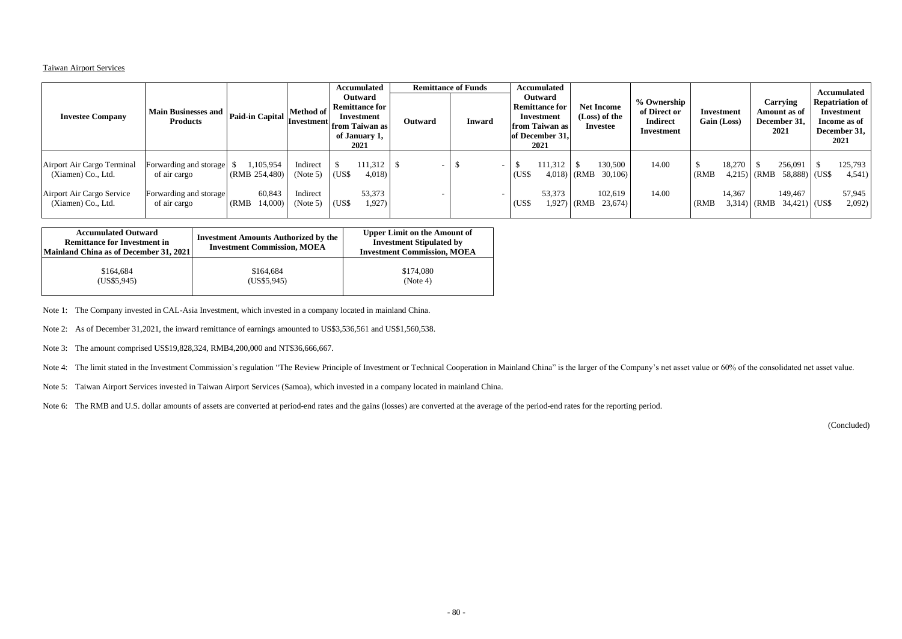## Taiwan Airport Services

|                                                  |                                                     |                                                                                                                                                                                                                                                                                |                      | <b>Accumulated</b><br><b>Outward</b>           |         | <b>Remittance of Funds</b> | <b>Accumulated</b><br><b>Outward</b>                                             |                           |                                                       | % Ownership                                   |                           | Carrying                                   | <b>Accumulated</b><br><b>Repatriation of</b>       |  |
|--------------------------------------------------|-----------------------------------------------------|--------------------------------------------------------------------------------------------------------------------------------------------------------------------------------------------------------------------------------------------------------------------------------|----------------------|------------------------------------------------|---------|----------------------------|----------------------------------------------------------------------------------|---------------------------|-------------------------------------------------------|-----------------------------------------------|---------------------------|--------------------------------------------|----------------------------------------------------|--|
| <b>Investee Company</b>                          | Main Businesses and<br><b>Products</b>              | $\begin{array}{c c c c} \hline \text{ \textbf{} & \textbf{} & \textbf{0} & \textbf{0} & \textbf{0} \\ \hline \textbf{0} & \textbf{0} & \textbf{0} & \textbf{0} & \textbf{0} \\ \hline \textbf{0} & \textbf{0} & \textbf{0} & \textbf{0} & \textbf{0} & \textbf{0} \end{array}$ | <b>Method of</b>     | <b>Remittance for</b><br>of January 1,<br>2021 | Outward | <b>Inward</b>              | <b>Remittance for</b><br>Investment<br>from Taiwan as<br>of December 31,<br>2021 |                           | <b>Net Income</b><br>(Loss) of the<br><b>Investee</b> | of Direct or<br><b>Indirect</b><br>Investment | Investment<br>Gain (Loss) | Amount as of<br>December 31,<br>2021       | Investment<br>Income as of<br>December 31,<br>2021 |  |
| Airport Air Cargo Terminal<br>(Xiamen) Co., Ltd. | Forwarding and storage \\ \ \ \ \ \<br>of air cargo | 1,105,954<br>(RMB 254,480)                                                                                                                                                                                                                                                     | Indirect<br>(Note 5) | 111,312<br>(US <sup>§</sup> )<br>4,018         |         | $\overline{\phantom{a}}$   | (US\$                                                                            | 111,312<br>$(4,018)$ (RMB | 130,500<br>30,106                                     | 14.00                                         | 18,270<br>(RMB)           | 256,091<br>$(4,215)$ (RMB 58,888) (US\$    | 125,793<br>4,541)                                  |  |
| Airport Air Cargo Service<br>(Xiamen) Co., Ltd.  | Forwarding and storage<br>of air cargo              | 60,843<br>(RMB)<br>14,000)                                                                                                                                                                                                                                                     | Indirect<br>(Note 5) | 53,373<br>$1,927$ )<br>(US\$                   |         |                            | (US\$                                                                            | 53,373                    | 102,619<br>$1,927$ (RMB<br>23,674                     | 14.00                                         | 14,367<br>(RMB)           | 149,467<br>$3,314$ (RMB<br>$34,421$ (US\$) | 57,945<br>2,092)                                   |  |

| <b>Accumulated Outward</b><br><b>Remittance for Investment in</b><br>Mainland China as of December 31, 2021 | <b>Investment Amounts Authorized by the</b><br><b>Investment Commission, MOEA</b> | <b>Upper Limit on the Amount of</b><br><b>Investment Stipulated by</b><br><b>Investment Commission, MOEA</b> |
|-------------------------------------------------------------------------------------------------------------|-----------------------------------------------------------------------------------|--------------------------------------------------------------------------------------------------------------|
| \$164,684                                                                                                   | \$164,684                                                                         | \$174,080                                                                                                    |
| (US\$5,945)                                                                                                 | (US\$5,945)                                                                       | (Note 4)                                                                                                     |

Note 1: The Company invested in CAL-Asia Investment, which invested in a company located in mainland China.

Note 2: As of December 31,2021, the inward remittance of earnings amounted to US\$3,536,561 and US\$1,560,538.

Note 3: The amount comprised US\$19,828,324, RMB4,200,000 and NT\$36,666,667.

Note 4: The limit stated in the Investment Commission's regulation "The Review Principle of Investment or Technical Cooperation in Mainland China" is the larger of the Company's net asset value or 60% of the consolidated n

Note 5: Taiwan Airport Services invested in Taiwan Airport Services (Samoa), which invested in a company located in mainland China.

Note 6: The RMB and U.S. dollar amounts of assets are converted at period-end rates and the gains (losses) are converted at the average of the period-end rates for the reporting period.

(Concluded)